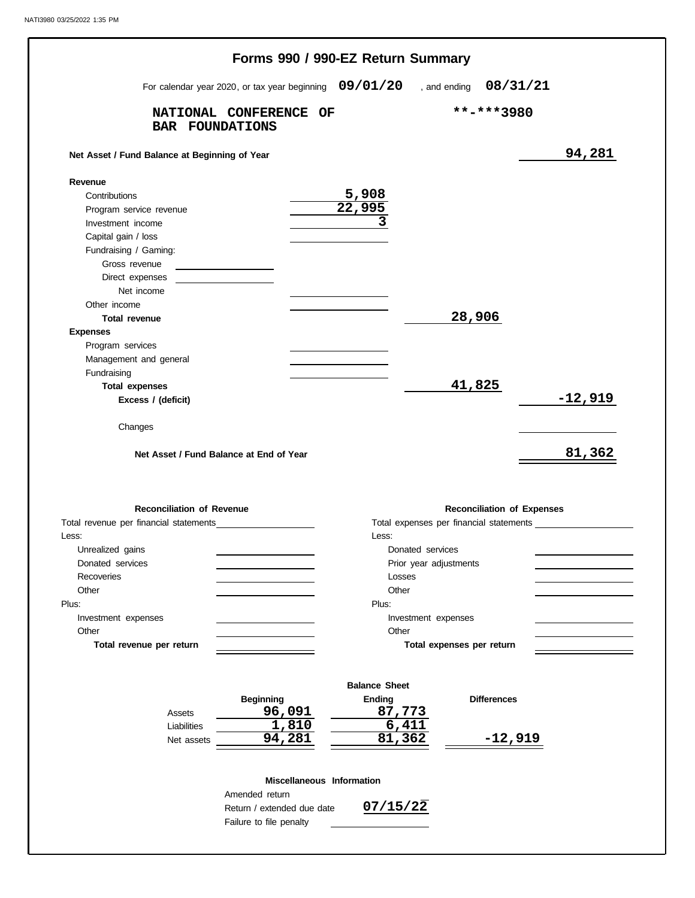|                                                          | For calendar year 2020, or tax year beginning $09/01/20$ , and ending |                        |                           | 08/31/21                                |
|----------------------------------------------------------|-----------------------------------------------------------------------|------------------------|---------------------------|-----------------------------------------|
|                                                          | NATIONAL CONFERENCE OF<br><b>BAR FOUNDATIONS</b>                      |                        | **-***3980                |                                         |
| Net Asset / Fund Balance at Beginning of Year            |                                                                       |                        |                           | 94,281                                  |
| Revenue                                                  |                                                                       |                        |                           |                                         |
| Contributions                                            |                                                                       | 5,908                  |                           |                                         |
| Program service revenue                                  |                                                                       | 22,995                 |                           |                                         |
| Investment income                                        |                                                                       |                        |                           |                                         |
| Capital gain / loss                                      |                                                                       |                        |                           |                                         |
| Fundraising / Gaming:                                    |                                                                       |                        |                           |                                         |
| Gross revenue                                            | the control of the control of the                                     |                        |                           |                                         |
| Direct expenses                                          |                                                                       |                        |                           |                                         |
| Net income                                               |                                                                       |                        |                           |                                         |
| Other income                                             |                                                                       |                        | 28,906                    |                                         |
| <b>Total revenue</b><br><b>Expenses</b>                  |                                                                       |                        |                           |                                         |
| Program services                                         |                                                                       |                        |                           |                                         |
| Management and general                                   |                                                                       |                        |                           |                                         |
| Fundraising                                              |                                                                       |                        |                           |                                         |
| <b>Total expenses</b>                                    |                                                                       |                        | 41,825                    |                                         |
| Excess / (deficit)                                       |                                                                       |                        |                           | $-12,919$                               |
| Changes                                                  | Net Asset / Fund Balance at End of Year                               |                        |                           | 81,362                                  |
|                                                          |                                                                       |                        |                           |                                         |
| <b>Reconciliation of Revenue</b>                         |                                                                       |                        |                           | <b>Reconciliation of Expenses</b>       |
|                                                          |                                                                       | Less:                  |                           | Total expenses per financial statements |
| Unrealized gains                                         |                                                                       | Donated services       |                           |                                         |
| Donated services                                         |                                                                       | Prior year adjustments |                           |                                         |
| Recoveries                                               |                                                                       | Losses                 |                           |                                         |
| Other                                                    |                                                                       | Other                  |                           |                                         |
|                                                          |                                                                       | Plus:                  |                           |                                         |
| Investment expenses                                      |                                                                       | Investment expenses    |                           |                                         |
| Other                                                    |                                                                       | Other                  |                           |                                         |
| Total revenue per return                                 |                                                                       |                        | Total expenses per return |                                         |
|                                                          |                                                                       | <b>Balance Sheet</b>   |                           |                                         |
|                                                          | <b>Beginning</b>                                                      | Ending                 | <b>Differences</b>        |                                         |
| Assets                                                   | 96,091                                                                | 87,773                 |                           |                                         |
| Liabilities                                              | 1,810                                                                 | 6,411                  |                           |                                         |
| Net assets                                               | 94,281                                                                | 81,362                 |                           | <u>-12,919</u>                          |
|                                                          | Miscellaneous Information                                             |                        |                           |                                         |
| Total revenue per financial statements<br>Less:<br>Plus: | Amended return                                                        | 07/15/22               |                           |                                         |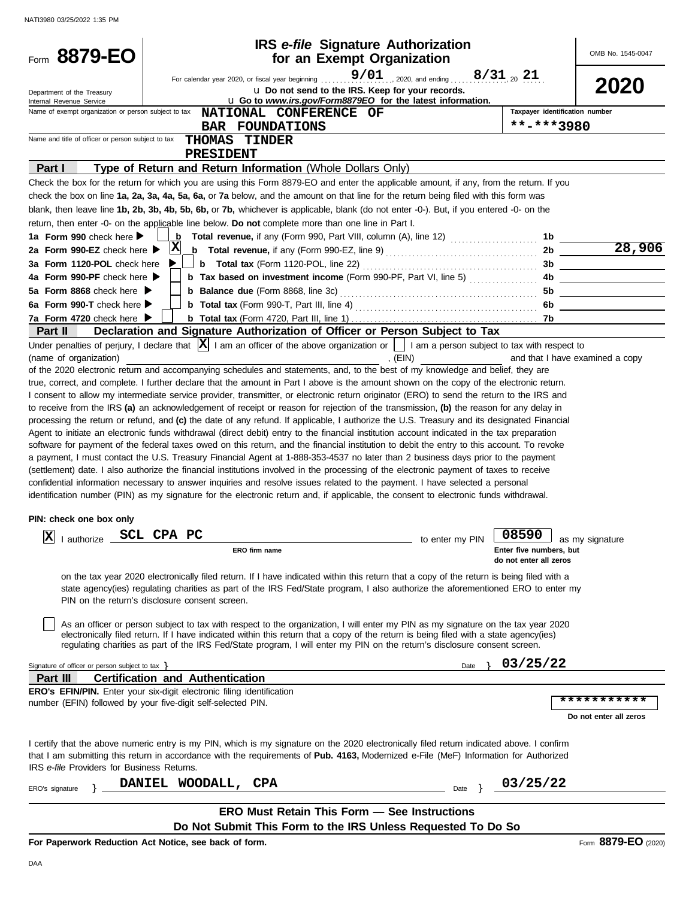| Form 8879-EO                                                   | <b>IRS</b> e-file Signature Authorization<br>for an Exempt Organization                                                                                                                                                                                                                                                                                                                                                                                                                                                                                                                                                                                                                                                                                                                                                                                                                                                                                                                                                                                                                                                                                                                                                                                                                                                                                                                                                                                                                                                                                                                             |                                          |                                                            | OMB No. 1545-0047                     |
|----------------------------------------------------------------|-----------------------------------------------------------------------------------------------------------------------------------------------------------------------------------------------------------------------------------------------------------------------------------------------------------------------------------------------------------------------------------------------------------------------------------------------------------------------------------------------------------------------------------------------------------------------------------------------------------------------------------------------------------------------------------------------------------------------------------------------------------------------------------------------------------------------------------------------------------------------------------------------------------------------------------------------------------------------------------------------------------------------------------------------------------------------------------------------------------------------------------------------------------------------------------------------------------------------------------------------------------------------------------------------------------------------------------------------------------------------------------------------------------------------------------------------------------------------------------------------------------------------------------------------------------------------------------------------------|------------------------------------------|------------------------------------------------------------|---------------------------------------|
| Department of the Treasury<br>Internal Revenue Service         | For calendar year 2020, or fiscal year beginning<br>u Do not send to the IRS. Keep for your records.<br>u Go to www.irs.gov/Form8879EO for the latest information.                                                                                                                                                                                                                                                                                                                                                                                                                                                                                                                                                                                                                                                                                                                                                                                                                                                                                                                                                                                                                                                                                                                                                                                                                                                                                                                                                                                                                                  | $9/01$ , 2020, and ending $8/31$ , 20 21 |                                                            | 2020                                  |
| Name of exempt organization or person subject to tax           | NATIONAL CONFERENCE OF                                                                                                                                                                                                                                                                                                                                                                                                                                                                                                                                                                                                                                                                                                                                                                                                                                                                                                                                                                                                                                                                                                                                                                                                                                                                                                                                                                                                                                                                                                                                                                              |                                          | Taxpayer identification number                             |                                       |
|                                                                | <b>BAR FOUNDATIONS</b>                                                                                                                                                                                                                                                                                                                                                                                                                                                                                                                                                                                                                                                                                                                                                                                                                                                                                                                                                                                                                                                                                                                                                                                                                                                                                                                                                                                                                                                                                                                                                                              |                                          | **-***3980                                                 |                                       |
| Name and title of officer or person subject to tax             | THOMAS TINDER                                                                                                                                                                                                                                                                                                                                                                                                                                                                                                                                                                                                                                                                                                                                                                                                                                                                                                                                                                                                                                                                                                                                                                                                                                                                                                                                                                                                                                                                                                                                                                                       |                                          |                                                            |                                       |
|                                                                | <b>PRESIDENT</b>                                                                                                                                                                                                                                                                                                                                                                                                                                                                                                                                                                                                                                                                                                                                                                                                                                                                                                                                                                                                                                                                                                                                                                                                                                                                                                                                                                                                                                                                                                                                                                                    |                                          |                                                            |                                       |
| Part I                                                         | Type of Return and Return Information (Whole Dollars Only)                                                                                                                                                                                                                                                                                                                                                                                                                                                                                                                                                                                                                                                                                                                                                                                                                                                                                                                                                                                                                                                                                                                                                                                                                                                                                                                                                                                                                                                                                                                                          |                                          |                                                            |                                       |
|                                                                | Check the box for the return for which you are using this Form 8879-EO and enter the applicable amount, if any, from the return. If you                                                                                                                                                                                                                                                                                                                                                                                                                                                                                                                                                                                                                                                                                                                                                                                                                                                                                                                                                                                                                                                                                                                                                                                                                                                                                                                                                                                                                                                             |                                          |                                                            |                                       |
|                                                                | check the box on line 1a, 2a, 3a, 4a, 5a, 6a, or 7a below, and the amount on that line for the return being filed with this form was                                                                                                                                                                                                                                                                                                                                                                                                                                                                                                                                                                                                                                                                                                                                                                                                                                                                                                                                                                                                                                                                                                                                                                                                                                                                                                                                                                                                                                                                |                                          |                                                            |                                       |
|                                                                | blank, then leave line 1b, 2b, 3b, 4b, 5b, 6b, or 7b, whichever is applicable, blank (do not enter -0-). But, if you entered -0- on the                                                                                                                                                                                                                                                                                                                                                                                                                                                                                                                                                                                                                                                                                                                                                                                                                                                                                                                                                                                                                                                                                                                                                                                                                                                                                                                                                                                                                                                             |                                          |                                                            |                                       |
|                                                                | return, then enter -0- on the applicable line below. Do not complete more than one line in Part I.                                                                                                                                                                                                                                                                                                                                                                                                                                                                                                                                                                                                                                                                                                                                                                                                                                                                                                                                                                                                                                                                                                                                                                                                                                                                                                                                                                                                                                                                                                  |                                          |                                                            |                                       |
| 1a Form 990 check here ▶                                       | b                                                                                                                                                                                                                                                                                                                                                                                                                                                                                                                                                                                                                                                                                                                                                                                                                                                                                                                                                                                                                                                                                                                                                                                                                                                                                                                                                                                                                                                                                                                                                                                                   |                                          | 1b                                                         |                                       |
| 2a Form 990-EZ check here $\blacktriangleright$                | $\mathbf{x}$<br><b>b</b> Total revenue, if any (Form 990-EZ, line 9) $\ldots$ $\ldots$ $\ldots$ $\ldots$ $\ldots$ $\ldots$                                                                                                                                                                                                                                                                                                                                                                                                                                                                                                                                                                                                                                                                                                                                                                                                                                                                                                                                                                                                                                                                                                                                                                                                                                                                                                                                                                                                                                                                          |                                          | 2b                                                         | 28,906                                |
| 3a Form 1120-POL check here                                    |                                                                                                                                                                                                                                                                                                                                                                                                                                                                                                                                                                                                                                                                                                                                                                                                                                                                                                                                                                                                                                                                                                                                                                                                                                                                                                                                                                                                                                                                                                                                                                                                     |                                          | 3b                                                         |                                       |
| 4a Form 990-PF check here                                      | <b>b</b> Tax based on investment income (Form 990-PF, Part VI, line 5)                                                                                                                                                                                                                                                                                                                                                                                                                                                                                                                                                                                                                                                                                                                                                                                                                                                                                                                                                                                                                                                                                                                                                                                                                                                                                                                                                                                                                                                                                                                              |                                          | 4b.                                                        |                                       |
| 5a Form 8868 check here $\blacktriangleright$                  | <b>b</b> Balance due (Form 8868, line 3c)                                                                                                                                                                                                                                                                                                                                                                                                                                                                                                                                                                                                                                                                                                                                                                                                                                                                                                                                                                                                                                                                                                                                                                                                                                                                                                                                                                                                                                                                                                                                                           |                                          | 5b                                                         |                                       |
| 6a Form 990-T check here                                       |                                                                                                                                                                                                                                                                                                                                                                                                                                                                                                                                                                                                                                                                                                                                                                                                                                                                                                                                                                                                                                                                                                                                                                                                                                                                                                                                                                                                                                                                                                                                                                                                     |                                          | 6b.                                                        |                                       |
| 7a Form 4720 check here ▶                                      |                                                                                                                                                                                                                                                                                                                                                                                                                                                                                                                                                                                                                                                                                                                                                                                                                                                                                                                                                                                                                                                                                                                                                                                                                                                                                                                                                                                                                                                                                                                                                                                                     |                                          | 7b                                                         |                                       |
| Part II                                                        | Declaration and Signature Authorization of Officer or Person Subject to Tax<br>Under penalties of perjury, I declare that $ \mathbf{X} $ I am an officer of the above organization or     I am a person subject to tax with respect to                                                                                                                                                                                                                                                                                                                                                                                                                                                                                                                                                                                                                                                                                                                                                                                                                                                                                                                                                                                                                                                                                                                                                                                                                                                                                                                                                              |                                          |                                                            |                                       |
| PIN: check one box only<br>$\mathbf{x}$<br>I authorize _       | of the 2020 electronic return and accompanying schedules and statements, and, to the best of my knowledge and belief, they are<br>true, correct, and complete. I further declare that the amount in Part I above is the amount shown on the copy of the electronic return.<br>I consent to allow my intermediate service provider, transmitter, or electronic return originator (ERO) to send the return to the IRS and<br>to receive from the IRS (a) an acknowledgement of receipt or reason for rejection of the transmission, (b) the reason for any delay in<br>processing the return or refund, and (c) the date of any refund. If applicable, I authorize the U.S. Treasury and its designated Financial<br>Agent to initiate an electronic funds withdrawal (direct debit) entry to the financial institution account indicated in the tax preparation<br>software for payment of the federal taxes owed on this return, and the financial institution to debit the entry to this account. To revoke<br>a payment, I must contact the U.S. Treasury Financial Agent at 1-888-353-4537 no later than 2 business days prior to the payment<br>(settlement) date. I also authorize the financial institutions involved in the processing of the electronic payment of taxes to receive<br>confidential information necessary to answer inquiries and resolve issues related to the payment. I have selected a personal<br>identification number (PIN) as my signature for the electronic return and, if applicable, the consent to electronic funds withdrawal.<br>SCL CPA PC<br>ERO firm name | to enter my PIN                          | 08590<br>Enter five numbers, but<br>do not enter all zeros | as my signature                       |
|                                                                | on the tax year 2020 electronically filed return. If I have indicated within this return that a copy of the return is being filed with a<br>state agency(ies) regulating charities as part of the IRS Fed/State program, I also authorize the aforementioned ERO to enter my<br>PIN on the return's disclosure consent screen.<br>As an officer or person subject to tax with respect to the organization, I will enter my PIN as my signature on the tax year 2020<br>electronically filed return. If I have indicated within this return that a copy of the return is being filed with a state agency(ies)<br>regulating charities as part of the IRS Fed/State program, I will enter my PIN on the return's disclosure consent screen.                                                                                                                                                                                                                                                                                                                                                                                                                                                                                                                                                                                                                                                                                                                                                                                                                                                           |                                          |                                                            |                                       |
|                                                                |                                                                                                                                                                                                                                                                                                                                                                                                                                                                                                                                                                                                                                                                                                                                                                                                                                                                                                                                                                                                                                                                                                                                                                                                                                                                                                                                                                                                                                                                                                                                                                                                     |                                          | 03/25/22                                                   |                                       |
| Signature of officer or person subject to tax $\}$<br>Part III | <b>Certification and Authentication</b>                                                                                                                                                                                                                                                                                                                                                                                                                                                                                                                                                                                                                                                                                                                                                                                                                                                                                                                                                                                                                                                                                                                                                                                                                                                                                                                                                                                                                                                                                                                                                             | Date                                     |                                                            |                                       |
|                                                                | <b>ERO's EFIN/PIN.</b> Enter your six-digit electronic filing identification                                                                                                                                                                                                                                                                                                                                                                                                                                                                                                                                                                                                                                                                                                                                                                                                                                                                                                                                                                                                                                                                                                                                                                                                                                                                                                                                                                                                                                                                                                                        |                                          |                                                            |                                       |
|                                                                | number (EFIN) followed by your five-digit self-selected PIN.                                                                                                                                                                                                                                                                                                                                                                                                                                                                                                                                                                                                                                                                                                                                                                                                                                                                                                                                                                                                                                                                                                                                                                                                                                                                                                                                                                                                                                                                                                                                        |                                          |                                                            | ***********<br>Do not enter all zeros |
| IRS e-file Providers for Business Returns.                     | I certify that the above numeric entry is my PIN, which is my signature on the 2020 electronically filed return indicated above. I confirm<br>that I am submitting this return in accordance with the requirements of Pub. 4163, Modernized e-File (MeF) Information for Authorized                                                                                                                                                                                                                                                                                                                                                                                                                                                                                                                                                                                                                                                                                                                                                                                                                                                                                                                                                                                                                                                                                                                                                                                                                                                                                                                 |                                          |                                                            |                                       |
| ERO's signature                                                | DANIEL WOODALL, CPA                                                                                                                                                                                                                                                                                                                                                                                                                                                                                                                                                                                                                                                                                                                                                                                                                                                                                                                                                                                                                                                                                                                                                                                                                                                                                                                                                                                                                                                                                                                                                                                 | Date                                     | 03/25/22                                                   |                                       |
|                                                                |                                                                                                                                                                                                                                                                                                                                                                                                                                                                                                                                                                                                                                                                                                                                                                                                                                                                                                                                                                                                                                                                                                                                                                                                                                                                                                                                                                                                                                                                                                                                                                                                     |                                          |                                                            |                                       |
|                                                                | <b>ERO Must Retain This Form - See Instructions</b><br>Do Not Submit This Form to the IRS Unless Requested To Do So                                                                                                                                                                                                                                                                                                                                                                                                                                                                                                                                                                                                                                                                                                                                                                                                                                                                                                                                                                                                                                                                                                                                                                                                                                                                                                                                                                                                                                                                                 |                                          |                                                            |                                       |

**For Paperwork Reduction Act Notice, see back of form.**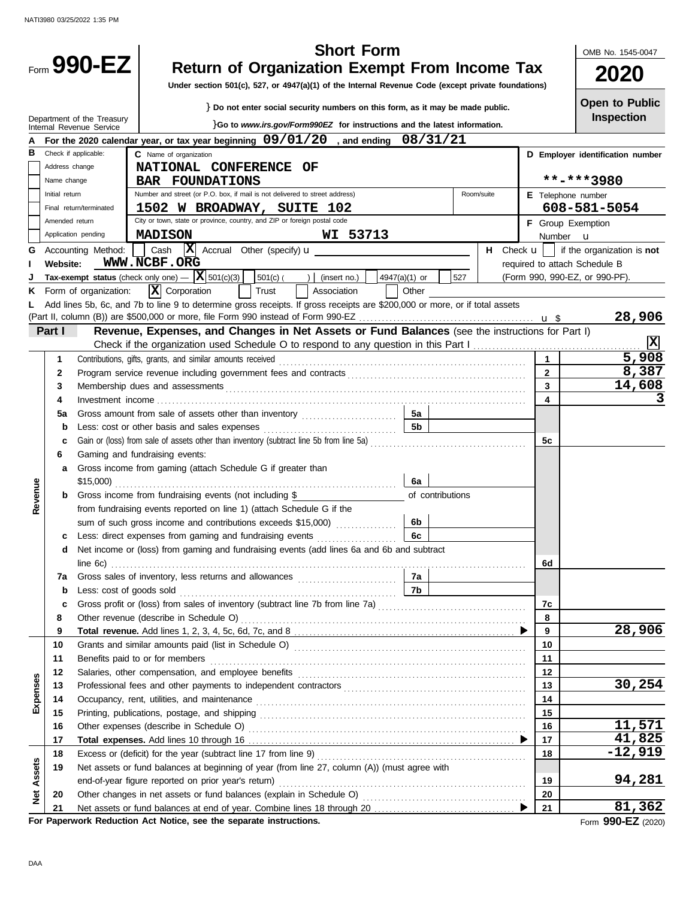|            |                |                            | <b>Short Form</b>                                                                                                                                                                                                                  |            |                    | OMB No. 1545-0047                |
|------------|----------------|----------------------------|------------------------------------------------------------------------------------------------------------------------------------------------------------------------------------------------------------------------------------|------------|--------------------|----------------------------------|
|            |                | Form 990-EZ                | <b>Return of Organization Exempt From Income Tax</b><br>Under section 501(c), 527, or 4947(a)(1) of the Internal Revenue Code (except private foundations)                                                                         |            |                    | <b>2020</b>                      |
|            |                |                            |                                                                                                                                                                                                                                    |            |                    | <b>Open to Public</b>            |
|            |                | Department of the Treasury | } Do not enter social security numbers on this form, as it may be made public.                                                                                                                                                     |            |                    | Inspection                       |
|            |                | Internal Revenue Service   | }Go to www.irs.gov/Form990EZ for instructions and the latest information.                                                                                                                                                          |            |                    |                                  |
| в          |                | Check if applicable:       | For the 2020 calendar year, or tax year beginning 09/01/20, and ending<br>08/31/21                                                                                                                                                 |            |                    |                                  |
|            | Address change |                            | C Name of organization<br>NATIONAL CONFERENCE<br>OF                                                                                                                                                                                |            |                    | D Employer identification number |
|            | Name change    |                            | <b>BAR FOUNDATIONS</b>                                                                                                                                                                                                             |            |                    | **-***3980                       |
|            | Initial return |                            | Number and street (or P.O. box, if mail is not delivered to street address)                                                                                                                                                        | Room/suite |                    | E Telephone number               |
|            |                | Final return/terminated    | 1502 W BROADWAY, SUITE 102                                                                                                                                                                                                         |            |                    | 608-581-5054                     |
|            | Amended return |                            | City or town, state or province, country, and ZIP or foreign postal code                                                                                                                                                           |            |                    | F Group Exemption                |
|            |                | Application pending        | WI 53713<br><b>MADISON</b>                                                                                                                                                                                                         |            | Number <b>u</b>    |                                  |
| G          |                | Accounting Method:         | Cash                                                                                                                                                                                                                               | н.         | Check $\mathbf{u}$ | if the organization is not       |
|            | Website:       |                            | WWW.NCBF.ORG                                                                                                                                                                                                                       |            |                    | required to attach Schedule B    |
|            |                |                            | Tax-exempt status (check only one) $ \left \mathbf{X}\right $ 501(c)(3) $\left $<br>$501(c)$ (<br>527<br>) $ $ (insert no.)<br>4947(a)(1) or                                                                                       |            |                    | (Form 990, 990-EZ, or 990-PF).   |
| ĸ.         |                | Form of organization:      | $ \mathbf{X} $ Corporation<br>Trust<br>Association<br>Other                                                                                                                                                                        |            |                    |                                  |
|            |                |                            | Add lines 5b, 6c, and 7b to line 9 to determine gross receipts. If gross receipts are \$200,000 or more, or if total assets                                                                                                        |            |                    |                                  |
|            |                |                            |                                                                                                                                                                                                                                    |            |                    | 28,906                           |
|            | Part I         |                            | Revenue, Expenses, and Changes in Net Assets or Fund Balances (see the instructions for Part I)                                                                                                                                    |            |                    | $ \mathbf{x} $                   |
|            |                |                            |                                                                                                                                                                                                                                    |            |                    |                                  |
|            | 1              |                            | Contributions, gifts, grants, and similar amounts received                                                                                                                                                                         |            |                    | $\overline{5}$ , 908<br>8,387    |
|            | 2              |                            |                                                                                                                                                                                                                                    |            | $\mathbf{2}$       | 14,608                           |
|            | 3<br>4         |                            | Membership dues and assessments <b>constructed and assessments constructed as a set of the set of the set of the set of the set of the set of the set of the set of the set of the set of the set of the set of the set of the</b> |            | 3<br>4             |                                  |
|            | 5a             |                            | Gross amount from sale of assets other than inventory<br>5а                                                                                                                                                                        |            |                    |                                  |
|            | b              |                            | 5b<br>Less: cost or other basis and sales expenses                                                                                                                                                                                 |            |                    |                                  |
|            | c              |                            |                                                                                                                                                                                                                                    |            | 5с                 |                                  |
|            | 6              |                            | Gaming and fundraising events:                                                                                                                                                                                                     |            |                    |                                  |
|            | a              |                            | Gross income from gaming (attach Schedule G if greater than                                                                                                                                                                        |            |                    |                                  |
|            |                | \$15,000)                  | 6a                                                                                                                                                                                                                                 |            |                    |                                  |
| Revenue    | b              |                            | Gross income from fundraising events (not including \$<br>of contributions                                                                                                                                                         |            |                    |                                  |
|            |                |                            | from fundraising events reported on line 1) (attach Schedule G if the                                                                                                                                                              |            |                    |                                  |
|            |                |                            | sum of such gross income and contributions exceeds \$15,000) [[[[[[[[[[[[[[[[[[[[[[[]]]]]]]]<br>6b                                                                                                                                 |            |                    |                                  |
|            |                |                            | $rac{6c}{10000}$<br>Less: direct expenses from gaming and fundraising events                                                                                                                                                       |            |                    |                                  |
|            | d              |                            | Net income or (loss) from gaming and fundraising events (add lines 6a and 6b and subtract                                                                                                                                          |            |                    |                                  |
|            |                |                            |                                                                                                                                                                                                                                    |            | 6d                 |                                  |
|            | 7a             |                            | 7a                                                                                                                                                                                                                                 |            |                    |                                  |
|            | b              | Less: cost of goods sold   | 7b                                                                                                                                                                                                                                 |            |                    |                                  |
|            | c              |                            |                                                                                                                                                                                                                                    |            | 7c                 |                                  |
|            | 8<br>9         |                            |                                                                                                                                                                                                                                    |            | 8<br>9             | 28,906                           |
|            | 10             |                            |                                                                                                                                                                                                                                    |            | 10                 |                                  |
|            | 11             |                            | Benefits paid to or for members                                                                                                                                                                                                    |            | 11                 |                                  |
|            | 12             |                            | Salaries, other compensation, and employee benefits [11] matter content content of the compensation, and employee benefits [11] matter content of the content of the content of the content of the content of the content of t     |            | 12                 |                                  |
| Expenses   | 13             |                            | Professional fees and other payments to independent contractors [11] [11] professional fees and other payments to independent contractors [11] [11] $\sim$                                                                         |            | 13                 | 30,254                           |
|            | 14             |                            |                                                                                                                                                                                                                                    |            | 14                 |                                  |
|            | 15             |                            |                                                                                                                                                                                                                                    |            | 15                 |                                  |
|            | 16             |                            |                                                                                                                                                                                                                                    |            | 16                 | 11,571                           |
|            | 17             |                            |                                                                                                                                                                                                                                    |            | 17                 | 41,825                           |
|            | 18             |                            |                                                                                                                                                                                                                                    |            | 18                 | $-12,919$                        |
|            | 19             |                            | Net assets or fund balances at beginning of year (from line 27, column (A)) (must agree with                                                                                                                                       |            |                    |                                  |
| Net Assets |                |                            | end-of-year figure reported on prior year's return)                                                                                                                                                                                |            | 19                 | 94,281                           |
|            | 20             |                            |                                                                                                                                                                                                                                    |            | 20                 |                                  |
|            | 21             |                            |                                                                                                                                                                                                                                    |            | 21                 | 81,362                           |

**For Paperwork Reduction Act Notice, see the separate instructions.**

Form **990-EZ** (2020)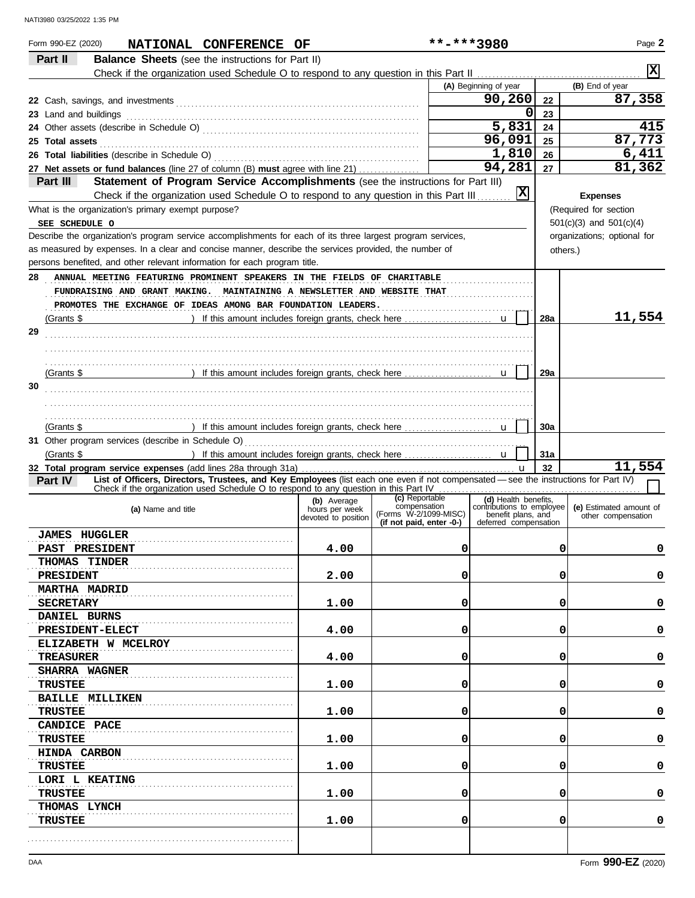| Form 990-EZ (2020)<br>NATIONAL CONFERENCE OF                                                                                                                                          |                     | **-***3980                            |                                             |          | Page 2                      |
|---------------------------------------------------------------------------------------------------------------------------------------------------------------------------------------|---------------------|---------------------------------------|---------------------------------------------|----------|-----------------------------|
| Part II<br><b>Balance Sheets</b> (see the instructions for Part II)                                                                                                                   |                     |                                       |                                             |          |                             |
|                                                                                                                                                                                       |                     |                                       |                                             |          | X                           |
|                                                                                                                                                                                       |                     |                                       | (A) Beginning of year                       |          | (B) End of year             |
|                                                                                                                                                                                       |                     |                                       | 90, 260                                     | 22       | 87,358                      |
| 23 Land and buildings                                                                                                                                                                 |                     |                                       | 0                                           | 23       |                             |
|                                                                                                                                                                                       |                     |                                       | 5,831                                       | 24       | 415                         |
| 25 Total assets                                                                                                                                                                       |                     |                                       | 96,091                                      | 25       | 87,773                      |
| 26 Total liabilities (describe in Schedule O)                                                                                                                                         |                     |                                       | 1,810                                       | 26       | 6,411                       |
| 27 Net assets or fund balances (line 27 of column (B) must agree with line 21)                                                                                                        |                     |                                       | 94,281                                      | 27       | 81,362                      |
| Part III<br>Statement of Program Service Accomplishments (see the instructions for Part III)<br>Check if the organization used Schedule O to respond to any question in this Part III |                     |                                       | $ \mathbf{x} $                              |          | <b>Expenses</b>             |
| What is the organization's primary exempt purpose?                                                                                                                                    |                     |                                       |                                             |          | (Required for section       |
| SEE SCHEDULE O                                                                                                                                                                        |                     |                                       |                                             |          | $501(c)(3)$ and $501(c)(4)$ |
| Describe the organization's program service accomplishments for each of its three largest program services,                                                                           |                     |                                       |                                             |          | organizations; optional for |
| as measured by expenses. In a clear and concise manner, describe the services provided, the number of                                                                                 |                     |                                       |                                             | others.) |                             |
| persons benefited, and other relevant information for each program title.                                                                                                             |                     |                                       |                                             |          |                             |
| 28<br>ANNUAL MEETING FEATURING PROMINENT SPEAKERS IN THE FIELDS OF CHARITABLE                                                                                                         |                     |                                       |                                             |          |                             |
| FUNDRAISING AND GRANT MAKING. MAINTAINING A NEWSLETTER AND WEBSITE THAT                                                                                                               |                     |                                       |                                             |          |                             |
| PROMOTES THE EXCHANGE OF IDEAS AMONG BAR FOUNDATION LEADERS.                                                                                                                          |                     |                                       |                                             |          |                             |
| (Grants \$                                                                                                                                                                            |                     |                                       |                                             | 28a      | 11,554                      |
| 29                                                                                                                                                                                    |                     |                                       |                                             |          |                             |
|                                                                                                                                                                                       |                     |                                       |                                             |          |                             |
|                                                                                                                                                                                       |                     |                                       |                                             |          |                             |
|                                                                                                                                                                                       |                     |                                       |                                             |          |                             |
| (Grants \$                                                                                                                                                                            |                     |                                       |                                             | 29a      |                             |
| 30                                                                                                                                                                                    |                     |                                       |                                             |          |                             |
|                                                                                                                                                                                       |                     |                                       |                                             |          |                             |
|                                                                                                                                                                                       |                     |                                       |                                             |          |                             |
| (Grants \$                                                                                                                                                                            |                     |                                       |                                             | 30a      |                             |
| 31 Other program services (describe in Schedule O)                                                                                                                                    |                     |                                       |                                             |          |                             |
| (Grants \$                                                                                                                                                                            |                     |                                       |                                             | 31a      |                             |
|                                                                                                                                                                                       |                     |                                       |                                             | 32       | 11,554                      |
| List of Officers, Directors, Trustees, and Key Employees (list each one even if not compensated - see the instructions for Part IV)<br>Part IV                                        |                     |                                       |                                             |          |                             |
| Check if the organization used Schedule O to respond to any question in this Part IV                                                                                                  | (b) Average         | (c) Reportable                        | (d) Health benefits.                        |          |                             |
| (a) Name and title                                                                                                                                                                    | hours per week      | compensation<br>(Forms W-2/1099-MISC) | contributions to employee                   |          | (e) Estimated amount of     |
|                                                                                                                                                                                       | devoted to position | (if not paid, enter -0-)              | benefit plans, and<br>deferred compensation |          | other compensation          |
| <b>JAMES HUGGLER</b>                                                                                                                                                                  |                     |                                       |                                             |          |                             |
| <b>PAST PRESIDENT</b>                                                                                                                                                                 | 4.00                | 0                                     |                                             | 0        | 0                           |
| <b>THOMAS TINDER</b>                                                                                                                                                                  |                     |                                       |                                             |          |                             |
| <b>PRESIDENT</b>                                                                                                                                                                      | 2.00                | 0                                     |                                             | 0        | 0                           |
| <b>MARTHA MADRID</b>                                                                                                                                                                  |                     |                                       |                                             |          |                             |
| <b>SECRETARY</b>                                                                                                                                                                      | 1.00                | 0                                     |                                             | 0        | 0                           |
| DANIEL BURNS                                                                                                                                                                          |                     |                                       |                                             |          |                             |
|                                                                                                                                                                                       |                     |                                       |                                             |          |                             |
| <b>PRESIDENT-ELECT</b>                                                                                                                                                                | 4.00                | 0                                     |                                             | 0        | 0                           |
| ELIZABETH W MCELROY                                                                                                                                                                   |                     |                                       |                                             |          |                             |
| TREASURER                                                                                                                                                                             | 4.00                | 0                                     |                                             | 0        | 0                           |
| SHARRA WAGNER                                                                                                                                                                         |                     |                                       |                                             |          |                             |
| <b>TRUSTEE</b>                                                                                                                                                                        | 1.00                | 0                                     |                                             | 0        | 0                           |
| <b>BAILLE MILLIKEN</b>                                                                                                                                                                |                     |                                       |                                             |          |                             |
| <b>TRUSTEE</b>                                                                                                                                                                        | 1.00                | 0                                     |                                             | 0        | 0                           |
| <b>CANDICE PACE</b>                                                                                                                                                                   |                     |                                       |                                             |          |                             |
| <b>TRUSTEE</b>                                                                                                                                                                        | 1.00                | 0                                     |                                             | 0        | 0                           |
| <b>HINDA CARBON</b>                                                                                                                                                                   |                     |                                       |                                             |          |                             |
| <b>TRUSTEE</b>                                                                                                                                                                        | 1.00                | 0                                     |                                             | 0        | 0                           |
| LORI L KEATING                                                                                                                                                                        |                     |                                       |                                             |          |                             |
| <b>TRUSTEE</b>                                                                                                                                                                        | 1.00                | 0                                     |                                             | 0        | 0                           |
| THOMAS LYNCH                                                                                                                                                                          |                     |                                       |                                             |          |                             |
|                                                                                                                                                                                       |                     |                                       |                                             |          |                             |
| <b>TRUSTEE</b>                                                                                                                                                                        | 1.00                | 0                                     |                                             | 0        | 0                           |
|                                                                                                                                                                                       |                     |                                       |                                             |          |                             |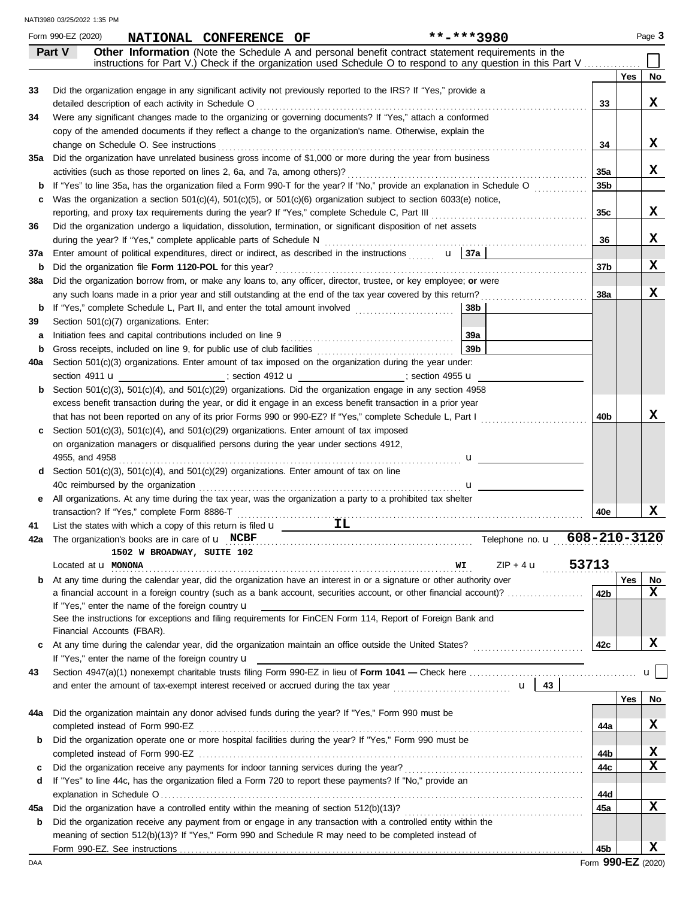All organizations. At any time during the tax year, was the organization a party to a prohibited tax shelter **e 37a** Enter amount of political expenditures, direct or indirect, as described in the instructions ....... **u 37a**  $ZIP + 4$  **u**  $.53713$ 42a The organization's books are in care of  ${\bf u}$  NCBF expreses the contract contract the contract Telephone no.  ${\bf u}$  = 608-210-3120 **40a** Section 501(c)(3) organizations. Enter amount of tax imposed on the organization during the year under: **b** Section 501(c)(3), 501(c)(4), and 501(c)(29) organizations. Did the organization engage in any section 4958 **d** Section 501(c)(3), 501(c)(4), and 501(c)(29) organizations. Enter amount of tax on line section 4911 **u** is ection 4912 **u** is section 4955 **u** is section 4955 **u** on organization managers or disqualified persons during the year under sections 4912, excess benefit transaction during the year, or did it engage in an excess benefit transaction in a prior year u 4955, and 4958 . . . . . . . . . . . . . . . . . . . . . . . . . . . . . . . . . . . . . . . . . . . . . . . . . . . . . . . . . . . . . . . . . . . . . . . . . . . . . . . . . . . . . . . . . . u **c** Section 501(c)(3), 501(c)(4), and 501(c)(29) organizations. Enter amount of tax imposed **40b 40e** transaction? If "Yes," complete Form 8886-T **42b Yes No c 42c** At any time during the calendar year, did the organization maintain an office outside the United States? . . . . . . . . . . . . . . . . . . . . . . . . . . . . . If "Yes," enter the name of the foreign country  $\mathbf u$ See the instructions for exceptions and filing requirements for FinCEN Form 114, Report of Foreign Bank and If "Yes," enter the name of the foreign country  $\mathbf u$ a financial account in a foreign country (such as a bank account, securities account, or other financial account)? . . . . . . . . . . . . . . . . . . . . **b** At any time during the calendar year, did the organization have an interest in or a signature or other authority over Page 3 **41 43 43** and enter the amount of tax-exempt interest received or accrued during the tax year . . . . . . . . . . . . . . . . . . . . . . . . . . . . . . . u List the states with which a copy of this return is filed  $\mathbf{u}$  \_\_\_\_\_\_\_\_\_\_\_\_\_\_  $\frac{1}{2}$  Monometers at **u** Monometers and Monometers and Monometers and Monometers and Monometers and Monometers and Monometers and Monometers and Monometers and Monometers and Monometers and Monometers and Monometers an Section 4947(a)(1) nonexempt charitable trusts filing Form 990-EZ in lieu of **Form 1041 —** Check here . . . . . . . . . . . . . . . . . . . . . . . . . . . . . . . . . . . . . . . . . . . . u **Part V Other Information** (Note the Schedule A and personal benefit contract statement requirements in the **Yes No 33 34 35a** Did the organization have unrelated business gross income of \$1,000 or more during the year from business **b 36 b** Did the organization file **Form 1120-POL** for this year? . . . . . . . . . . . . . . . . . . . . . . . . . . . . . . . . . . . . . . . . . . . . . . . . . . . . . . . . . . . . . . . . . . . . . . . . . . . . . . . . . . **38a b 38b** If "Yes," complete Schedule L, Part II, and enter the total amount involved . . . . . . . . . . . . . . . . . . . . . . . . . . **39 39a b 39b** Gross receipts, included on line 9, for public use of club facilities . . . . . . . . . . . . . . . . . . . . . . . . . . . . . . . . . . . . If "Yes" to line 35a, has the organization filed a Form 990-T for the year? If "No," provide an explanation in Schedule O Section 501(c)(7) organizations. Enter: Did the organization engage in any significant activity not previously reported to the IRS? If "Yes," provide a detailed description of each activity in Schedule O Martham Martha and Martha Martha Martha Martha Martha Mart Were any significant changes made to the organizing or governing documents? If "Yes," attach a conformed Did the organization undergo a liquidation, dissolution, termination, or significant disposition of net assets Did the organization borrow from, or make any loans to, any officer, director, trustee, or key employee; **or** were any such loans made in a prior year and still outstanding at the end of the tax year covered by this return? **33** copy of the amended documents if they reflect a change to the organization's name. Otherwise, explain the **34** Was the organization a section 501(c)(4), 501(c)(5), or 501(c)(6) organization subject to section 6033(e) notice, **35a 35b** activities (such as those reported on lines 2, 6a, and 7a, among others)? . . . . . . . . . . . . . . . . . . . . . . . . . . . . . . . . . . . . . . . . . . . . . . . . . . . . . . . . . . . . . . . during the year? If "Yes," complete applicable parts of Schedule N . . . . . . . . . . . . . . . . . . . . . . . . . . . . . . . . . . . . . . . . . . . . . . . . . . . . . . . . . . . . . . . . . . . . . **36 37b 38a a** Initiation fees and capital contributions included on line 9 . . . . . . . . . . . . . . . . . . . . . . . . . . . . . . . . . . . . . . . . . . . . that has not been reported on any of its prior Forms 990 or 990-EZ? If "Yes," complete Schedule L, Part I www.www.www. completed instead of Form 990-EZ . . . . . . . . . . . . . . . . . . . . . . . . . . . . . . . . . . . . . . . . . . . . . . . . . . . . . . . . . . . . . . . . . . . . . . . . . . . . . . . . . . . . . . . . . . . . . . . . . . . . . **44a** Did the organization maintain any donor advised funds during the year? If "Yes," Form 990 must be **b** Did the organization operate one or more hospital facilities during the year? If "Yes," Form 990 must be completed instead of Form 990-EZ . . . . . . . . . . . . . . . . . . . . . . . . . . . . . . . . . . . . . . . . . . . . . . . . . . . . . . . . . . . . . . . . . . . . . . . . . . . . . . . . . . . . . . . . . . . . . . . . . . . . . **Yes No 44a 44b** 40c reimbursed by the organization . . . . . . . . . . . . . . . . . . . . . . . . . . . . . . . . . . . . . . . . . . . . . . . . . . . . . . . . . . . . . . . . . . . . . instructions for Part V.) Check if the organization used Schedule O to respond to any question in this Part V ....... change on Schedule O. See instructions . . . . . . . . . . . . . . . . . . . . . . . . . . . . . . . . . . . . . . . . . . . . . . . . . . . . . . . . . . . . . . . . . . . . . . . . . . . . . . . . . . . . . . . . . . . . . . . . . **44c 44d** Did the organization receive any payments for indoor tanning services during the year? . . . . . . . . . . . . . . . . . . . . . . . . . . . . . . . . . . . . . . . . . . . . . . . If "Yes" to line 44c, has the organization filed a Form 720 to report these payments? If "No," provide an **d** explanation in Schedule O . . . . . . . . . . . . . . . . . . . . . . . . . . . . . . . . . . . . . . . . . . . . . . . . . . . . . . . . . . . . . . . . . . . . . . . . . . . . . . . . . . . . . . . . . . . . . . . . . . . . . . . . . . . . . . . **c c** reporting, and proxy tax requirements during the year? If "Yes," complete Schedule C, Part III **35c** . . . . . . . . . . . . . . . . . . . . . . . . . . . . . . . . . . . . . . . . . **b 45b** meaning of section 512(b)(13)? If "Yes," Form 990 and Schedule R may need to be completed instead of **45a** Did the organization have a controlled entity within the meaning of section 512(b)(13)? . . . . . . . . . . . . . . . . . . . . . . . . . . . . . . . . . . . . . . . . . . . . . . . Did the organization receive any payment from or engage in any transaction with a controlled entity within the **45a** Form 990-EZ. See instructions Financial Accounts (FBAR). Form 990-EZ (2020) **NATIONAL CONFERENCE OF \*\*-\*\*\*3980 X X X X X X X X X 1502 W BROADWAY, SUITE 102 X X X X X X X**

Form **990-EZ** (2020)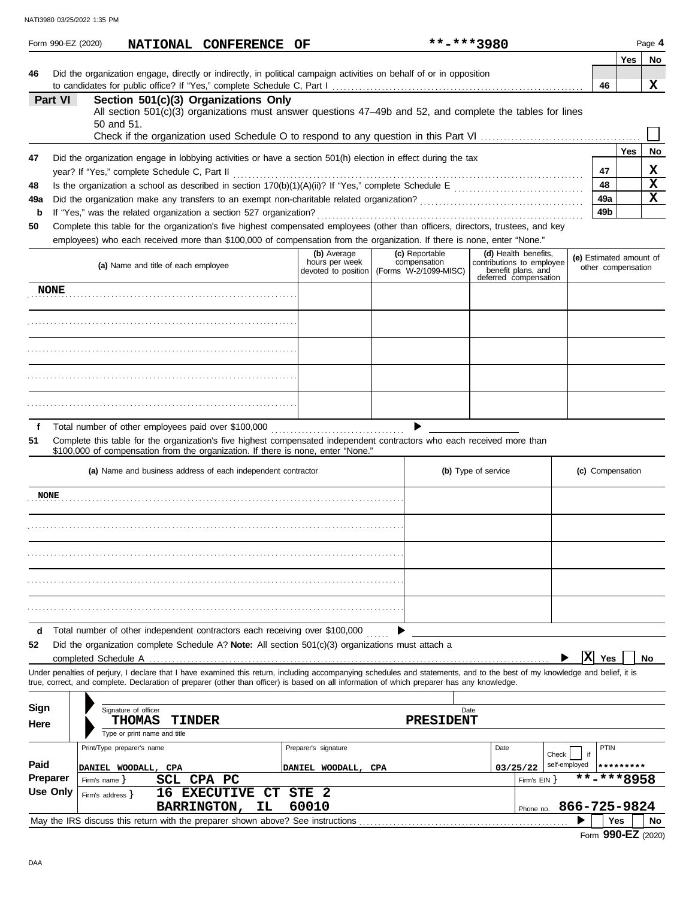|                         | Form 990-EZ (2020)                                                                                                                                                                                     |                                         |                                                            | NATIONAL CONFERENCE OF                                                                                                                                                                                                                                                                                                   |                                       |  | **-***3980                            |                     |                                                                          |               |             |                         | Page 4                     |
|-------------------------|--------------------------------------------------------------------------------------------------------------------------------------------------------------------------------------------------------|-----------------------------------------|------------------------------------------------------------|--------------------------------------------------------------------------------------------------------------------------------------------------------------------------------------------------------------------------------------------------------------------------------------------------------------------------|---------------------------------------|--|---------------------------------------|---------------------|--------------------------------------------------------------------------|---------------|-------------|-------------------------|----------------------------|
|                         |                                                                                                                                                                                                        |                                         |                                                            |                                                                                                                                                                                                                                                                                                                          |                                       |  |                                       |                     |                                                                          |               |             | Yes                     | No.                        |
| 46                      |                                                                                                                                                                                                        |                                         |                                                            | Did the organization engage, directly or indirectly, in political campaign activities on behalf of or in opposition                                                                                                                                                                                                      |                                       |  |                                       |                     |                                                                          |               | 46          |                         | x                          |
|                         | Part VI                                                                                                                                                                                                |                                         |                                                            | Section 501(c)(3) Organizations Only                                                                                                                                                                                                                                                                                     |                                       |  |                                       |                     |                                                                          |               |             |                         |                            |
|                         |                                                                                                                                                                                                        |                                         |                                                            | All section 501(c)(3) organizations must answer questions 47-49b and 52, and complete the tables for lines                                                                                                                                                                                                               |                                       |  |                                       |                     |                                                                          |               |             |                         |                            |
|                         |                                                                                                                                                                                                        | 50 and 51.                              |                                                            |                                                                                                                                                                                                                                                                                                                          |                                       |  |                                       |                     |                                                                          |               |             |                         |                            |
|                         |                                                                                                                                                                                                        |                                         |                                                            |                                                                                                                                                                                                                                                                                                                          |                                       |  |                                       |                     |                                                                          |               |             |                         |                            |
| 47                      |                                                                                                                                                                                                        |                                         |                                                            | Did the organization engage in lobbying activities or have a section 501(h) election in effect during the tax                                                                                                                                                                                                            |                                       |  |                                       |                     |                                                                          |               |             | <b>Yes</b>              | No                         |
|                         |                                                                                                                                                                                                        |                                         | year? If "Yes," complete Schedule C, Part II               |                                                                                                                                                                                                                                                                                                                          |                                       |  |                                       |                     |                                                                          |               | 47          |                         | X                          |
| 48                      |                                                                                                                                                                                                        |                                         |                                                            |                                                                                                                                                                                                                                                                                                                          |                                       |  |                                       |                     |                                                                          |               | 48          |                         | $\mathbf x$<br>$\mathbf x$ |
| 49a                     |                                                                                                                                                                                                        |                                         |                                                            |                                                                                                                                                                                                                                                                                                                          |                                       |  |                                       |                     |                                                                          |               | 49a<br>49b  |                         |                            |
| b<br>50                 | If "Yes," was the related organization a section 527 organization?<br>Complete this table for the organization's five highest compensated employees (other than officers, directors, trustees, and key |                                         |                                                            |                                                                                                                                                                                                                                                                                                                          |                                       |  |                                       |                     |                                                                          |               |             |                         |                            |
|                         |                                                                                                                                                                                                        |                                         |                                                            | employees) who each received more than \$100,000 of compensation from the organization. If there is none, enter "None."                                                                                                                                                                                                  |                                       |  |                                       |                     |                                                                          |               |             |                         |                            |
|                         |                                                                                                                                                                                                        |                                         |                                                            |                                                                                                                                                                                                                                                                                                                          | (b) Average                           |  | (c) Reportable                        |                     | (d) Health benefits,                                                     |               |             | (e) Estimated amount of |                            |
|                         |                                                                                                                                                                                                        |                                         | (a) Name and title of each employee                        |                                                                                                                                                                                                                                                                                                                          | hours per week<br>devoted to position |  | compensation<br>(Forms W-2/1099-MISC) |                     | contributions to employee<br>benefit plans, and<br>deferred compensation |               |             | other compensation      |                            |
|                         | <b>NONE</b>                                                                                                                                                                                            |                                         |                                                            |                                                                                                                                                                                                                                                                                                                          |                                       |  |                                       |                     |                                                                          |               |             |                         |                            |
|                         |                                                                                                                                                                                                        |                                         |                                                            |                                                                                                                                                                                                                                                                                                                          |                                       |  |                                       |                     |                                                                          |               |             |                         |                            |
|                         |                                                                                                                                                                                                        |                                         |                                                            |                                                                                                                                                                                                                                                                                                                          |                                       |  |                                       |                     |                                                                          |               |             |                         |                            |
|                         |                                                                                                                                                                                                        |                                         |                                                            |                                                                                                                                                                                                                                                                                                                          |                                       |  |                                       |                     |                                                                          |               |             |                         |                            |
|                         |                                                                                                                                                                                                        |                                         |                                                            |                                                                                                                                                                                                                                                                                                                          |                                       |  |                                       |                     |                                                                          |               |             |                         |                            |
| f                       |                                                                                                                                                                                                        |                                         |                                                            | Total number of other employees paid over \$100,000                                                                                                                                                                                                                                                                      |                                       |  |                                       |                     |                                                                          |               |             |                         |                            |
| 51                      |                                                                                                                                                                                                        |                                         |                                                            | Complete this table for the organization's five highest compensated independent contractors who each received more than<br>\$100,000 of compensation from the organization. If there is none, enter "None."                                                                                                              |                                       |  |                                       |                     |                                                                          |               |             |                         |                            |
|                         |                                                                                                                                                                                                        |                                         |                                                            | (a) Name and business address of each independent contractor                                                                                                                                                                                                                                                             |                                       |  |                                       | (b) Type of service |                                                                          |               |             | (c) Compensation        |                            |
| <b>NONE</b>             |                                                                                                                                                                                                        |                                         |                                                            |                                                                                                                                                                                                                                                                                                                          |                                       |  |                                       |                     |                                                                          |               |             |                         |                            |
|                         |                                                                                                                                                                                                        |                                         |                                                            |                                                                                                                                                                                                                                                                                                                          |                                       |  |                                       |                     |                                                                          |               |             |                         |                            |
|                         |                                                                                                                                                                                                        |                                         |                                                            |                                                                                                                                                                                                                                                                                                                          |                                       |  |                                       |                     |                                                                          |               |             |                         |                            |
|                         |                                                                                                                                                                                                        |                                         |                                                            |                                                                                                                                                                                                                                                                                                                          |                                       |  |                                       |                     |                                                                          |               |             |                         |                            |
|                         |                                                                                                                                                                                                        |                                         |                                                            |                                                                                                                                                                                                                                                                                                                          |                                       |  |                                       |                     |                                                                          |               |             |                         |                            |
| d<br>52                 |                                                                                                                                                                                                        |                                         |                                                            | Total number of other independent contractors each receiving over \$100,000<br>Did the organization complete Schedule A? Note: All section $501(c)(3)$ organizations must attach a                                                                                                                                       |                                       |  |                                       |                     |                                                                          |               |             |                         |                            |
|                         |                                                                                                                                                                                                        |                                         |                                                            | Under penalties of perjury, I declare that I have examined this return, including accompanying schedules and statements, and to the best of my knowledge and belief, it is<br>true, correct, and complete. Declaration of preparer (other than officer) is based on all information of which preparer has any knowledge. |                                       |  |                                       |                     |                                                                          | x             | Yes         |                         | No                         |
|                         |                                                                                                                                                                                                        |                                         |                                                            |                                                                                                                                                                                                                                                                                                                          |                                       |  |                                       |                     |                                                                          |               |             |                         |                            |
| Sign<br>Here            |                                                                                                                                                                                                        |                                         | Signature of officer<br>THOMAS<br><b>TINDER</b>            |                                                                                                                                                                                                                                                                                                                          |                                       |  | PRESIDENT                             | Date                |                                                                          |               |             |                         |                            |
|                         |                                                                                                                                                                                                        |                                         | Type or print name and title<br>Print/Type preparer's name |                                                                                                                                                                                                                                                                                                                          | Preparer's signature                  |  |                                       | Date                |                                                                          |               | <b>PTIN</b> |                         |                            |
|                         |                                                                                                                                                                                                        |                                         |                                                            |                                                                                                                                                                                                                                                                                                                          |                                       |  |                                       |                     | Check                                                                    |               |             |                         |                            |
| Paid<br><b>Preparer</b> |                                                                                                                                                                                                        |                                         | DANIEL WOODALL, CPA                                        |                                                                                                                                                                                                                                                                                                                          | DANIEL WOODALL, CPA                   |  |                                       |                     | 03/25/22                                                                 | self-employed |             |                         |                            |
|                         | Use Only                                                                                                                                                                                               | Firm's name $\}$<br>Firm's address $\}$ |                                                            | SCL CPA PC<br>16 EXECUTIVE<br>CT                                                                                                                                                                                                                                                                                         | STE <sub>2</sub>                      |  |                                       |                     | Firm's $EIN$ }                                                           |               |             | ***8958                 |                            |
|                         |                                                                                                                                                                                                        |                                         |                                                            | <b>BARRINGTON,</b><br>ΙL                                                                                                                                                                                                                                                                                                 | 60010                                 |  |                                       |                     | Phone no.                                                                | 866-725-9824  |             |                         |                            |
|                         |                                                                                                                                                                                                        |                                         |                                                            | May the IRS discuss this return with the preparer shown above? See instructions                                                                                                                                                                                                                                          |                                       |  |                                       |                     |                                                                          |               |             | Yes                     | No.                        |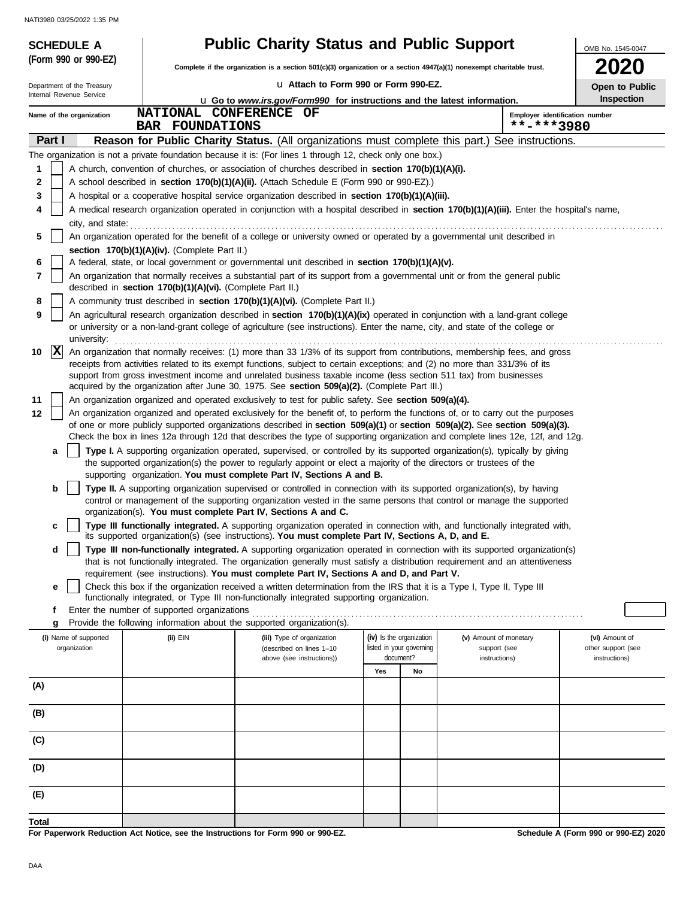| <b>SCHEDULE A</b>                                                                                       |                                                                                                                                                                                                                                                      | <b>Public Charity Status and Public Support</b>                                                                                                                                                                                                                |                                                      |    |                                        | OMB No. 1545-0047                    |  |  |
|---------------------------------------------------------------------------------------------------------|------------------------------------------------------------------------------------------------------------------------------------------------------------------------------------------------------------------------------------------------------|----------------------------------------------------------------------------------------------------------------------------------------------------------------------------------------------------------------------------------------------------------------|------------------------------------------------------|----|----------------------------------------|--------------------------------------|--|--|
| (Form 990 or 990-EZ)                                                                                    |                                                                                                                                                                                                                                                      | Complete if the organization is a section $501(c)(3)$ organization or a section $4947(a)(1)$ nonexempt charitable trust.                                                                                                                                       |                                                      |    |                                        | 2020                                 |  |  |
| Department of the Treasury                                                                              |                                                                                                                                                                                                                                                      | La Attach to Form 990 or Form 990-EZ.                                                                                                                                                                                                                          |                                                      |    |                                        | Open to Public                       |  |  |
| Internal Revenue Service                                                                                |                                                                                                                                                                                                                                                      | <b>u</b> Go to <i>www.irs.gov/Form990</i> for instructions and the latest information.                                                                                                                                                                         |                                                      |    |                                        | Inspection                           |  |  |
| Name of the organization                                                                                | NATIONAL CONFERENCE OF<br><b>BAR FOUNDATIONS</b>                                                                                                                                                                                                     |                                                                                                                                                                                                                                                                |                                                      |    | **-***3980                             | Employer identification number       |  |  |
| Part I                                                                                                  |                                                                                                                                                                                                                                                      | Reason for Public Charity Status. (All organizations must complete this part.) See instructions.                                                                                                                                                               |                                                      |    |                                        |                                      |  |  |
|                                                                                                         |                                                                                                                                                                                                                                                      | The organization is not a private foundation because it is: (For lines 1 through 12, check only one box.)                                                                                                                                                      |                                                      |    |                                        |                                      |  |  |
| A church, convention of churches, or association of churches described in section 170(b)(1)(A)(i).<br>1 |                                                                                                                                                                                                                                                      |                                                                                                                                                                                                                                                                |                                                      |    |                                        |                                      |  |  |
| $\mathbf 2$                                                                                             |                                                                                                                                                                                                                                                      | A school described in section 170(b)(1)(A)(ii). (Attach Schedule E (Form 990 or 990-EZ).)                                                                                                                                                                      |                                                      |    |                                        |                                      |  |  |
|                                                                                                         | 3<br>A hospital or a cooperative hospital service organization described in section 170(b)(1)(A)(iii).<br>A medical research organization operated in conjunction with a hospital described in section 170(b)(1)(A)(iii). Enter the hospital's name, |                                                                                                                                                                                                                                                                |                                                      |    |                                        |                                      |  |  |
| 4<br>city, and state:                                                                                   |                                                                                                                                                                                                                                                      |                                                                                                                                                                                                                                                                |                                                      |    |                                        |                                      |  |  |
| 5                                                                                                       |                                                                                                                                                                                                                                                      | An organization operated for the benefit of a college or university owned or operated by a governmental unit described in                                                                                                                                      |                                                      |    |                                        |                                      |  |  |
|                                                                                                         | section 170(b)(1)(A)(iv). (Complete Part II.)                                                                                                                                                                                                        |                                                                                                                                                                                                                                                                |                                                      |    |                                        |                                      |  |  |
| 6                                                                                                       |                                                                                                                                                                                                                                                      | A federal, state, or local government or governmental unit described in section 170(b)(1)(A)(v).                                                                                                                                                               |                                                      |    |                                        |                                      |  |  |
| 7                                                                                                       |                                                                                                                                                                                                                                                      | An organization that normally receives a substantial part of its support from a governmental unit or from the general public                                                                                                                                   |                                                      |    |                                        |                                      |  |  |
| 8                                                                                                       | described in section 170(b)(1)(A)(vi). (Complete Part II.)                                                                                                                                                                                           | A community trust described in section 170(b)(1)(A)(vi). (Complete Part II.)                                                                                                                                                                                   |                                                      |    |                                        |                                      |  |  |
| 9                                                                                                       |                                                                                                                                                                                                                                                      | An agricultural research organization described in section 170(b)(1)(A)(ix) operated in conjunction with a land-grant college                                                                                                                                  |                                                      |    |                                        |                                      |  |  |
| university:                                                                                             |                                                                                                                                                                                                                                                      | or university or a non-land-grant college of agriculture (see instructions). Enter the name, city, and state of the college or                                                                                                                                 |                                                      |    |                                        |                                      |  |  |
| X<br>10                                                                                                 |                                                                                                                                                                                                                                                      | An organization that normally receives: (1) more than 33 1/3% of its support from contributions, membership fees, and gross                                                                                                                                    |                                                      |    |                                        |                                      |  |  |
|                                                                                                         |                                                                                                                                                                                                                                                      | receipts from activities related to its exempt functions, subject to certain exceptions; and (2) no more than 331/3% of its                                                                                                                                    |                                                      |    |                                        |                                      |  |  |
|                                                                                                         |                                                                                                                                                                                                                                                      | support from gross investment income and unrelated business taxable income (less section 511 tax) from businesses<br>acquired by the organization after June 30, 1975. See section 509(a)(2). (Complete Part III.)                                             |                                                      |    |                                        |                                      |  |  |
| 11                                                                                                      |                                                                                                                                                                                                                                                      | An organization organized and operated exclusively to test for public safety. See section 509(a)(4).                                                                                                                                                           |                                                      |    |                                        |                                      |  |  |
| 12                                                                                                      |                                                                                                                                                                                                                                                      | An organization organized and operated exclusively for the benefit of, to perform the functions of, or to carry out the purposes                                                                                                                               |                                                      |    |                                        |                                      |  |  |
|                                                                                                         |                                                                                                                                                                                                                                                      | of one or more publicly supported organizations described in section 509(a)(1) or section 509(a)(2). See section 509(a)(3).                                                                                                                                    |                                                      |    |                                        |                                      |  |  |
| a                                                                                                       |                                                                                                                                                                                                                                                      | Check the box in lines 12a through 12d that describes the type of supporting organization and complete lines 12e, 12f, and 12g.<br>Type I. A supporting organization operated, supervised, or controlled by its supported organization(s), typically by giving |                                                      |    |                                        |                                      |  |  |
|                                                                                                         |                                                                                                                                                                                                                                                      | the supported organization(s) the power to regularly appoint or elect a majority of the directors or trustees of the<br>supporting organization. You must complete Part IV, Sections A and B.                                                                  |                                                      |    |                                        |                                      |  |  |
| b                                                                                                       |                                                                                                                                                                                                                                                      | Type II. A supporting organization supervised or controlled in connection with its supported organization(s), by having                                                                                                                                        |                                                      |    |                                        |                                      |  |  |
|                                                                                                         |                                                                                                                                                                                                                                                      | control or management of the supporting organization vested in the same persons that control or manage the supported                                                                                                                                           |                                                      |    |                                        |                                      |  |  |
| c                                                                                                       |                                                                                                                                                                                                                                                      | organization(s). You must complete Part IV, Sections A and C.<br>Type III functionally integrated. A supporting organization operated in connection with, and functionally integrated with,                                                                    |                                                      |    |                                        |                                      |  |  |
|                                                                                                         |                                                                                                                                                                                                                                                      | its supported organization(s) (see instructions). You must complete Part IV, Sections A, D, and E.                                                                                                                                                             |                                                      |    |                                        |                                      |  |  |
| d                                                                                                       |                                                                                                                                                                                                                                                      | Type III non-functionally integrated. A supporting organization operated in connection with its supported organization(s)                                                                                                                                      |                                                      |    |                                        |                                      |  |  |
|                                                                                                         |                                                                                                                                                                                                                                                      | that is not functionally integrated. The organization generally must satisfy a distribution requirement and an attentiveness<br>requirement (see instructions). You must complete Part IV, Sections A and D, and Part V.                                       |                                                      |    |                                        |                                      |  |  |
| е                                                                                                       |                                                                                                                                                                                                                                                      | Check this box if the organization received a written determination from the IRS that it is a Type I, Type II, Type III                                                                                                                                        |                                                      |    |                                        |                                      |  |  |
|                                                                                                         |                                                                                                                                                                                                                                                      | functionally integrated, or Type III non-functionally integrated supporting organization.                                                                                                                                                                      |                                                      |    |                                        |                                      |  |  |
| f                                                                                                       | Enter the number of supported organizations                                                                                                                                                                                                          |                                                                                                                                                                                                                                                                |                                                      |    |                                        |                                      |  |  |
| g                                                                                                       |                                                                                                                                                                                                                                                      | Provide the following information about the supported organization(s).                                                                                                                                                                                         |                                                      |    |                                        |                                      |  |  |
| (i) Name of supported<br>organization                                                                   | (ii) EIN                                                                                                                                                                                                                                             | (iii) Type of organization<br>(described on lines 1-10                                                                                                                                                                                                         | (iv) Is the organization<br>listed in your governing |    | (v) Amount of monetary<br>support (see | (vi) Amount of<br>other support (see |  |  |
|                                                                                                         |                                                                                                                                                                                                                                                      | above (see instructions))                                                                                                                                                                                                                                      | document?                                            |    | instructions)                          | instructions)                        |  |  |
|                                                                                                         |                                                                                                                                                                                                                                                      |                                                                                                                                                                                                                                                                | Yes                                                  | No |                                        |                                      |  |  |
| (A)                                                                                                     |                                                                                                                                                                                                                                                      |                                                                                                                                                                                                                                                                |                                                      |    |                                        |                                      |  |  |
| (B)                                                                                                     |                                                                                                                                                                                                                                                      |                                                                                                                                                                                                                                                                |                                                      |    |                                        |                                      |  |  |
| (C)                                                                                                     |                                                                                                                                                                                                                                                      |                                                                                                                                                                                                                                                                |                                                      |    |                                        |                                      |  |  |
| (D)                                                                                                     |                                                                                                                                                                                                                                                      |                                                                                                                                                                                                                                                                |                                                      |    |                                        |                                      |  |  |
| (E)                                                                                                     |                                                                                                                                                                                                                                                      |                                                                                                                                                                                                                                                                |                                                      |    |                                        |                                      |  |  |
| Total                                                                                                   |                                                                                                                                                                                                                                                      |                                                                                                                                                                                                                                                                |                                                      |    |                                        |                                      |  |  |
|                                                                                                         |                                                                                                                                                                                                                                                      | For Paperwork Reduction Act Notice, see the Instructions for Form 990 or 990-EZ.                                                                                                                                                                               |                                                      |    |                                        | Schedule A (Form 990 or 990-EZ) 2020 |  |  |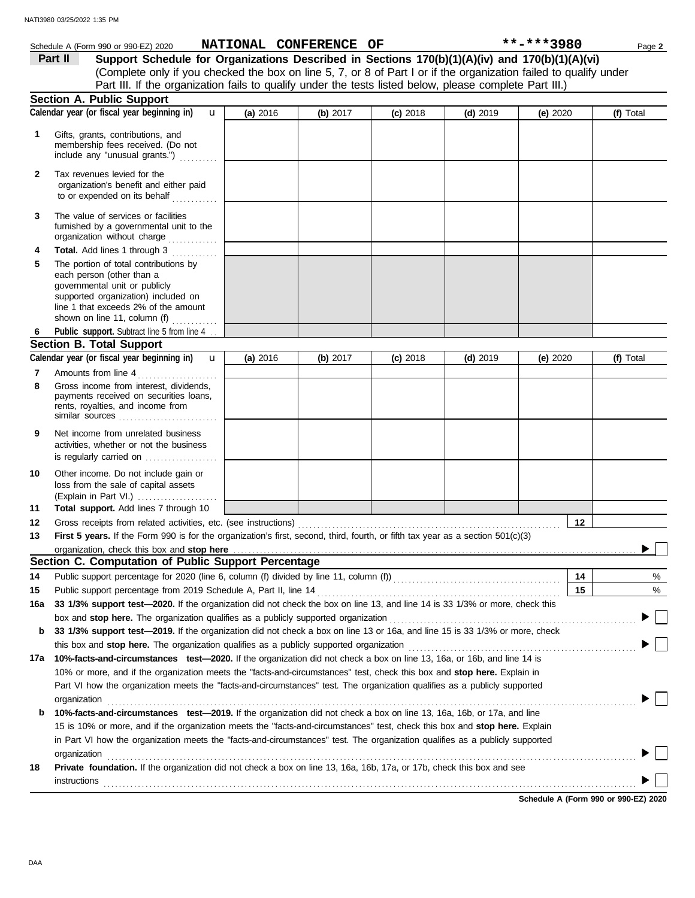|                                                                                                                   | Schedule A (Form 990 or 990-EZ) 2020                                                                                                                                                                                           | NATIONAL CONFERENCE OF |            |            |            | **-***3980 | Page 2    |  |
|-------------------------------------------------------------------------------------------------------------------|--------------------------------------------------------------------------------------------------------------------------------------------------------------------------------------------------------------------------------|------------------------|------------|------------|------------|------------|-----------|--|
|                                                                                                                   | Support Schedule for Organizations Described in Sections 170(b)(1)(A)(iv) and 170(b)(1)(A)(vi)<br>Part II                                                                                                                      |                        |            |            |            |            |           |  |
| (Complete only if you checked the box on line 5, 7, or 8 of Part I or if the organization failed to qualify under |                                                                                                                                                                                                                                |                        |            |            |            |            |           |  |
| Part III. If the organization fails to qualify under the tests listed below, please complete Part III.)           |                                                                                                                                                                                                                                |                        |            |            |            |            |           |  |
|                                                                                                                   | Section A. Public Support                                                                                                                                                                                                      |                        |            |            |            |            |           |  |
|                                                                                                                   | Calendar year (or fiscal year beginning in)<br>$\mathbf{u}$                                                                                                                                                                    | (a) 2016               | (b) $2017$ | $(c)$ 2018 | $(d)$ 2019 | (e) 2020   | (f) Total |  |
| 1                                                                                                                 | Gifts, grants, contributions, and<br>membership fees received. (Do not<br>include any "unusual grants.")                                                                                                                       |                        |            |            |            |            |           |  |
| 2                                                                                                                 | Tax revenues levied for the<br>organization's benefit and either paid<br>to or expended on its behalf                                                                                                                          |                        |            |            |            |            |           |  |
| 3                                                                                                                 | The value of services or facilities<br>furnished by a governmental unit to the<br>organization without charge<br>.                                                                                                             |                        |            |            |            |            |           |  |
| 4                                                                                                                 | Total. Add lines 1 through 3<br>.                                                                                                                                                                                              |                        |            |            |            |            |           |  |
| 5                                                                                                                 | The portion of total contributions by<br>each person (other than a<br>governmental unit or publicly<br>supported organization) included on<br>line 1 that exceeds 2% of the amount<br>shown on line 11, column (f)             |                        |            |            |            |            |           |  |
| 6                                                                                                                 | Public support. Subtract line 5 from line 4.                                                                                                                                                                                   |                        |            |            |            |            |           |  |
|                                                                                                                   | <b>Section B. Total Support</b>                                                                                                                                                                                                |                        |            |            |            |            |           |  |
|                                                                                                                   | Calendar year (or fiscal year beginning in)<br>$\mathbf{u}$                                                                                                                                                                    | (a) 2016               | (b) 2017   | $(c)$ 2018 | $(d)$ 2019 | (e) 2020   | (f) Total |  |
| 7<br>8                                                                                                            | Amounts from line 4<br>Gross income from interest, dividends,<br>payments received on securities loans,<br>rents, royalties, and income from<br>similar sources                                                                |                        |            |            |            |            |           |  |
| 9                                                                                                                 | Net income from unrelated business<br>activities, whether or not the business<br>is regularly carried on $\ldots$ , $\ldots$                                                                                                   |                        |            |            |            |            |           |  |
| 10<br>11                                                                                                          | Other income. Do not include gain or<br>loss from the sale of capital assets<br>(Explain in Part VI.)<br>Total support. Add lines 7 through 10                                                                                 |                        |            |            |            |            |           |  |
| 12                                                                                                                | Gross receipts from related activities, etc. (see instructions)                                                                                                                                                                |                        |            |            |            | 12         |           |  |
| 13                                                                                                                | First 5 years. If the Form 990 is for the organization's first, second, third, fourth, or fifth tax year as a section 501(c)(3)                                                                                                |                        |            |            |            |            |           |  |
|                                                                                                                   | organization, check this box and stop here manufactured and content to the state of the state of the state of the state of the state of the state of the state of the state of the state of the state of the state of the stat |                        |            |            |            |            |           |  |
|                                                                                                                   | Section C. Computation of Public Support Percentage                                                                                                                                                                            |                        |            |            |            |            |           |  |
| 14                                                                                                                | Public support percentage for 2020 (line 6, column (f) divided by line 11, column (f)) [[[[[[[[[[[[[[[[[[[[[[                                                                                                                  |                        |            |            |            | 14         | %         |  |
| 15                                                                                                                | Public support percentage from 2019 Schedule A, Part II, line 14                                                                                                                                                               |                        |            |            |            | 15         | $\%$      |  |
| 16a                                                                                                               | 33 1/3% support test-2020. If the organization did not check the box on line 13, and line 14 is 33 1/3% or more, check this                                                                                                    |                        |            |            |            |            |           |  |
|                                                                                                                   | box and stop here. The organization qualifies as a publicly supported organization                                                                                                                                             |                        |            |            |            |            |           |  |
| b                                                                                                                 | 33 1/3% support test-2019. If the organization did not check a box on line 13 or 16a, and line 15 is 33 1/3% or more, check                                                                                                    |                        |            |            |            |            |           |  |
|                                                                                                                   | this box and stop here. The organization qualifies as a publicly supported organization                                                                                                                                        |                        |            |            |            |            |           |  |
| 17a                                                                                                               | 10%-facts-and-circumstances test-2020. If the organization did not check a box on line 13, 16a, or 16b, and line 14 is                                                                                                         |                        |            |            |            |            |           |  |
|                                                                                                                   | 10% or more, and if the organization meets the "facts-and-circumstances" test, check this box and stop here. Explain in                                                                                                        |                        |            |            |            |            |           |  |
|                                                                                                                   | Part VI how the organization meets the "facts-and-circumstances" test. The organization qualifies as a publicly supported                                                                                                      |                        |            |            |            |            |           |  |
| b                                                                                                                 | organization<br>10%-facts-and-circumstances test-2019. If the organization did not check a box on line 13, 16a, 16b, or 17a, and line                                                                                          |                        |            |            |            |            |           |  |
|                                                                                                                   | 15 is 10% or more, and if the organization meets the "facts-and-circumstances" test, check this box and stop here. Explain                                                                                                     |                        |            |            |            |            |           |  |
|                                                                                                                   | in Part VI how the organization meets the "facts-and-circumstances" test. The organization qualifies as a publicly supported                                                                                                   |                        |            |            |            |            |           |  |
|                                                                                                                   | organization                                                                                                                                                                                                                   |                        |            |            |            |            |           |  |
| 18                                                                                                                | Private foundation. If the organization did not check a box on line 13, 16a, 16b, 17a, or 17b, check this box and see<br>instructions                                                                                          |                        |            |            |            |            |           |  |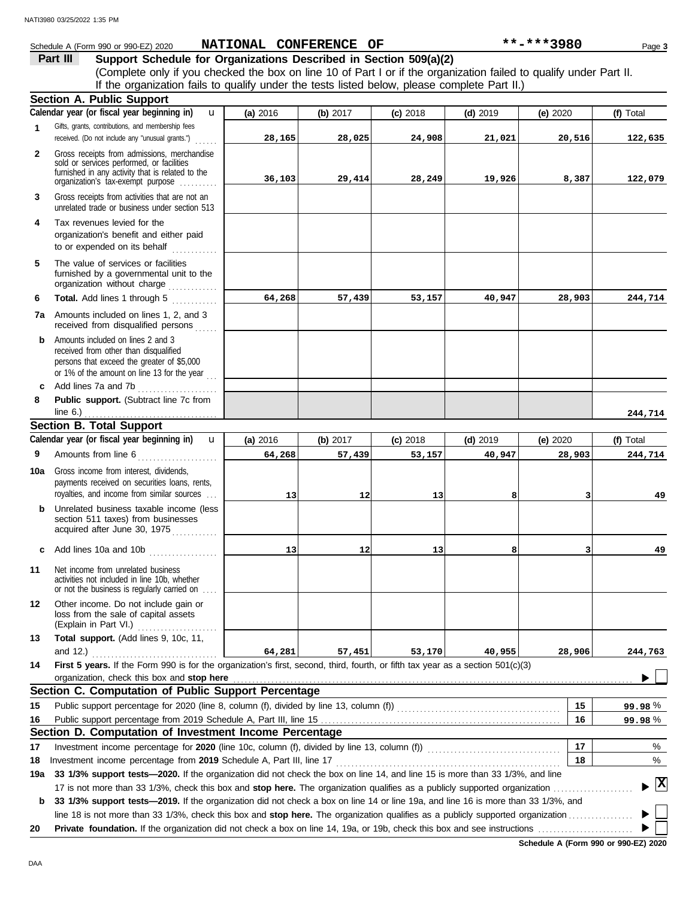### Schedule A (Form 990 or 990-EZ) 2020 Page **3 NATIONAL CONFERENCE OF \*\*-\*\*\*3980**

**Part III** Support Schedule for Organizations Described in Section 509(a)(2) (Complete only if you checked the box on line 10 of Part I or if the organization failed to qualify under Part II. If the organization fails to qualify under the tests listed below, please complete Part II.)

|              | <b>Section A. Public Support</b>                                                                                                                                                 |          |          |            |            |          |              |
|--------------|----------------------------------------------------------------------------------------------------------------------------------------------------------------------------------|----------|----------|------------|------------|----------|--------------|
|              | Calendar year (or fiscal year beginning in)<br>u                                                                                                                                 | (a) 2016 | (b) 2017 | $(c)$ 2018 | (d) $2019$ | (e) 2020 | (f) Total    |
| 1            | Gifts, grants, contributions, and membership fees<br>received. (Do not include any "unusual grants.")                                                                            | 28,165   | 28,025   | 24,908     | 21,021     | 20,516   | 122,635      |
| $\mathbf{2}$ | Gross receipts from admissions, merchandise<br>sold or services performed, or facilities                                                                                         |          |          |            |            |          |              |
|              | furnished in any activity that is related to the<br>organization's tax-exempt purpose                                                                                            | 36,103   | 29,414   | 28,249     | 19,926     | 8,387    | 122,079      |
| 3            | Gross receipts from activities that are not an<br>unrelated trade or business under section 513                                                                                  |          |          |            |            |          |              |
| 4            | Tax revenues levied for the<br>organization's benefit and either paid<br>to or expended on its behalf<br>.                                                                       |          |          |            |            |          |              |
| 5            | The value of services or facilities<br>furnished by a governmental unit to the<br>organization without charge                                                                    |          |          |            |            |          |              |
| 6            | Total. Add lines 1 through 5<br>.                                                                                                                                                | 64,268   | 57,439   | 53,157     | 40,947     | 28,903   | 244,714      |
| 7а           | Amounts included on lines 1, 2, and 3<br>received from disqualified persons<br>.                                                                                                 |          |          |            |            |          |              |
| b            | Amounts included on lines 2 and 3<br>received from other than disqualified<br>persons that exceed the greater of \$5,000<br>or 1% of the amount on line 13 for the year $\ldots$ |          |          |            |            |          |              |
| c            | Add lines 7a and 7b<br>.                                                                                                                                                         |          |          |            |            |          |              |
| 8            | Public support. (Subtract line 7c from<br>line $6.$ )                                                                                                                            |          |          |            |            |          |              |
|              | <b>Section B. Total Support</b>                                                                                                                                                  |          |          |            |            |          | 244,714      |
|              | Calendar year (or fiscal year beginning in)<br>$\mathbf{u}$                                                                                                                      | (a) 2016 | (b) 2017 | $(c)$ 2018 | (d) $2019$ | (e) 2020 | (f) Total    |
| 9            | Amounts from line 6                                                                                                                                                              | 64,268   | 57,439   | 53,157     | 40,947     | 28,903   | 244,714      |
|              | .                                                                                                                                                                                |          |          |            |            |          |              |
| 10a          | Gross income from interest, dividends,<br>payments received on securities loans, rents,<br>royalties, and income from similar sources                                            | 13       | 12       | 13         | 8          | 3        | 49           |
| b            | Unrelated business taxable income (less<br>section 511 taxes) from businesses<br>acquired after June 30, 1975                                                                    |          |          |            |            |          |              |
| c            | Add lines 10a and 10b                                                                                                                                                            | 13       | 12       | 13         | 8          | 3        | 49           |
| 11           | Net income from unrelated business<br>activities not included in line 10b, whether<br>or not the business is regularly carried on                                                |          |          |            |            |          |              |
| 12           | Other income. Do not include gain or<br>loss from the sale of capital assets<br>(Explain in Part VI.)                                                                            |          |          |            |            |          |              |
| 13           | Total support. (Add lines 9, 10c, 11,                                                                                                                                            |          |          |            |            |          |              |
|              | and 12.)                                                                                                                                                                         | 64,281   | 57,451   | 53,170     | 40,955     | 28,906   | 244,763      |
| 14           | First 5 years. If the Form 990 is for the organization's first, second, third, fourth, or fifth tax year as a section 501(c)(3)                                                  |          |          |            |            |          |              |
|              | organization, check this box and stop here                                                                                                                                       |          |          |            |            |          |              |
|              | Section C. Computation of Public Support Percentage                                                                                                                              |          |          |            |            |          |              |
| 15           |                                                                                                                                                                                  |          |          |            |            | 15       | 99.98%       |
| 16           | Public support percentage from 2019 Schedule A, Part III, line 15                                                                                                                |          |          |            |            | 16       | 99.98%       |
|              | Section D. Computation of Investment Income Percentage                                                                                                                           |          |          |            |            |          |              |
| 17           | Investment income percentage for 2020 (line 10c, column (f), divided by line 13, column (f)) [[[[[[[[[[[[[[[[                                                                    |          |          |            |            | 17       | %            |
| 18           | Investment income percentage from 2019 Schedule A, Part III, line 17                                                                                                             |          |          |            |            | 18       | %            |
| 19a          | 33 1/3% support tests-2020. If the organization did not check the box on line 14, and line 15 is more than 33 1/3%, and line                                                     |          |          |            |            |          | $\mathbf{x}$ |
| b            | 33 1/3% support tests-2019. If the organization did not check a box on line 14 or line 19a, and line 16 is more than 33 1/3%, and                                                |          |          |            |            |          |              |
|              |                                                                                                                                                                                  |          |          |            |            |          |              |
| 20           |                                                                                                                                                                                  |          |          |            |            |          |              |
|              |                                                                                                                                                                                  |          |          |            |            |          |              |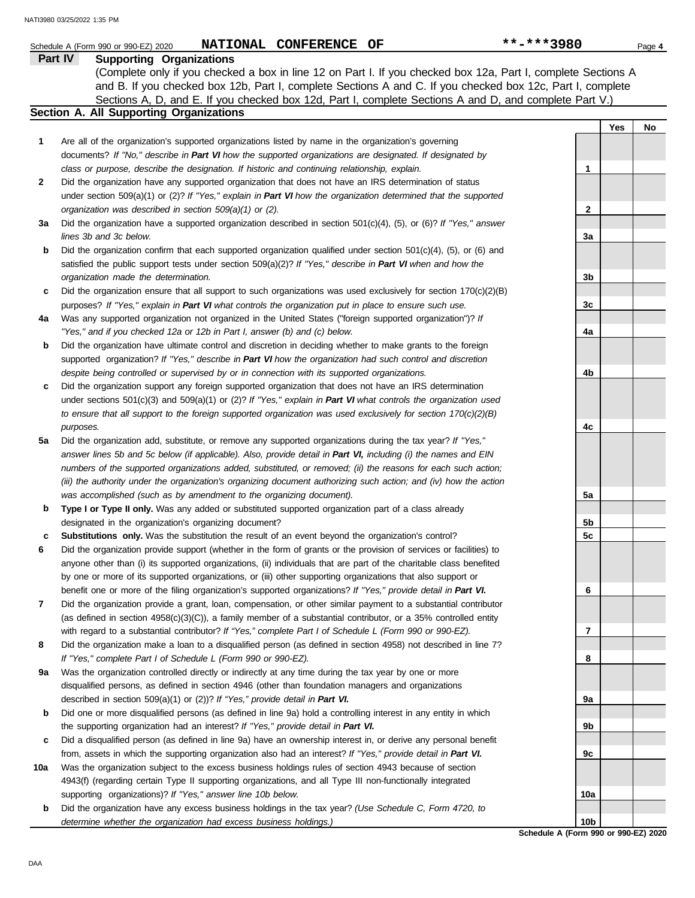| Part IV<br><b>Supporting Organizations</b><br>(Complete only if you checked a box in line 12 on Part I. If you checked box 12a, Part I, complete Sections A<br>and B. If you checked box 12b, Part I, complete Sections A and C. If you checked box 12c, Part I, complete<br>Sections A, D, and E. If you checked box 12d, Part I, complete Sections A and D, and complete Part V.)<br><b>Section A. All Supporting Organizations</b><br>Yes<br>No<br>1<br>Are all of the organization's supported organizations listed by name in the organization's governing<br>documents? If "No," describe in Part VI how the supported organizations are designated. If designated by<br>class or purpose, describe the designation. If historic and continuing relationship, explain.<br>1<br>2<br>Did the organization have any supported organization that does not have an IRS determination of status<br>under section 509(a)(1) or (2)? If "Yes," explain in Part VI how the organization determined that the supported<br>$\mathbf{2}$<br>organization was described in section 509(a)(1) or (2).<br>Did the organization have a supported organization described in section $501(c)(4)$ , (5), or (6)? If "Yes," answer<br>За<br>lines 3b and 3c below.<br>3a<br>Did the organization confirm that each supported organization qualified under section 501(c)(4), (5), or (6) and<br>b<br>satisfied the public support tests under section 509(a)(2)? If "Yes," describe in Part VI when and how the<br>organization made the determination.<br>3b<br>Did the organization ensure that all support to such organizations was used exclusively for section $170(c)(2)(B)$<br>c<br>purposes? If "Yes," explain in Part VI what controls the organization put in place to ensure such use.<br>3c<br>Was any supported organization not organized in the United States ("foreign supported organization")? If<br>4a<br>"Yes," and if you checked 12a or 12b in Part I, answer (b) and (c) below.<br>4a<br>Did the organization have ultimate control and discretion in deciding whether to make grants to the foreign<br>b<br>supported organization? If "Yes," describe in Part VI how the organization had such control and discretion<br>despite being controlled or supervised by or in connection with its supported organizations.<br>4b<br>Did the organization support any foreign supported organization that does not have an IRS determination<br>c<br>under sections $501(c)(3)$ and $509(a)(1)$ or (2)? If "Yes," explain in Part VI what controls the organization used<br>to ensure that all support to the foreign supported organization was used exclusively for section $170(c)(2)(B)$<br>4c<br>purposes.<br>Did the organization add, substitute, or remove any supported organizations during the tax year? If "Yes,"<br>5a<br>answer lines 5b and 5c below (if applicable). Also, provide detail in Part VI, including (i) the names and EIN<br>numbers of the supported organizations added, substituted, or removed; (ii) the reasons for each such action;<br>(iii) the authority under the organization's organizing document authorizing such action; and (iv) how the action<br>was accomplished (such as by amendment to the organizing document).<br>5a<br>Type I or Type II only. Was any added or substituted supported organization part of a class already<br>b<br>designated in the organization's organizing document?<br>5b<br>5c<br><b>Substitutions only.</b> Was the substitution the result of an event beyond the organization's control?<br>6<br>Did the organization provide support (whether in the form of grants or the provision of services or facilities) to<br>anyone other than (i) its supported organizations, (ii) individuals that are part of the charitable class benefited<br>by one or more of its supported organizations, or (iii) other supporting organizations that also support or<br>benefit one or more of the filing organization's supported organizations? If "Yes," provide detail in Part VI.<br>6<br>7<br>Did the organization provide a grant, loan, compensation, or other similar payment to a substantial contributor<br>(as defined in section $4958(c)(3)(C)$ ), a family member of a substantial contributor, or a 35% controlled entity<br>7<br>with regard to a substantial contributor? If "Yes," complete Part I of Schedule L (Form 990 or 990-EZ).<br>8<br>Did the organization make a loan to a disqualified person (as defined in section 4958) not described in line 7?<br>8<br>If "Yes," complete Part I of Schedule L (Form 990 or 990-EZ).<br>Was the organization controlled directly or indirectly at any time during the tax year by one or more<br>9а<br>disqualified persons, as defined in section 4946 (other than foundation managers and organizations<br>described in section 509(a)(1) or (2))? If "Yes," provide detail in Part VI.<br>9a<br>Did one or more disqualified persons (as defined in line 9a) hold a controlling interest in any entity in which<br>b<br>the supporting organization had an interest? If "Yes," provide detail in Part VI.<br>9b<br>Did a disqualified person (as defined in line 9a) have an ownership interest in, or derive any personal benefit<br>c<br>from, assets in which the supporting organization also had an interest? If "Yes," provide detail in Part VI.<br>9c<br>Was the organization subject to the excess business holdings rules of section 4943 because of section<br>10a<br>4943(f) (regarding certain Type II supporting organizations, and all Type III non-functionally integrated<br>supporting organizations)? If "Yes," answer line 10b below.<br>10a<br>Did the organization have any excess business holdings in the tax year? (Use Schedule C, Form 4720, to<br>b<br>10 <sub>b</sub><br>determine whether the organization had excess business holdings.) | NATIONAL CONFERENCE OF<br>Schedule A (Form 990 or 990-EZ) 2020 | **-***3980 |  | Page 4 |  |  |  |  |  |
|-------------------------------------------------------------------------------------------------------------------------------------------------------------------------------------------------------------------------------------------------------------------------------------------------------------------------------------------------------------------------------------------------------------------------------------------------------------------------------------------------------------------------------------------------------------------------------------------------------------------------------------------------------------------------------------------------------------------------------------------------------------------------------------------------------------------------------------------------------------------------------------------------------------------------------------------------------------------------------------------------------------------------------------------------------------------------------------------------------------------------------------------------------------------------------------------------------------------------------------------------------------------------------------------------------------------------------------------------------------------------------------------------------------------------------------------------------------------------------------------------------------------------------------------------------------------------------------------------------------------------------------------------------------------------------------------------------------------------------------------------------------------------------------------------------------------------------------------------------------------------------------------------------------------------------------------------------------------------------------------------------------------------------------------------------------------------------------------------------------------------------------------------------------------------------------------------------------------------------------------------------------------------------------------------------------------------------------------------------------------------------------------------------------------------------------------------------------------------------------------------------------------------------------------------------------------------------------------------------------------------------------------------------------------------------------------------------------------------------------------------------------------------------------------------------------------------------------------------------------------------------------------------------------------------------------------------------------------------------------------------------------------------------------------------------------------------------------------------------------------------------------------------------------------------------------------------------------------------------------------------------------------------------------------------------------------------------------------------------------------------------------------------------------------------------------------------------------------------------------------------------------------------------------------------------------------------------------------------------------------------------------------------------------------------------------------------------------------------------------------------------------------------------------------------------------------------------------------------------------------------------------------------------------------------------------------------------------------------------------------------------------------------------------------------------------------------------------------------------------------------------------------------------------------------------------------------------------------------------------------------------------------------------------------------------------------------------------------------------------------------------------------------------------------------------------------------------------------------------------------------------------------------------------------------------------------------------------------------------------------------------------------------------------------------------------------------------------------------------------------------------------------------------------------------------------------------------------------------------------------------------------------------------------------------------------------------------------------------------------------------------------------------------------------------------------------------------------------------------------------------------------------------------------------------------------------------------------------------------------------------------------------------------------------------------------------------------------------------------------------------------------------------------------------------------------------------------------------------------------------------------------------------------------------------------------------------------------------------------------------------------------------------------------------------------------------------------------------------------------------------------------------------------------------------------------------------------------------------------------------------------------------------------------------------|----------------------------------------------------------------|------------|--|--------|--|--|--|--|--|
|                                                                                                                                                                                                                                                                                                                                                                                                                                                                                                                                                                                                                                                                                                                                                                                                                                                                                                                                                                                                                                                                                                                                                                                                                                                                                                                                                                                                                                                                                                                                                                                                                                                                                                                                                                                                                                                                                                                                                                                                                                                                                                                                                                                                                                                                                                                                                                                                                                                                                                                                                                                                                                                                                                                                                                                                                                                                                                                                                                                                                                                                                                                                                                                                                                                                                                                                                                                                                                                                                                                                                                                                                                                                                                                                                                                                                                                                                                                                                                                                                                                                                                                                                                                                                                                                                                                                                                                                                                                                                                                                                                                                                                                                                                                                                                                                                                                                                                                                                                                                                                                                                                                                                                                                                                                                                                                                                                                                                                                                                                                                                                                                                                                                                                                                                                                                                                                                                                                         |                                                                |            |  |        |  |  |  |  |  |
|                                                                                                                                                                                                                                                                                                                                                                                                                                                                                                                                                                                                                                                                                                                                                                                                                                                                                                                                                                                                                                                                                                                                                                                                                                                                                                                                                                                                                                                                                                                                                                                                                                                                                                                                                                                                                                                                                                                                                                                                                                                                                                                                                                                                                                                                                                                                                                                                                                                                                                                                                                                                                                                                                                                                                                                                                                                                                                                                                                                                                                                                                                                                                                                                                                                                                                                                                                                                                                                                                                                                                                                                                                                                                                                                                                                                                                                                                                                                                                                                                                                                                                                                                                                                                                                                                                                                                                                                                                                                                                                                                                                                                                                                                                                                                                                                                                                                                                                                                                                                                                                                                                                                                                                                                                                                                                                                                                                                                                                                                                                                                                                                                                                                                                                                                                                                                                                                                                                         |                                                                |            |  |        |  |  |  |  |  |
|                                                                                                                                                                                                                                                                                                                                                                                                                                                                                                                                                                                                                                                                                                                                                                                                                                                                                                                                                                                                                                                                                                                                                                                                                                                                                                                                                                                                                                                                                                                                                                                                                                                                                                                                                                                                                                                                                                                                                                                                                                                                                                                                                                                                                                                                                                                                                                                                                                                                                                                                                                                                                                                                                                                                                                                                                                                                                                                                                                                                                                                                                                                                                                                                                                                                                                                                                                                                                                                                                                                                                                                                                                                                                                                                                                                                                                                                                                                                                                                                                                                                                                                                                                                                                                                                                                                                                                                                                                                                                                                                                                                                                                                                                                                                                                                                                                                                                                                                                                                                                                                                                                                                                                                                                                                                                                                                                                                                                                                                                                                                                                                                                                                                                                                                                                                                                                                                                                                         |                                                                |            |  |        |  |  |  |  |  |
|                                                                                                                                                                                                                                                                                                                                                                                                                                                                                                                                                                                                                                                                                                                                                                                                                                                                                                                                                                                                                                                                                                                                                                                                                                                                                                                                                                                                                                                                                                                                                                                                                                                                                                                                                                                                                                                                                                                                                                                                                                                                                                                                                                                                                                                                                                                                                                                                                                                                                                                                                                                                                                                                                                                                                                                                                                                                                                                                                                                                                                                                                                                                                                                                                                                                                                                                                                                                                                                                                                                                                                                                                                                                                                                                                                                                                                                                                                                                                                                                                                                                                                                                                                                                                                                                                                                                                                                                                                                                                                                                                                                                                                                                                                                                                                                                                                                                                                                                                                                                                                                                                                                                                                                                                                                                                                                                                                                                                                                                                                                                                                                                                                                                                                                                                                                                                                                                                                                         |                                                                |            |  |        |  |  |  |  |  |
|                                                                                                                                                                                                                                                                                                                                                                                                                                                                                                                                                                                                                                                                                                                                                                                                                                                                                                                                                                                                                                                                                                                                                                                                                                                                                                                                                                                                                                                                                                                                                                                                                                                                                                                                                                                                                                                                                                                                                                                                                                                                                                                                                                                                                                                                                                                                                                                                                                                                                                                                                                                                                                                                                                                                                                                                                                                                                                                                                                                                                                                                                                                                                                                                                                                                                                                                                                                                                                                                                                                                                                                                                                                                                                                                                                                                                                                                                                                                                                                                                                                                                                                                                                                                                                                                                                                                                                                                                                                                                                                                                                                                                                                                                                                                                                                                                                                                                                                                                                                                                                                                                                                                                                                                                                                                                                                                                                                                                                                                                                                                                                                                                                                                                                                                                                                                                                                                                                                         |                                                                |            |  |        |  |  |  |  |  |
|                                                                                                                                                                                                                                                                                                                                                                                                                                                                                                                                                                                                                                                                                                                                                                                                                                                                                                                                                                                                                                                                                                                                                                                                                                                                                                                                                                                                                                                                                                                                                                                                                                                                                                                                                                                                                                                                                                                                                                                                                                                                                                                                                                                                                                                                                                                                                                                                                                                                                                                                                                                                                                                                                                                                                                                                                                                                                                                                                                                                                                                                                                                                                                                                                                                                                                                                                                                                                                                                                                                                                                                                                                                                                                                                                                                                                                                                                                                                                                                                                                                                                                                                                                                                                                                                                                                                                                                                                                                                                                                                                                                                                                                                                                                                                                                                                                                                                                                                                                                                                                                                                                                                                                                                                                                                                                                                                                                                                                                                                                                                                                                                                                                                                                                                                                                                                                                                                                                         |                                                                |            |  |        |  |  |  |  |  |
|                                                                                                                                                                                                                                                                                                                                                                                                                                                                                                                                                                                                                                                                                                                                                                                                                                                                                                                                                                                                                                                                                                                                                                                                                                                                                                                                                                                                                                                                                                                                                                                                                                                                                                                                                                                                                                                                                                                                                                                                                                                                                                                                                                                                                                                                                                                                                                                                                                                                                                                                                                                                                                                                                                                                                                                                                                                                                                                                                                                                                                                                                                                                                                                                                                                                                                                                                                                                                                                                                                                                                                                                                                                                                                                                                                                                                                                                                                                                                                                                                                                                                                                                                                                                                                                                                                                                                                                                                                                                                                                                                                                                                                                                                                                                                                                                                                                                                                                                                                                                                                                                                                                                                                                                                                                                                                                                                                                                                                                                                                                                                                                                                                                                                                                                                                                                                                                                                                                         |                                                                |            |  |        |  |  |  |  |  |
|                                                                                                                                                                                                                                                                                                                                                                                                                                                                                                                                                                                                                                                                                                                                                                                                                                                                                                                                                                                                                                                                                                                                                                                                                                                                                                                                                                                                                                                                                                                                                                                                                                                                                                                                                                                                                                                                                                                                                                                                                                                                                                                                                                                                                                                                                                                                                                                                                                                                                                                                                                                                                                                                                                                                                                                                                                                                                                                                                                                                                                                                                                                                                                                                                                                                                                                                                                                                                                                                                                                                                                                                                                                                                                                                                                                                                                                                                                                                                                                                                                                                                                                                                                                                                                                                                                                                                                                                                                                                                                                                                                                                                                                                                                                                                                                                                                                                                                                                                                                                                                                                                                                                                                                                                                                                                                                                                                                                                                                                                                                                                                                                                                                                                                                                                                                                                                                                                                                         |                                                                |            |  |        |  |  |  |  |  |
|                                                                                                                                                                                                                                                                                                                                                                                                                                                                                                                                                                                                                                                                                                                                                                                                                                                                                                                                                                                                                                                                                                                                                                                                                                                                                                                                                                                                                                                                                                                                                                                                                                                                                                                                                                                                                                                                                                                                                                                                                                                                                                                                                                                                                                                                                                                                                                                                                                                                                                                                                                                                                                                                                                                                                                                                                                                                                                                                                                                                                                                                                                                                                                                                                                                                                                                                                                                                                                                                                                                                                                                                                                                                                                                                                                                                                                                                                                                                                                                                                                                                                                                                                                                                                                                                                                                                                                                                                                                                                                                                                                                                                                                                                                                                                                                                                                                                                                                                                                                                                                                                                                                                                                                                                                                                                                                                                                                                                                                                                                                                                                                                                                                                                                                                                                                                                                                                                                                         |                                                                |            |  |        |  |  |  |  |  |
|                                                                                                                                                                                                                                                                                                                                                                                                                                                                                                                                                                                                                                                                                                                                                                                                                                                                                                                                                                                                                                                                                                                                                                                                                                                                                                                                                                                                                                                                                                                                                                                                                                                                                                                                                                                                                                                                                                                                                                                                                                                                                                                                                                                                                                                                                                                                                                                                                                                                                                                                                                                                                                                                                                                                                                                                                                                                                                                                                                                                                                                                                                                                                                                                                                                                                                                                                                                                                                                                                                                                                                                                                                                                                                                                                                                                                                                                                                                                                                                                                                                                                                                                                                                                                                                                                                                                                                                                                                                                                                                                                                                                                                                                                                                                                                                                                                                                                                                                                                                                                                                                                                                                                                                                                                                                                                                                                                                                                                                                                                                                                                                                                                                                                                                                                                                                                                                                                                                         |                                                                |            |  |        |  |  |  |  |  |
|                                                                                                                                                                                                                                                                                                                                                                                                                                                                                                                                                                                                                                                                                                                                                                                                                                                                                                                                                                                                                                                                                                                                                                                                                                                                                                                                                                                                                                                                                                                                                                                                                                                                                                                                                                                                                                                                                                                                                                                                                                                                                                                                                                                                                                                                                                                                                                                                                                                                                                                                                                                                                                                                                                                                                                                                                                                                                                                                                                                                                                                                                                                                                                                                                                                                                                                                                                                                                                                                                                                                                                                                                                                                                                                                                                                                                                                                                                                                                                                                                                                                                                                                                                                                                                                                                                                                                                                                                                                                                                                                                                                                                                                                                                                                                                                                                                                                                                                                                                                                                                                                                                                                                                                                                                                                                                                                                                                                                                                                                                                                                                                                                                                                                                                                                                                                                                                                                                                         |                                                                |            |  |        |  |  |  |  |  |
|                                                                                                                                                                                                                                                                                                                                                                                                                                                                                                                                                                                                                                                                                                                                                                                                                                                                                                                                                                                                                                                                                                                                                                                                                                                                                                                                                                                                                                                                                                                                                                                                                                                                                                                                                                                                                                                                                                                                                                                                                                                                                                                                                                                                                                                                                                                                                                                                                                                                                                                                                                                                                                                                                                                                                                                                                                                                                                                                                                                                                                                                                                                                                                                                                                                                                                                                                                                                                                                                                                                                                                                                                                                                                                                                                                                                                                                                                                                                                                                                                                                                                                                                                                                                                                                                                                                                                                                                                                                                                                                                                                                                                                                                                                                                                                                                                                                                                                                                                                                                                                                                                                                                                                                                                                                                                                                                                                                                                                                                                                                                                                                                                                                                                                                                                                                                                                                                                                                         |                                                                |            |  |        |  |  |  |  |  |
|                                                                                                                                                                                                                                                                                                                                                                                                                                                                                                                                                                                                                                                                                                                                                                                                                                                                                                                                                                                                                                                                                                                                                                                                                                                                                                                                                                                                                                                                                                                                                                                                                                                                                                                                                                                                                                                                                                                                                                                                                                                                                                                                                                                                                                                                                                                                                                                                                                                                                                                                                                                                                                                                                                                                                                                                                                                                                                                                                                                                                                                                                                                                                                                                                                                                                                                                                                                                                                                                                                                                                                                                                                                                                                                                                                                                                                                                                                                                                                                                                                                                                                                                                                                                                                                                                                                                                                                                                                                                                                                                                                                                                                                                                                                                                                                                                                                                                                                                                                                                                                                                                                                                                                                                                                                                                                                                                                                                                                                                                                                                                                                                                                                                                                                                                                                                                                                                                                                         |                                                                |            |  |        |  |  |  |  |  |
|                                                                                                                                                                                                                                                                                                                                                                                                                                                                                                                                                                                                                                                                                                                                                                                                                                                                                                                                                                                                                                                                                                                                                                                                                                                                                                                                                                                                                                                                                                                                                                                                                                                                                                                                                                                                                                                                                                                                                                                                                                                                                                                                                                                                                                                                                                                                                                                                                                                                                                                                                                                                                                                                                                                                                                                                                                                                                                                                                                                                                                                                                                                                                                                                                                                                                                                                                                                                                                                                                                                                                                                                                                                                                                                                                                                                                                                                                                                                                                                                                                                                                                                                                                                                                                                                                                                                                                                                                                                                                                                                                                                                                                                                                                                                                                                                                                                                                                                                                                                                                                                                                                                                                                                                                                                                                                                                                                                                                                                                                                                                                                                                                                                                                                                                                                                                                                                                                                                         |                                                                |            |  |        |  |  |  |  |  |
|                                                                                                                                                                                                                                                                                                                                                                                                                                                                                                                                                                                                                                                                                                                                                                                                                                                                                                                                                                                                                                                                                                                                                                                                                                                                                                                                                                                                                                                                                                                                                                                                                                                                                                                                                                                                                                                                                                                                                                                                                                                                                                                                                                                                                                                                                                                                                                                                                                                                                                                                                                                                                                                                                                                                                                                                                                                                                                                                                                                                                                                                                                                                                                                                                                                                                                                                                                                                                                                                                                                                                                                                                                                                                                                                                                                                                                                                                                                                                                                                                                                                                                                                                                                                                                                                                                                                                                                                                                                                                                                                                                                                                                                                                                                                                                                                                                                                                                                                                                                                                                                                                                                                                                                                                                                                                                                                                                                                                                                                                                                                                                                                                                                                                                                                                                                                                                                                                                                         |                                                                |            |  |        |  |  |  |  |  |
|                                                                                                                                                                                                                                                                                                                                                                                                                                                                                                                                                                                                                                                                                                                                                                                                                                                                                                                                                                                                                                                                                                                                                                                                                                                                                                                                                                                                                                                                                                                                                                                                                                                                                                                                                                                                                                                                                                                                                                                                                                                                                                                                                                                                                                                                                                                                                                                                                                                                                                                                                                                                                                                                                                                                                                                                                                                                                                                                                                                                                                                                                                                                                                                                                                                                                                                                                                                                                                                                                                                                                                                                                                                                                                                                                                                                                                                                                                                                                                                                                                                                                                                                                                                                                                                                                                                                                                                                                                                                                                                                                                                                                                                                                                                                                                                                                                                                                                                                                                                                                                                                                                                                                                                                                                                                                                                                                                                                                                                                                                                                                                                                                                                                                                                                                                                                                                                                                                                         |                                                                |            |  |        |  |  |  |  |  |
|                                                                                                                                                                                                                                                                                                                                                                                                                                                                                                                                                                                                                                                                                                                                                                                                                                                                                                                                                                                                                                                                                                                                                                                                                                                                                                                                                                                                                                                                                                                                                                                                                                                                                                                                                                                                                                                                                                                                                                                                                                                                                                                                                                                                                                                                                                                                                                                                                                                                                                                                                                                                                                                                                                                                                                                                                                                                                                                                                                                                                                                                                                                                                                                                                                                                                                                                                                                                                                                                                                                                                                                                                                                                                                                                                                                                                                                                                                                                                                                                                                                                                                                                                                                                                                                                                                                                                                                                                                                                                                                                                                                                                                                                                                                                                                                                                                                                                                                                                                                                                                                                                                                                                                                                                                                                                                                                                                                                                                                                                                                                                                                                                                                                                                                                                                                                                                                                                                                         |                                                                |            |  |        |  |  |  |  |  |
|                                                                                                                                                                                                                                                                                                                                                                                                                                                                                                                                                                                                                                                                                                                                                                                                                                                                                                                                                                                                                                                                                                                                                                                                                                                                                                                                                                                                                                                                                                                                                                                                                                                                                                                                                                                                                                                                                                                                                                                                                                                                                                                                                                                                                                                                                                                                                                                                                                                                                                                                                                                                                                                                                                                                                                                                                                                                                                                                                                                                                                                                                                                                                                                                                                                                                                                                                                                                                                                                                                                                                                                                                                                                                                                                                                                                                                                                                                                                                                                                                                                                                                                                                                                                                                                                                                                                                                                                                                                                                                                                                                                                                                                                                                                                                                                                                                                                                                                                                                                                                                                                                                                                                                                                                                                                                                                                                                                                                                                                                                                                                                                                                                                                                                                                                                                                                                                                                                                         |                                                                |            |  |        |  |  |  |  |  |
|                                                                                                                                                                                                                                                                                                                                                                                                                                                                                                                                                                                                                                                                                                                                                                                                                                                                                                                                                                                                                                                                                                                                                                                                                                                                                                                                                                                                                                                                                                                                                                                                                                                                                                                                                                                                                                                                                                                                                                                                                                                                                                                                                                                                                                                                                                                                                                                                                                                                                                                                                                                                                                                                                                                                                                                                                                                                                                                                                                                                                                                                                                                                                                                                                                                                                                                                                                                                                                                                                                                                                                                                                                                                                                                                                                                                                                                                                                                                                                                                                                                                                                                                                                                                                                                                                                                                                                                                                                                                                                                                                                                                                                                                                                                                                                                                                                                                                                                                                                                                                                                                                                                                                                                                                                                                                                                                                                                                                                                                                                                                                                                                                                                                                                                                                                                                                                                                                                                         |                                                                |            |  |        |  |  |  |  |  |
|                                                                                                                                                                                                                                                                                                                                                                                                                                                                                                                                                                                                                                                                                                                                                                                                                                                                                                                                                                                                                                                                                                                                                                                                                                                                                                                                                                                                                                                                                                                                                                                                                                                                                                                                                                                                                                                                                                                                                                                                                                                                                                                                                                                                                                                                                                                                                                                                                                                                                                                                                                                                                                                                                                                                                                                                                                                                                                                                                                                                                                                                                                                                                                                                                                                                                                                                                                                                                                                                                                                                                                                                                                                                                                                                                                                                                                                                                                                                                                                                                                                                                                                                                                                                                                                                                                                                                                                                                                                                                                                                                                                                                                                                                                                                                                                                                                                                                                                                                                                                                                                                                                                                                                                                                                                                                                                                                                                                                                                                                                                                                                                                                                                                                                                                                                                                                                                                                                                         |                                                                |            |  |        |  |  |  |  |  |
|                                                                                                                                                                                                                                                                                                                                                                                                                                                                                                                                                                                                                                                                                                                                                                                                                                                                                                                                                                                                                                                                                                                                                                                                                                                                                                                                                                                                                                                                                                                                                                                                                                                                                                                                                                                                                                                                                                                                                                                                                                                                                                                                                                                                                                                                                                                                                                                                                                                                                                                                                                                                                                                                                                                                                                                                                                                                                                                                                                                                                                                                                                                                                                                                                                                                                                                                                                                                                                                                                                                                                                                                                                                                                                                                                                                                                                                                                                                                                                                                                                                                                                                                                                                                                                                                                                                                                                                                                                                                                                                                                                                                                                                                                                                                                                                                                                                                                                                                                                                                                                                                                                                                                                                                                                                                                                                                                                                                                                                                                                                                                                                                                                                                                                                                                                                                                                                                                                                         |                                                                |            |  |        |  |  |  |  |  |
|                                                                                                                                                                                                                                                                                                                                                                                                                                                                                                                                                                                                                                                                                                                                                                                                                                                                                                                                                                                                                                                                                                                                                                                                                                                                                                                                                                                                                                                                                                                                                                                                                                                                                                                                                                                                                                                                                                                                                                                                                                                                                                                                                                                                                                                                                                                                                                                                                                                                                                                                                                                                                                                                                                                                                                                                                                                                                                                                                                                                                                                                                                                                                                                                                                                                                                                                                                                                                                                                                                                                                                                                                                                                                                                                                                                                                                                                                                                                                                                                                                                                                                                                                                                                                                                                                                                                                                                                                                                                                                                                                                                                                                                                                                                                                                                                                                                                                                                                                                                                                                                                                                                                                                                                                                                                                                                                                                                                                                                                                                                                                                                                                                                                                                                                                                                                                                                                                                                         |                                                                |            |  |        |  |  |  |  |  |
|                                                                                                                                                                                                                                                                                                                                                                                                                                                                                                                                                                                                                                                                                                                                                                                                                                                                                                                                                                                                                                                                                                                                                                                                                                                                                                                                                                                                                                                                                                                                                                                                                                                                                                                                                                                                                                                                                                                                                                                                                                                                                                                                                                                                                                                                                                                                                                                                                                                                                                                                                                                                                                                                                                                                                                                                                                                                                                                                                                                                                                                                                                                                                                                                                                                                                                                                                                                                                                                                                                                                                                                                                                                                                                                                                                                                                                                                                                                                                                                                                                                                                                                                                                                                                                                                                                                                                                                                                                                                                                                                                                                                                                                                                                                                                                                                                                                                                                                                                                                                                                                                                                                                                                                                                                                                                                                                                                                                                                                                                                                                                                                                                                                                                                                                                                                                                                                                                                                         |                                                                |            |  |        |  |  |  |  |  |
|                                                                                                                                                                                                                                                                                                                                                                                                                                                                                                                                                                                                                                                                                                                                                                                                                                                                                                                                                                                                                                                                                                                                                                                                                                                                                                                                                                                                                                                                                                                                                                                                                                                                                                                                                                                                                                                                                                                                                                                                                                                                                                                                                                                                                                                                                                                                                                                                                                                                                                                                                                                                                                                                                                                                                                                                                                                                                                                                                                                                                                                                                                                                                                                                                                                                                                                                                                                                                                                                                                                                                                                                                                                                                                                                                                                                                                                                                                                                                                                                                                                                                                                                                                                                                                                                                                                                                                                                                                                                                                                                                                                                                                                                                                                                                                                                                                                                                                                                                                                                                                                                                                                                                                                                                                                                                                                                                                                                                                                                                                                                                                                                                                                                                                                                                                                                                                                                                                                         |                                                                |            |  |        |  |  |  |  |  |
|                                                                                                                                                                                                                                                                                                                                                                                                                                                                                                                                                                                                                                                                                                                                                                                                                                                                                                                                                                                                                                                                                                                                                                                                                                                                                                                                                                                                                                                                                                                                                                                                                                                                                                                                                                                                                                                                                                                                                                                                                                                                                                                                                                                                                                                                                                                                                                                                                                                                                                                                                                                                                                                                                                                                                                                                                                                                                                                                                                                                                                                                                                                                                                                                                                                                                                                                                                                                                                                                                                                                                                                                                                                                                                                                                                                                                                                                                                                                                                                                                                                                                                                                                                                                                                                                                                                                                                                                                                                                                                                                                                                                                                                                                                                                                                                                                                                                                                                                                                                                                                                                                                                                                                                                                                                                                                                                                                                                                                                                                                                                                                                                                                                                                                                                                                                                                                                                                                                         |                                                                |            |  |        |  |  |  |  |  |
|                                                                                                                                                                                                                                                                                                                                                                                                                                                                                                                                                                                                                                                                                                                                                                                                                                                                                                                                                                                                                                                                                                                                                                                                                                                                                                                                                                                                                                                                                                                                                                                                                                                                                                                                                                                                                                                                                                                                                                                                                                                                                                                                                                                                                                                                                                                                                                                                                                                                                                                                                                                                                                                                                                                                                                                                                                                                                                                                                                                                                                                                                                                                                                                                                                                                                                                                                                                                                                                                                                                                                                                                                                                                                                                                                                                                                                                                                                                                                                                                                                                                                                                                                                                                                                                                                                                                                                                                                                                                                                                                                                                                                                                                                                                                                                                                                                                                                                                                                                                                                                                                                                                                                                                                                                                                                                                                                                                                                                                                                                                                                                                                                                                                                                                                                                                                                                                                                                                         |                                                                |            |  |        |  |  |  |  |  |
|                                                                                                                                                                                                                                                                                                                                                                                                                                                                                                                                                                                                                                                                                                                                                                                                                                                                                                                                                                                                                                                                                                                                                                                                                                                                                                                                                                                                                                                                                                                                                                                                                                                                                                                                                                                                                                                                                                                                                                                                                                                                                                                                                                                                                                                                                                                                                                                                                                                                                                                                                                                                                                                                                                                                                                                                                                                                                                                                                                                                                                                                                                                                                                                                                                                                                                                                                                                                                                                                                                                                                                                                                                                                                                                                                                                                                                                                                                                                                                                                                                                                                                                                                                                                                                                                                                                                                                                                                                                                                                                                                                                                                                                                                                                                                                                                                                                                                                                                                                                                                                                                                                                                                                                                                                                                                                                                                                                                                                                                                                                                                                                                                                                                                                                                                                                                                                                                                                                         |                                                                |            |  |        |  |  |  |  |  |
|                                                                                                                                                                                                                                                                                                                                                                                                                                                                                                                                                                                                                                                                                                                                                                                                                                                                                                                                                                                                                                                                                                                                                                                                                                                                                                                                                                                                                                                                                                                                                                                                                                                                                                                                                                                                                                                                                                                                                                                                                                                                                                                                                                                                                                                                                                                                                                                                                                                                                                                                                                                                                                                                                                                                                                                                                                                                                                                                                                                                                                                                                                                                                                                                                                                                                                                                                                                                                                                                                                                                                                                                                                                                                                                                                                                                                                                                                                                                                                                                                                                                                                                                                                                                                                                                                                                                                                                                                                                                                                                                                                                                                                                                                                                                                                                                                                                                                                                                                                                                                                                                                                                                                                                                                                                                                                                                                                                                                                                                                                                                                                                                                                                                                                                                                                                                                                                                                                                         |                                                                |            |  |        |  |  |  |  |  |
|                                                                                                                                                                                                                                                                                                                                                                                                                                                                                                                                                                                                                                                                                                                                                                                                                                                                                                                                                                                                                                                                                                                                                                                                                                                                                                                                                                                                                                                                                                                                                                                                                                                                                                                                                                                                                                                                                                                                                                                                                                                                                                                                                                                                                                                                                                                                                                                                                                                                                                                                                                                                                                                                                                                                                                                                                                                                                                                                                                                                                                                                                                                                                                                                                                                                                                                                                                                                                                                                                                                                                                                                                                                                                                                                                                                                                                                                                                                                                                                                                                                                                                                                                                                                                                                                                                                                                                                                                                                                                                                                                                                                                                                                                                                                                                                                                                                                                                                                                                                                                                                                                                                                                                                                                                                                                                                                                                                                                                                                                                                                                                                                                                                                                                                                                                                                                                                                                                                         |                                                                |            |  |        |  |  |  |  |  |
|                                                                                                                                                                                                                                                                                                                                                                                                                                                                                                                                                                                                                                                                                                                                                                                                                                                                                                                                                                                                                                                                                                                                                                                                                                                                                                                                                                                                                                                                                                                                                                                                                                                                                                                                                                                                                                                                                                                                                                                                                                                                                                                                                                                                                                                                                                                                                                                                                                                                                                                                                                                                                                                                                                                                                                                                                                                                                                                                                                                                                                                                                                                                                                                                                                                                                                                                                                                                                                                                                                                                                                                                                                                                                                                                                                                                                                                                                                                                                                                                                                                                                                                                                                                                                                                                                                                                                                                                                                                                                                                                                                                                                                                                                                                                                                                                                                                                                                                                                                                                                                                                                                                                                                                                                                                                                                                                                                                                                                                                                                                                                                                                                                                                                                                                                                                                                                                                                                                         |                                                                |            |  |        |  |  |  |  |  |
|                                                                                                                                                                                                                                                                                                                                                                                                                                                                                                                                                                                                                                                                                                                                                                                                                                                                                                                                                                                                                                                                                                                                                                                                                                                                                                                                                                                                                                                                                                                                                                                                                                                                                                                                                                                                                                                                                                                                                                                                                                                                                                                                                                                                                                                                                                                                                                                                                                                                                                                                                                                                                                                                                                                                                                                                                                                                                                                                                                                                                                                                                                                                                                                                                                                                                                                                                                                                                                                                                                                                                                                                                                                                                                                                                                                                                                                                                                                                                                                                                                                                                                                                                                                                                                                                                                                                                                                                                                                                                                                                                                                                                                                                                                                                                                                                                                                                                                                                                                                                                                                                                                                                                                                                                                                                                                                                                                                                                                                                                                                                                                                                                                                                                                                                                                                                                                                                                                                         |                                                                |            |  |        |  |  |  |  |  |
|                                                                                                                                                                                                                                                                                                                                                                                                                                                                                                                                                                                                                                                                                                                                                                                                                                                                                                                                                                                                                                                                                                                                                                                                                                                                                                                                                                                                                                                                                                                                                                                                                                                                                                                                                                                                                                                                                                                                                                                                                                                                                                                                                                                                                                                                                                                                                                                                                                                                                                                                                                                                                                                                                                                                                                                                                                                                                                                                                                                                                                                                                                                                                                                                                                                                                                                                                                                                                                                                                                                                                                                                                                                                                                                                                                                                                                                                                                                                                                                                                                                                                                                                                                                                                                                                                                                                                                                                                                                                                                                                                                                                                                                                                                                                                                                                                                                                                                                                                                                                                                                                                                                                                                                                                                                                                                                                                                                                                                                                                                                                                                                                                                                                                                                                                                                                                                                                                                                         |                                                                |            |  |        |  |  |  |  |  |
|                                                                                                                                                                                                                                                                                                                                                                                                                                                                                                                                                                                                                                                                                                                                                                                                                                                                                                                                                                                                                                                                                                                                                                                                                                                                                                                                                                                                                                                                                                                                                                                                                                                                                                                                                                                                                                                                                                                                                                                                                                                                                                                                                                                                                                                                                                                                                                                                                                                                                                                                                                                                                                                                                                                                                                                                                                                                                                                                                                                                                                                                                                                                                                                                                                                                                                                                                                                                                                                                                                                                                                                                                                                                                                                                                                                                                                                                                                                                                                                                                                                                                                                                                                                                                                                                                                                                                                                                                                                                                                                                                                                                                                                                                                                                                                                                                                                                                                                                                                                                                                                                                                                                                                                                                                                                                                                                                                                                                                                                                                                                                                                                                                                                                                                                                                                                                                                                                                                         |                                                                |            |  |        |  |  |  |  |  |
|                                                                                                                                                                                                                                                                                                                                                                                                                                                                                                                                                                                                                                                                                                                                                                                                                                                                                                                                                                                                                                                                                                                                                                                                                                                                                                                                                                                                                                                                                                                                                                                                                                                                                                                                                                                                                                                                                                                                                                                                                                                                                                                                                                                                                                                                                                                                                                                                                                                                                                                                                                                                                                                                                                                                                                                                                                                                                                                                                                                                                                                                                                                                                                                                                                                                                                                                                                                                                                                                                                                                                                                                                                                                                                                                                                                                                                                                                                                                                                                                                                                                                                                                                                                                                                                                                                                                                                                                                                                                                                                                                                                                                                                                                                                                                                                                                                                                                                                                                                                                                                                                                                                                                                                                                                                                                                                                                                                                                                                                                                                                                                                                                                                                                                                                                                                                                                                                                                                         |                                                                |            |  |        |  |  |  |  |  |
|                                                                                                                                                                                                                                                                                                                                                                                                                                                                                                                                                                                                                                                                                                                                                                                                                                                                                                                                                                                                                                                                                                                                                                                                                                                                                                                                                                                                                                                                                                                                                                                                                                                                                                                                                                                                                                                                                                                                                                                                                                                                                                                                                                                                                                                                                                                                                                                                                                                                                                                                                                                                                                                                                                                                                                                                                                                                                                                                                                                                                                                                                                                                                                                                                                                                                                                                                                                                                                                                                                                                                                                                                                                                                                                                                                                                                                                                                                                                                                                                                                                                                                                                                                                                                                                                                                                                                                                                                                                                                                                                                                                                                                                                                                                                                                                                                                                                                                                                                                                                                                                                                                                                                                                                                                                                                                                                                                                                                                                                                                                                                                                                                                                                                                                                                                                                                                                                                                                         |                                                                |            |  |        |  |  |  |  |  |
|                                                                                                                                                                                                                                                                                                                                                                                                                                                                                                                                                                                                                                                                                                                                                                                                                                                                                                                                                                                                                                                                                                                                                                                                                                                                                                                                                                                                                                                                                                                                                                                                                                                                                                                                                                                                                                                                                                                                                                                                                                                                                                                                                                                                                                                                                                                                                                                                                                                                                                                                                                                                                                                                                                                                                                                                                                                                                                                                                                                                                                                                                                                                                                                                                                                                                                                                                                                                                                                                                                                                                                                                                                                                                                                                                                                                                                                                                                                                                                                                                                                                                                                                                                                                                                                                                                                                                                                                                                                                                                                                                                                                                                                                                                                                                                                                                                                                                                                                                                                                                                                                                                                                                                                                                                                                                                                                                                                                                                                                                                                                                                                                                                                                                                                                                                                                                                                                                                                         |                                                                |            |  |        |  |  |  |  |  |
|                                                                                                                                                                                                                                                                                                                                                                                                                                                                                                                                                                                                                                                                                                                                                                                                                                                                                                                                                                                                                                                                                                                                                                                                                                                                                                                                                                                                                                                                                                                                                                                                                                                                                                                                                                                                                                                                                                                                                                                                                                                                                                                                                                                                                                                                                                                                                                                                                                                                                                                                                                                                                                                                                                                                                                                                                                                                                                                                                                                                                                                                                                                                                                                                                                                                                                                                                                                                                                                                                                                                                                                                                                                                                                                                                                                                                                                                                                                                                                                                                                                                                                                                                                                                                                                                                                                                                                                                                                                                                                                                                                                                                                                                                                                                                                                                                                                                                                                                                                                                                                                                                                                                                                                                                                                                                                                                                                                                                                                                                                                                                                                                                                                                                                                                                                                                                                                                                                                         |                                                                |            |  |        |  |  |  |  |  |
|                                                                                                                                                                                                                                                                                                                                                                                                                                                                                                                                                                                                                                                                                                                                                                                                                                                                                                                                                                                                                                                                                                                                                                                                                                                                                                                                                                                                                                                                                                                                                                                                                                                                                                                                                                                                                                                                                                                                                                                                                                                                                                                                                                                                                                                                                                                                                                                                                                                                                                                                                                                                                                                                                                                                                                                                                                                                                                                                                                                                                                                                                                                                                                                                                                                                                                                                                                                                                                                                                                                                                                                                                                                                                                                                                                                                                                                                                                                                                                                                                                                                                                                                                                                                                                                                                                                                                                                                                                                                                                                                                                                                                                                                                                                                                                                                                                                                                                                                                                                                                                                                                                                                                                                                                                                                                                                                                                                                                                                                                                                                                                                                                                                                                                                                                                                                                                                                                                                         |                                                                |            |  |        |  |  |  |  |  |
|                                                                                                                                                                                                                                                                                                                                                                                                                                                                                                                                                                                                                                                                                                                                                                                                                                                                                                                                                                                                                                                                                                                                                                                                                                                                                                                                                                                                                                                                                                                                                                                                                                                                                                                                                                                                                                                                                                                                                                                                                                                                                                                                                                                                                                                                                                                                                                                                                                                                                                                                                                                                                                                                                                                                                                                                                                                                                                                                                                                                                                                                                                                                                                                                                                                                                                                                                                                                                                                                                                                                                                                                                                                                                                                                                                                                                                                                                                                                                                                                                                                                                                                                                                                                                                                                                                                                                                                                                                                                                                                                                                                                                                                                                                                                                                                                                                                                                                                                                                                                                                                                                                                                                                                                                                                                                                                                                                                                                                                                                                                                                                                                                                                                                                                                                                                                                                                                                                                         |                                                                |            |  |        |  |  |  |  |  |
|                                                                                                                                                                                                                                                                                                                                                                                                                                                                                                                                                                                                                                                                                                                                                                                                                                                                                                                                                                                                                                                                                                                                                                                                                                                                                                                                                                                                                                                                                                                                                                                                                                                                                                                                                                                                                                                                                                                                                                                                                                                                                                                                                                                                                                                                                                                                                                                                                                                                                                                                                                                                                                                                                                                                                                                                                                                                                                                                                                                                                                                                                                                                                                                                                                                                                                                                                                                                                                                                                                                                                                                                                                                                                                                                                                                                                                                                                                                                                                                                                                                                                                                                                                                                                                                                                                                                                                                                                                                                                                                                                                                                                                                                                                                                                                                                                                                                                                                                                                                                                                                                                                                                                                                                                                                                                                                                                                                                                                                                                                                                                                                                                                                                                                                                                                                                                                                                                                                         |                                                                |            |  |        |  |  |  |  |  |
|                                                                                                                                                                                                                                                                                                                                                                                                                                                                                                                                                                                                                                                                                                                                                                                                                                                                                                                                                                                                                                                                                                                                                                                                                                                                                                                                                                                                                                                                                                                                                                                                                                                                                                                                                                                                                                                                                                                                                                                                                                                                                                                                                                                                                                                                                                                                                                                                                                                                                                                                                                                                                                                                                                                                                                                                                                                                                                                                                                                                                                                                                                                                                                                                                                                                                                                                                                                                                                                                                                                                                                                                                                                                                                                                                                                                                                                                                                                                                                                                                                                                                                                                                                                                                                                                                                                                                                                                                                                                                                                                                                                                                                                                                                                                                                                                                                                                                                                                                                                                                                                                                                                                                                                                                                                                                                                                                                                                                                                                                                                                                                                                                                                                                                                                                                                                                                                                                                                         |                                                                |            |  |        |  |  |  |  |  |
|                                                                                                                                                                                                                                                                                                                                                                                                                                                                                                                                                                                                                                                                                                                                                                                                                                                                                                                                                                                                                                                                                                                                                                                                                                                                                                                                                                                                                                                                                                                                                                                                                                                                                                                                                                                                                                                                                                                                                                                                                                                                                                                                                                                                                                                                                                                                                                                                                                                                                                                                                                                                                                                                                                                                                                                                                                                                                                                                                                                                                                                                                                                                                                                                                                                                                                                                                                                                                                                                                                                                                                                                                                                                                                                                                                                                                                                                                                                                                                                                                                                                                                                                                                                                                                                                                                                                                                                                                                                                                                                                                                                                                                                                                                                                                                                                                                                                                                                                                                                                                                                                                                                                                                                                                                                                                                                                                                                                                                                                                                                                                                                                                                                                                                                                                                                                                                                                                                                         |                                                                |            |  |        |  |  |  |  |  |
|                                                                                                                                                                                                                                                                                                                                                                                                                                                                                                                                                                                                                                                                                                                                                                                                                                                                                                                                                                                                                                                                                                                                                                                                                                                                                                                                                                                                                                                                                                                                                                                                                                                                                                                                                                                                                                                                                                                                                                                                                                                                                                                                                                                                                                                                                                                                                                                                                                                                                                                                                                                                                                                                                                                                                                                                                                                                                                                                                                                                                                                                                                                                                                                                                                                                                                                                                                                                                                                                                                                                                                                                                                                                                                                                                                                                                                                                                                                                                                                                                                                                                                                                                                                                                                                                                                                                                                                                                                                                                                                                                                                                                                                                                                                                                                                                                                                                                                                                                                                                                                                                                                                                                                                                                                                                                                                                                                                                                                                                                                                                                                                                                                                                                                                                                                                                                                                                                                                         |                                                                |            |  |        |  |  |  |  |  |
|                                                                                                                                                                                                                                                                                                                                                                                                                                                                                                                                                                                                                                                                                                                                                                                                                                                                                                                                                                                                                                                                                                                                                                                                                                                                                                                                                                                                                                                                                                                                                                                                                                                                                                                                                                                                                                                                                                                                                                                                                                                                                                                                                                                                                                                                                                                                                                                                                                                                                                                                                                                                                                                                                                                                                                                                                                                                                                                                                                                                                                                                                                                                                                                                                                                                                                                                                                                                                                                                                                                                                                                                                                                                                                                                                                                                                                                                                                                                                                                                                                                                                                                                                                                                                                                                                                                                                                                                                                                                                                                                                                                                                                                                                                                                                                                                                                                                                                                                                                                                                                                                                                                                                                                                                                                                                                                                                                                                                                                                                                                                                                                                                                                                                                                                                                                                                                                                                                                         |                                                                |            |  |        |  |  |  |  |  |
|                                                                                                                                                                                                                                                                                                                                                                                                                                                                                                                                                                                                                                                                                                                                                                                                                                                                                                                                                                                                                                                                                                                                                                                                                                                                                                                                                                                                                                                                                                                                                                                                                                                                                                                                                                                                                                                                                                                                                                                                                                                                                                                                                                                                                                                                                                                                                                                                                                                                                                                                                                                                                                                                                                                                                                                                                                                                                                                                                                                                                                                                                                                                                                                                                                                                                                                                                                                                                                                                                                                                                                                                                                                                                                                                                                                                                                                                                                                                                                                                                                                                                                                                                                                                                                                                                                                                                                                                                                                                                                                                                                                                                                                                                                                                                                                                                                                                                                                                                                                                                                                                                                                                                                                                                                                                                                                                                                                                                                                                                                                                                                                                                                                                                                                                                                                                                                                                                                                         |                                                                |            |  |        |  |  |  |  |  |
|                                                                                                                                                                                                                                                                                                                                                                                                                                                                                                                                                                                                                                                                                                                                                                                                                                                                                                                                                                                                                                                                                                                                                                                                                                                                                                                                                                                                                                                                                                                                                                                                                                                                                                                                                                                                                                                                                                                                                                                                                                                                                                                                                                                                                                                                                                                                                                                                                                                                                                                                                                                                                                                                                                                                                                                                                                                                                                                                                                                                                                                                                                                                                                                                                                                                                                                                                                                                                                                                                                                                                                                                                                                                                                                                                                                                                                                                                                                                                                                                                                                                                                                                                                                                                                                                                                                                                                                                                                                                                                                                                                                                                                                                                                                                                                                                                                                                                                                                                                                                                                                                                                                                                                                                                                                                                                                                                                                                                                                                                                                                                                                                                                                                                                                                                                                                                                                                                                                         |                                                                |            |  |        |  |  |  |  |  |
|                                                                                                                                                                                                                                                                                                                                                                                                                                                                                                                                                                                                                                                                                                                                                                                                                                                                                                                                                                                                                                                                                                                                                                                                                                                                                                                                                                                                                                                                                                                                                                                                                                                                                                                                                                                                                                                                                                                                                                                                                                                                                                                                                                                                                                                                                                                                                                                                                                                                                                                                                                                                                                                                                                                                                                                                                                                                                                                                                                                                                                                                                                                                                                                                                                                                                                                                                                                                                                                                                                                                                                                                                                                                                                                                                                                                                                                                                                                                                                                                                                                                                                                                                                                                                                                                                                                                                                                                                                                                                                                                                                                                                                                                                                                                                                                                                                                                                                                                                                                                                                                                                                                                                                                                                                                                                                                                                                                                                                                                                                                                                                                                                                                                                                                                                                                                                                                                                                                         |                                                                |            |  |        |  |  |  |  |  |
|                                                                                                                                                                                                                                                                                                                                                                                                                                                                                                                                                                                                                                                                                                                                                                                                                                                                                                                                                                                                                                                                                                                                                                                                                                                                                                                                                                                                                                                                                                                                                                                                                                                                                                                                                                                                                                                                                                                                                                                                                                                                                                                                                                                                                                                                                                                                                                                                                                                                                                                                                                                                                                                                                                                                                                                                                                                                                                                                                                                                                                                                                                                                                                                                                                                                                                                                                                                                                                                                                                                                                                                                                                                                                                                                                                                                                                                                                                                                                                                                                                                                                                                                                                                                                                                                                                                                                                                                                                                                                                                                                                                                                                                                                                                                                                                                                                                                                                                                                                                                                                                                                                                                                                                                                                                                                                                                                                                                                                                                                                                                                                                                                                                                                                                                                                                                                                                                                                                         |                                                                |            |  |        |  |  |  |  |  |
|                                                                                                                                                                                                                                                                                                                                                                                                                                                                                                                                                                                                                                                                                                                                                                                                                                                                                                                                                                                                                                                                                                                                                                                                                                                                                                                                                                                                                                                                                                                                                                                                                                                                                                                                                                                                                                                                                                                                                                                                                                                                                                                                                                                                                                                                                                                                                                                                                                                                                                                                                                                                                                                                                                                                                                                                                                                                                                                                                                                                                                                                                                                                                                                                                                                                                                                                                                                                                                                                                                                                                                                                                                                                                                                                                                                                                                                                                                                                                                                                                                                                                                                                                                                                                                                                                                                                                                                                                                                                                                                                                                                                                                                                                                                                                                                                                                                                                                                                                                                                                                                                                                                                                                                                                                                                                                                                                                                                                                                                                                                                                                                                                                                                                                                                                                                                                                                                                                                         |                                                                |            |  |        |  |  |  |  |  |
|                                                                                                                                                                                                                                                                                                                                                                                                                                                                                                                                                                                                                                                                                                                                                                                                                                                                                                                                                                                                                                                                                                                                                                                                                                                                                                                                                                                                                                                                                                                                                                                                                                                                                                                                                                                                                                                                                                                                                                                                                                                                                                                                                                                                                                                                                                                                                                                                                                                                                                                                                                                                                                                                                                                                                                                                                                                                                                                                                                                                                                                                                                                                                                                                                                                                                                                                                                                                                                                                                                                                                                                                                                                                                                                                                                                                                                                                                                                                                                                                                                                                                                                                                                                                                                                                                                                                                                                                                                                                                                                                                                                                                                                                                                                                                                                                                                                                                                                                                                                                                                                                                                                                                                                                                                                                                                                                                                                                                                                                                                                                                                                                                                                                                                                                                                                                                                                                                                                         |                                                                |            |  |        |  |  |  |  |  |
|                                                                                                                                                                                                                                                                                                                                                                                                                                                                                                                                                                                                                                                                                                                                                                                                                                                                                                                                                                                                                                                                                                                                                                                                                                                                                                                                                                                                                                                                                                                                                                                                                                                                                                                                                                                                                                                                                                                                                                                                                                                                                                                                                                                                                                                                                                                                                                                                                                                                                                                                                                                                                                                                                                                                                                                                                                                                                                                                                                                                                                                                                                                                                                                                                                                                                                                                                                                                                                                                                                                                                                                                                                                                                                                                                                                                                                                                                                                                                                                                                                                                                                                                                                                                                                                                                                                                                                                                                                                                                                                                                                                                                                                                                                                                                                                                                                                                                                                                                                                                                                                                                                                                                                                                                                                                                                                                                                                                                                                                                                                                                                                                                                                                                                                                                                                                                                                                                                                         |                                                                |            |  |        |  |  |  |  |  |
|                                                                                                                                                                                                                                                                                                                                                                                                                                                                                                                                                                                                                                                                                                                                                                                                                                                                                                                                                                                                                                                                                                                                                                                                                                                                                                                                                                                                                                                                                                                                                                                                                                                                                                                                                                                                                                                                                                                                                                                                                                                                                                                                                                                                                                                                                                                                                                                                                                                                                                                                                                                                                                                                                                                                                                                                                                                                                                                                                                                                                                                                                                                                                                                                                                                                                                                                                                                                                                                                                                                                                                                                                                                                                                                                                                                                                                                                                                                                                                                                                                                                                                                                                                                                                                                                                                                                                                                                                                                                                                                                                                                                                                                                                                                                                                                                                                                                                                                                                                                                                                                                                                                                                                                                                                                                                                                                                                                                                                                                                                                                                                                                                                                                                                                                                                                                                                                                                                                         |                                                                |            |  |        |  |  |  |  |  |
|                                                                                                                                                                                                                                                                                                                                                                                                                                                                                                                                                                                                                                                                                                                                                                                                                                                                                                                                                                                                                                                                                                                                                                                                                                                                                                                                                                                                                                                                                                                                                                                                                                                                                                                                                                                                                                                                                                                                                                                                                                                                                                                                                                                                                                                                                                                                                                                                                                                                                                                                                                                                                                                                                                                                                                                                                                                                                                                                                                                                                                                                                                                                                                                                                                                                                                                                                                                                                                                                                                                                                                                                                                                                                                                                                                                                                                                                                                                                                                                                                                                                                                                                                                                                                                                                                                                                                                                                                                                                                                                                                                                                                                                                                                                                                                                                                                                                                                                                                                                                                                                                                                                                                                                                                                                                                                                                                                                                                                                                                                                                                                                                                                                                                                                                                                                                                                                                                                                         |                                                                |            |  |        |  |  |  |  |  |
|                                                                                                                                                                                                                                                                                                                                                                                                                                                                                                                                                                                                                                                                                                                                                                                                                                                                                                                                                                                                                                                                                                                                                                                                                                                                                                                                                                                                                                                                                                                                                                                                                                                                                                                                                                                                                                                                                                                                                                                                                                                                                                                                                                                                                                                                                                                                                                                                                                                                                                                                                                                                                                                                                                                                                                                                                                                                                                                                                                                                                                                                                                                                                                                                                                                                                                                                                                                                                                                                                                                                                                                                                                                                                                                                                                                                                                                                                                                                                                                                                                                                                                                                                                                                                                                                                                                                                                                                                                                                                                                                                                                                                                                                                                                                                                                                                                                                                                                                                                                                                                                                                                                                                                                                                                                                                                                                                                                                                                                                                                                                                                                                                                                                                                                                                                                                                                                                                                                         |                                                                |            |  |        |  |  |  |  |  |
|                                                                                                                                                                                                                                                                                                                                                                                                                                                                                                                                                                                                                                                                                                                                                                                                                                                                                                                                                                                                                                                                                                                                                                                                                                                                                                                                                                                                                                                                                                                                                                                                                                                                                                                                                                                                                                                                                                                                                                                                                                                                                                                                                                                                                                                                                                                                                                                                                                                                                                                                                                                                                                                                                                                                                                                                                                                                                                                                                                                                                                                                                                                                                                                                                                                                                                                                                                                                                                                                                                                                                                                                                                                                                                                                                                                                                                                                                                                                                                                                                                                                                                                                                                                                                                                                                                                                                                                                                                                                                                                                                                                                                                                                                                                                                                                                                                                                                                                                                                                                                                                                                                                                                                                                                                                                                                                                                                                                                                                                                                                                                                                                                                                                                                                                                                                                                                                                                                                         |                                                                |            |  |        |  |  |  |  |  |
|                                                                                                                                                                                                                                                                                                                                                                                                                                                                                                                                                                                                                                                                                                                                                                                                                                                                                                                                                                                                                                                                                                                                                                                                                                                                                                                                                                                                                                                                                                                                                                                                                                                                                                                                                                                                                                                                                                                                                                                                                                                                                                                                                                                                                                                                                                                                                                                                                                                                                                                                                                                                                                                                                                                                                                                                                                                                                                                                                                                                                                                                                                                                                                                                                                                                                                                                                                                                                                                                                                                                                                                                                                                                                                                                                                                                                                                                                                                                                                                                                                                                                                                                                                                                                                                                                                                                                                                                                                                                                                                                                                                                                                                                                                                                                                                                                                                                                                                                                                                                                                                                                                                                                                                                                                                                                                                                                                                                                                                                                                                                                                                                                                                                                                                                                                                                                                                                                                                         |                                                                |            |  |        |  |  |  |  |  |
|                                                                                                                                                                                                                                                                                                                                                                                                                                                                                                                                                                                                                                                                                                                                                                                                                                                                                                                                                                                                                                                                                                                                                                                                                                                                                                                                                                                                                                                                                                                                                                                                                                                                                                                                                                                                                                                                                                                                                                                                                                                                                                                                                                                                                                                                                                                                                                                                                                                                                                                                                                                                                                                                                                                                                                                                                                                                                                                                                                                                                                                                                                                                                                                                                                                                                                                                                                                                                                                                                                                                                                                                                                                                                                                                                                                                                                                                                                                                                                                                                                                                                                                                                                                                                                                                                                                                                                                                                                                                                                                                                                                                                                                                                                                                                                                                                                                                                                                                                                                                                                                                                                                                                                                                                                                                                                                                                                                                                                                                                                                                                                                                                                                                                                                                                                                                                                                                                                                         |                                                                |            |  |        |  |  |  |  |  |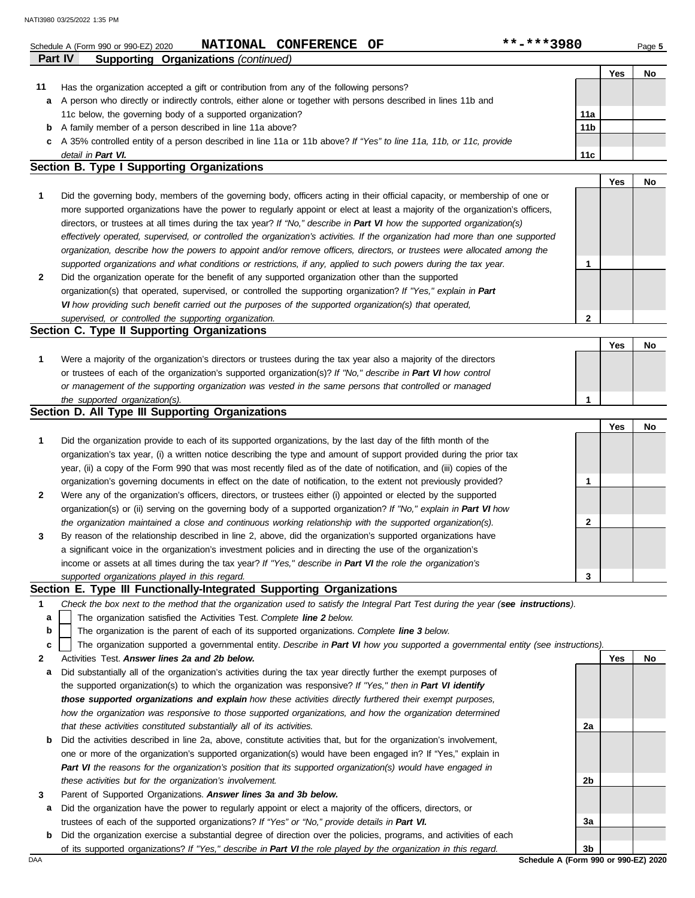| Part IV<br><b>Supporting Organizations (continued)</b><br>11<br>Has the organization accepted a gift or contribution from any of the following persons?<br>A person who directly or indirectly controls, either alone or together with persons described in lines 11b and<br>а<br>11c below, the governing body of a supported organization?<br>A family member of a person described in line 11a above?<br>b<br>A 35% controlled entity of a person described in line 11a or 11b above? If "Yes" to line 11a, 11b, or 11c, provide<br>c<br>detail in Part VI.<br><b>Section B. Type I Supporting Organizations</b><br>1<br>Did the governing body, members of the governing body, officers acting in their official capacity, or membership of one or<br>more supported organizations have the power to regularly appoint or elect at least a majority of the organization's officers,<br>directors, or trustees at all times during the tax year? If "No," describe in Part VI how the supported organization(s)<br>effectively operated, supervised, or controlled the organization's activities. If the organization had more than one supported<br>organization, describe how the powers to appoint and/or remove officers, directors, or trustees were allocated among the<br>supported organizations and what conditions or restrictions, if any, applied to such powers during the tax year. | 11a<br>11 <sub>b</sub><br>11c | Yes<br>Yes | No<br>No |
|------------------------------------------------------------------------------------------------------------------------------------------------------------------------------------------------------------------------------------------------------------------------------------------------------------------------------------------------------------------------------------------------------------------------------------------------------------------------------------------------------------------------------------------------------------------------------------------------------------------------------------------------------------------------------------------------------------------------------------------------------------------------------------------------------------------------------------------------------------------------------------------------------------------------------------------------------------------------------------------------------------------------------------------------------------------------------------------------------------------------------------------------------------------------------------------------------------------------------------------------------------------------------------------------------------------------------------------------------------------------------------------------------|-------------------------------|------------|----------|
|                                                                                                                                                                                                                                                                                                                                                                                                                                                                                                                                                                                                                                                                                                                                                                                                                                                                                                                                                                                                                                                                                                                                                                                                                                                                                                                                                                                                      |                               |            |          |
|                                                                                                                                                                                                                                                                                                                                                                                                                                                                                                                                                                                                                                                                                                                                                                                                                                                                                                                                                                                                                                                                                                                                                                                                                                                                                                                                                                                                      |                               |            |          |
|                                                                                                                                                                                                                                                                                                                                                                                                                                                                                                                                                                                                                                                                                                                                                                                                                                                                                                                                                                                                                                                                                                                                                                                                                                                                                                                                                                                                      |                               |            |          |
|                                                                                                                                                                                                                                                                                                                                                                                                                                                                                                                                                                                                                                                                                                                                                                                                                                                                                                                                                                                                                                                                                                                                                                                                                                                                                                                                                                                                      |                               |            |          |
|                                                                                                                                                                                                                                                                                                                                                                                                                                                                                                                                                                                                                                                                                                                                                                                                                                                                                                                                                                                                                                                                                                                                                                                                                                                                                                                                                                                                      |                               |            |          |
|                                                                                                                                                                                                                                                                                                                                                                                                                                                                                                                                                                                                                                                                                                                                                                                                                                                                                                                                                                                                                                                                                                                                                                                                                                                                                                                                                                                                      |                               |            |          |
|                                                                                                                                                                                                                                                                                                                                                                                                                                                                                                                                                                                                                                                                                                                                                                                                                                                                                                                                                                                                                                                                                                                                                                                                                                                                                                                                                                                                      |                               |            |          |
|                                                                                                                                                                                                                                                                                                                                                                                                                                                                                                                                                                                                                                                                                                                                                                                                                                                                                                                                                                                                                                                                                                                                                                                                                                                                                                                                                                                                      |                               |            |          |
|                                                                                                                                                                                                                                                                                                                                                                                                                                                                                                                                                                                                                                                                                                                                                                                                                                                                                                                                                                                                                                                                                                                                                                                                                                                                                                                                                                                                      |                               |            |          |
|                                                                                                                                                                                                                                                                                                                                                                                                                                                                                                                                                                                                                                                                                                                                                                                                                                                                                                                                                                                                                                                                                                                                                                                                                                                                                                                                                                                                      |                               |            |          |
|                                                                                                                                                                                                                                                                                                                                                                                                                                                                                                                                                                                                                                                                                                                                                                                                                                                                                                                                                                                                                                                                                                                                                                                                                                                                                                                                                                                                      |                               |            |          |
|                                                                                                                                                                                                                                                                                                                                                                                                                                                                                                                                                                                                                                                                                                                                                                                                                                                                                                                                                                                                                                                                                                                                                                                                                                                                                                                                                                                                      |                               |            |          |
|                                                                                                                                                                                                                                                                                                                                                                                                                                                                                                                                                                                                                                                                                                                                                                                                                                                                                                                                                                                                                                                                                                                                                                                                                                                                                                                                                                                                      |                               |            |          |
|                                                                                                                                                                                                                                                                                                                                                                                                                                                                                                                                                                                                                                                                                                                                                                                                                                                                                                                                                                                                                                                                                                                                                                                                                                                                                                                                                                                                      |                               |            |          |
|                                                                                                                                                                                                                                                                                                                                                                                                                                                                                                                                                                                                                                                                                                                                                                                                                                                                                                                                                                                                                                                                                                                                                                                                                                                                                                                                                                                                      | 1                             |            |          |
| Did the organization operate for the benefit of any supported organization other than the supported<br>2                                                                                                                                                                                                                                                                                                                                                                                                                                                                                                                                                                                                                                                                                                                                                                                                                                                                                                                                                                                                                                                                                                                                                                                                                                                                                             |                               |            |          |
| organization(s) that operated, supervised, or controlled the supporting organization? If "Yes," explain in Part                                                                                                                                                                                                                                                                                                                                                                                                                                                                                                                                                                                                                                                                                                                                                                                                                                                                                                                                                                                                                                                                                                                                                                                                                                                                                      |                               |            |          |
| VI how providing such benefit carried out the purposes of the supported organization(s) that operated,                                                                                                                                                                                                                                                                                                                                                                                                                                                                                                                                                                                                                                                                                                                                                                                                                                                                                                                                                                                                                                                                                                                                                                                                                                                                                               |                               |            |          |
| supervised, or controlled the supporting organization.<br>Section C. Type II Supporting Organizations                                                                                                                                                                                                                                                                                                                                                                                                                                                                                                                                                                                                                                                                                                                                                                                                                                                                                                                                                                                                                                                                                                                                                                                                                                                                                                | $\mathbf{2}$                  |            |          |
|                                                                                                                                                                                                                                                                                                                                                                                                                                                                                                                                                                                                                                                                                                                                                                                                                                                                                                                                                                                                                                                                                                                                                                                                                                                                                                                                                                                                      |                               | Yes        | No       |
| 1<br>Were a majority of the organization's directors or trustees during the tax year also a majority of the directors                                                                                                                                                                                                                                                                                                                                                                                                                                                                                                                                                                                                                                                                                                                                                                                                                                                                                                                                                                                                                                                                                                                                                                                                                                                                                |                               |            |          |
| or trustees of each of the organization's supported organization(s)? If "No," describe in Part VI how control                                                                                                                                                                                                                                                                                                                                                                                                                                                                                                                                                                                                                                                                                                                                                                                                                                                                                                                                                                                                                                                                                                                                                                                                                                                                                        |                               |            |          |
| or management of the supporting organization was vested in the same persons that controlled or managed                                                                                                                                                                                                                                                                                                                                                                                                                                                                                                                                                                                                                                                                                                                                                                                                                                                                                                                                                                                                                                                                                                                                                                                                                                                                                               |                               |            |          |
| the supported organization(s).                                                                                                                                                                                                                                                                                                                                                                                                                                                                                                                                                                                                                                                                                                                                                                                                                                                                                                                                                                                                                                                                                                                                                                                                                                                                                                                                                                       | 1                             |            |          |
| Section D. All Type III Supporting Organizations                                                                                                                                                                                                                                                                                                                                                                                                                                                                                                                                                                                                                                                                                                                                                                                                                                                                                                                                                                                                                                                                                                                                                                                                                                                                                                                                                     |                               |            |          |
|                                                                                                                                                                                                                                                                                                                                                                                                                                                                                                                                                                                                                                                                                                                                                                                                                                                                                                                                                                                                                                                                                                                                                                                                                                                                                                                                                                                                      |                               | Yes        | No       |
| 1<br>Did the organization provide to each of its supported organizations, by the last day of the fifth month of the                                                                                                                                                                                                                                                                                                                                                                                                                                                                                                                                                                                                                                                                                                                                                                                                                                                                                                                                                                                                                                                                                                                                                                                                                                                                                  |                               |            |          |
| organization's tax year, (i) a written notice describing the type and amount of support provided during the prior tax                                                                                                                                                                                                                                                                                                                                                                                                                                                                                                                                                                                                                                                                                                                                                                                                                                                                                                                                                                                                                                                                                                                                                                                                                                                                                |                               |            |          |
| year, (ii) a copy of the Form 990 that was most recently filed as of the date of notification, and (iii) copies of the                                                                                                                                                                                                                                                                                                                                                                                                                                                                                                                                                                                                                                                                                                                                                                                                                                                                                                                                                                                                                                                                                                                                                                                                                                                                               |                               |            |          |
| organization's governing documents in effect on the date of notification, to the extent not previously provided?                                                                                                                                                                                                                                                                                                                                                                                                                                                                                                                                                                                                                                                                                                                                                                                                                                                                                                                                                                                                                                                                                                                                                                                                                                                                                     | 1                             |            |          |
| Were any of the organization's officers, directors, or trustees either (i) appointed or elected by the supported<br>2                                                                                                                                                                                                                                                                                                                                                                                                                                                                                                                                                                                                                                                                                                                                                                                                                                                                                                                                                                                                                                                                                                                                                                                                                                                                                |                               |            |          |
| organization(s) or (ii) serving on the governing body of a supported organization? If "No," explain in Part VI how                                                                                                                                                                                                                                                                                                                                                                                                                                                                                                                                                                                                                                                                                                                                                                                                                                                                                                                                                                                                                                                                                                                                                                                                                                                                                   |                               |            |          |
| the organization maintained a close and continuous working relationship with the supported organization(s).                                                                                                                                                                                                                                                                                                                                                                                                                                                                                                                                                                                                                                                                                                                                                                                                                                                                                                                                                                                                                                                                                                                                                                                                                                                                                          | 2                             |            |          |
| By reason of the relationship described in line 2, above, did the organization's supported organizations have<br>3<br>a significant voice in the organization's investment policies and in directing the use of the organization's                                                                                                                                                                                                                                                                                                                                                                                                                                                                                                                                                                                                                                                                                                                                                                                                                                                                                                                                                                                                                                                                                                                                                                   |                               |            |          |
| income or assets at all times during the tax year? If "Yes," describe in Part VI the role the organization's                                                                                                                                                                                                                                                                                                                                                                                                                                                                                                                                                                                                                                                                                                                                                                                                                                                                                                                                                                                                                                                                                                                                                                                                                                                                                         |                               |            |          |
| supported organizations played in this regard.                                                                                                                                                                                                                                                                                                                                                                                                                                                                                                                                                                                                                                                                                                                                                                                                                                                                                                                                                                                                                                                                                                                                                                                                                                                                                                                                                       | 3                             |            |          |
| Section E. Type III Functionally-Integrated Supporting Organizations                                                                                                                                                                                                                                                                                                                                                                                                                                                                                                                                                                                                                                                                                                                                                                                                                                                                                                                                                                                                                                                                                                                                                                                                                                                                                                                                 |                               |            |          |
| Check the box next to the method that the organization used to satisfy the Integral Part Test during the year (see instructions).<br>1                                                                                                                                                                                                                                                                                                                                                                                                                                                                                                                                                                                                                                                                                                                                                                                                                                                                                                                                                                                                                                                                                                                                                                                                                                                               |                               |            |          |
| The organization satisfied the Activities Test. Complete line 2 below.<br>a                                                                                                                                                                                                                                                                                                                                                                                                                                                                                                                                                                                                                                                                                                                                                                                                                                                                                                                                                                                                                                                                                                                                                                                                                                                                                                                          |                               |            |          |
| b<br>The organization is the parent of each of its supported organizations. Complete line 3 below.                                                                                                                                                                                                                                                                                                                                                                                                                                                                                                                                                                                                                                                                                                                                                                                                                                                                                                                                                                                                                                                                                                                                                                                                                                                                                                   |                               |            |          |
| The organization supported a governmental entity. Describe in Part VI how you supported a governmental entity (see instructions).<br>c                                                                                                                                                                                                                                                                                                                                                                                                                                                                                                                                                                                                                                                                                                                                                                                                                                                                                                                                                                                                                                                                                                                                                                                                                                                               |                               |            |          |
| Activities Test. Answer lines 2a and 2b below.<br>2                                                                                                                                                                                                                                                                                                                                                                                                                                                                                                                                                                                                                                                                                                                                                                                                                                                                                                                                                                                                                                                                                                                                                                                                                                                                                                                                                  |                               | Yes        | No       |
| Did substantially all of the organization's activities during the tax year directly further the exempt purposes of<br>а                                                                                                                                                                                                                                                                                                                                                                                                                                                                                                                                                                                                                                                                                                                                                                                                                                                                                                                                                                                                                                                                                                                                                                                                                                                                              |                               |            |          |
| the supported organization(s) to which the organization was responsive? If "Yes," then in Part VI identify                                                                                                                                                                                                                                                                                                                                                                                                                                                                                                                                                                                                                                                                                                                                                                                                                                                                                                                                                                                                                                                                                                                                                                                                                                                                                           |                               |            |          |
| those supported organizations and explain how these activities directly furthered their exempt purposes,                                                                                                                                                                                                                                                                                                                                                                                                                                                                                                                                                                                                                                                                                                                                                                                                                                                                                                                                                                                                                                                                                                                                                                                                                                                                                             |                               |            |          |
| how the organization was responsive to those supported organizations, and how the organization determined                                                                                                                                                                                                                                                                                                                                                                                                                                                                                                                                                                                                                                                                                                                                                                                                                                                                                                                                                                                                                                                                                                                                                                                                                                                                                            |                               |            |          |
| that these activities constituted substantially all of its activities.                                                                                                                                                                                                                                                                                                                                                                                                                                                                                                                                                                                                                                                                                                                                                                                                                                                                                                                                                                                                                                                                                                                                                                                                                                                                                                                               | 2a                            |            |          |
| Did the activities described in line 2a, above, constitute activities that, but for the organization's involvement,<br>b<br>one or more of the organization's supported organization(s) would have been engaged in? If "Yes," explain in                                                                                                                                                                                                                                                                                                                                                                                                                                                                                                                                                                                                                                                                                                                                                                                                                                                                                                                                                                                                                                                                                                                                                             |                               |            |          |

- **3** *these activities but for the organization's involvement.* Parent of Supported Organizations. *Answer lines 3a and 3b below.*
	- **a** Did the organization have the power to regularly appoint or elect a majority of the officers, directors, or trustees of each of the supported organizations? *If "Yes" or "No," provide details in Part VI.*
	- **b** Did the organization exercise a substantial degree of direction over the policies, programs, and activities of each of its supported organizations? *If "Yes," describe in Part VI the role played by the organization in this regard.*

*Part VI the reasons for the organization's position that its supported organization(s) would have engaged in*

DAA **Schedule A (Form 990 or 990-EZ) 2020 3b**

**2b**

**3a**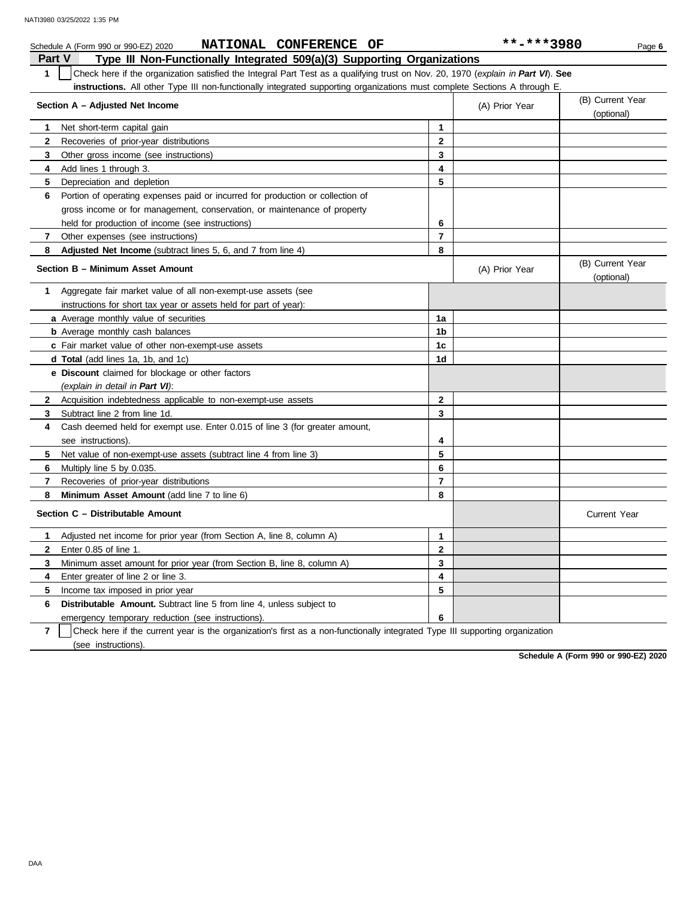|               | NATIONAL CONFERENCE OF<br>Schedule A (Form 990 or 990-EZ) 2020                                                                   |                         | **-***3980     | Page 6                         |  |  |  |  |
|---------------|----------------------------------------------------------------------------------------------------------------------------------|-------------------------|----------------|--------------------------------|--|--|--|--|
| <b>Part V</b> | Type III Non-Functionally Integrated 509(a)(3) Supporting Organizations                                                          |                         |                |                                |  |  |  |  |
| $\mathbf{1}$  | Check here if the organization satisfied the Integral Part Test as a qualifying trust on Nov. 20, 1970 (explain in Part VI). See |                         |                |                                |  |  |  |  |
|               | <b>instructions.</b> All other Type III non-functionally integrated supporting organizations must complete Sections A through E. |                         |                |                                |  |  |  |  |
|               | (B) Current Year<br>Section A - Adjusted Net Income<br>(A) Prior Year                                                            |                         |                |                                |  |  |  |  |
|               |                                                                                                                                  |                         |                | (optional)                     |  |  |  |  |
| $\mathbf{1}$  | Net short-term capital gain                                                                                                      | $\mathbf{1}$            |                |                                |  |  |  |  |
| $\mathbf{2}$  | Recoveries of prior-year distributions                                                                                           | $\mathbf{2}$            |                |                                |  |  |  |  |
| 3             | Other gross income (see instructions)                                                                                            | 3                       |                |                                |  |  |  |  |
| 4             | Add lines 1 through 3.                                                                                                           | $\overline{\mathbf{4}}$ |                |                                |  |  |  |  |
| 5             | Depreciation and depletion                                                                                                       | 5                       |                |                                |  |  |  |  |
| 6             | Portion of operating expenses paid or incurred for production or collection of                                                   |                         |                |                                |  |  |  |  |
|               | gross income or for management, conservation, or maintenance of property                                                         |                         |                |                                |  |  |  |  |
|               | held for production of income (see instructions)                                                                                 | 6                       |                |                                |  |  |  |  |
| 7             | Other expenses (see instructions)                                                                                                | $\overline{\mathbf{r}}$ |                |                                |  |  |  |  |
| 8             | Adjusted Net Income (subtract lines 5, 6, and 7 from line 4)                                                                     | 8                       |                |                                |  |  |  |  |
|               | Section B - Minimum Asset Amount                                                                                                 |                         | (A) Prior Year | (B) Current Year<br>(optional) |  |  |  |  |
| 1             | Aggregate fair market value of all non-exempt-use assets (see                                                                    |                         |                |                                |  |  |  |  |
|               | instructions for short tax year or assets held for part of year):                                                                |                         |                |                                |  |  |  |  |
|               | a Average monthly value of securities                                                                                            | 1a                      |                |                                |  |  |  |  |
|               | <b>b</b> Average monthly cash balances                                                                                           | 1 <sub>b</sub>          |                |                                |  |  |  |  |
|               | c Fair market value of other non-exempt-use assets                                                                               | 1c                      |                |                                |  |  |  |  |
|               | d Total (add lines 1a, 1b, and 1c)                                                                                               | 1d                      |                |                                |  |  |  |  |
|               | e Discount claimed for blockage or other factors                                                                                 |                         |                |                                |  |  |  |  |
|               | (explain in detail in Part VI):                                                                                                  |                         |                |                                |  |  |  |  |
| $\mathbf{2}$  | Acquisition indebtedness applicable to non-exempt-use assets                                                                     | $\mathbf{2}$            |                |                                |  |  |  |  |
| 3             | Subtract line 2 from line 1d.                                                                                                    | $\mathbf{3}$            |                |                                |  |  |  |  |
| 4             | Cash deemed held for exempt use. Enter 0.015 of line 3 (for greater amount,                                                      |                         |                |                                |  |  |  |  |
|               | see instructions).                                                                                                               | 4                       |                |                                |  |  |  |  |
| 5             | Net value of non-exempt-use assets (subtract line 4 from line 3)                                                                 | 5                       |                |                                |  |  |  |  |
| 6             | Multiply line 5 by 0.035.                                                                                                        | 6                       |                |                                |  |  |  |  |
| 7             | Recoveries of prior-year distributions                                                                                           | $\overline{7}$          |                |                                |  |  |  |  |
| 8             | <b>Minimum Asset Amount</b> (add line 7 to line 6)                                                                               | 8                       |                |                                |  |  |  |  |
|               | Section C - Distributable Amount                                                                                                 |                         |                | <b>Current Year</b>            |  |  |  |  |
| 1             | Adjusted net income for prior year (from Section A, line 8, column A)                                                            | $\mathbf 1$             |                |                                |  |  |  |  |
| $\mathbf{2}$  | Enter 0.85 of line 1.                                                                                                            | $\overline{2}$          |                |                                |  |  |  |  |
| 3             | Minimum asset amount for prior year (from Section B, line 8, column A)                                                           | 3                       |                |                                |  |  |  |  |
| 4             | Enter greater of line 2 or line 3.                                                                                               | 4                       |                |                                |  |  |  |  |
| 5             | Income tax imposed in prior year                                                                                                 | 5                       |                |                                |  |  |  |  |
| 6             | <b>Distributable Amount.</b> Subtract line 5 from line 4, unless subject to                                                      |                         |                |                                |  |  |  |  |
|               | emergency temporary reduction (see instructions).                                                                                | 6                       |                |                                |  |  |  |  |

**7** | Check here if the current year is the organization's first as a non-functionally integrated Type III supporting organization (see instructions).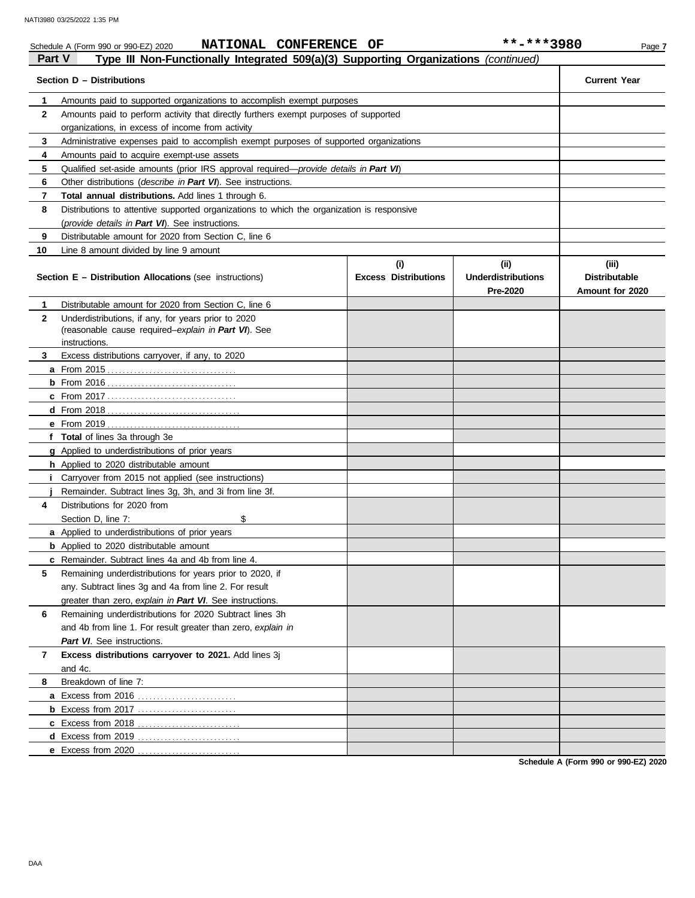|              | NATIONAL CONFERENCE OF<br>Schedule A (Form 990 or 990-EZ) 2020                             |                             | **-***3980                            | Page 7                                  |
|--------------|--------------------------------------------------------------------------------------------|-----------------------------|---------------------------------------|-----------------------------------------|
| Part V       | Type III Non-Functionally Integrated 509(a)(3) Supporting Organizations (continued)        |                             |                                       |                                         |
|              | Section D - Distributions                                                                  |                             |                                       | <b>Current Year</b>                     |
| 1            | Amounts paid to supported organizations to accomplish exempt purposes                      |                             |                                       |                                         |
| $\mathbf{2}$ | Amounts paid to perform activity that directly furthers exempt purposes of supported       |                             |                                       |                                         |
|              | organizations, in excess of income from activity                                           |                             |                                       |                                         |
| 3            | Administrative expenses paid to accomplish exempt purposes of supported organizations      |                             |                                       |                                         |
| 4            | Amounts paid to acquire exempt-use assets                                                  |                             |                                       |                                         |
| 5            | Qualified set-aside amounts (prior IRS approval required—provide details in Part VI)       |                             |                                       |                                         |
| 6            | Other distributions (describe in Part VI). See instructions.                               |                             |                                       |                                         |
| 7            | Total annual distributions. Add lines 1 through 6.                                         |                             |                                       |                                         |
| 8            | Distributions to attentive supported organizations to which the organization is responsive |                             |                                       |                                         |
|              | (provide details in Part VI). See instructions.                                            |                             |                                       |                                         |
| 9            | Distributable amount for 2020 from Section C, line 6                                       |                             |                                       |                                         |
| 10           | Line 8 amount divided by line 9 amount                                                     |                             |                                       |                                         |
|              |                                                                                            | (i)                         | (ii)                                  | (iii)                                   |
|              | <b>Section E – Distribution Allocations (see instructions)</b>                             | <b>Excess Distributions</b> | <b>Underdistributions</b><br>Pre-2020 | <b>Distributable</b><br>Amount for 2020 |
| 1            | Distributable amount for 2020 from Section C, line 6                                       |                             |                                       |                                         |
| $\mathbf{2}$ | Underdistributions, if any, for years prior to 2020                                        |                             |                                       |                                         |
|              | (reasonable cause required-explain in Part VI). See                                        |                             |                                       |                                         |
|              | instructions.                                                                              |                             |                                       |                                         |
| 3            | Excess distributions carryover, if any, to 2020                                            |                             |                                       |                                         |
|              |                                                                                            |                             |                                       |                                         |
|              |                                                                                            |                             |                                       |                                         |
|              |                                                                                            |                             |                                       |                                         |
|              |                                                                                            |                             |                                       |                                         |
|              |                                                                                            |                             |                                       |                                         |
|              | f Total of lines 3a through 3e                                                             |                             |                                       |                                         |
|              | g Applied to underdistributions of prior years                                             |                             |                                       |                                         |
|              | h Applied to 2020 distributable amount                                                     |                             |                                       |                                         |
| L.           | Carryover from 2015 not applied (see instructions)                                         |                             |                                       |                                         |
|              | Remainder. Subtract lines 3g, 3h, and 3i from line 3f.                                     |                             |                                       |                                         |
| 4            | Distributions for 2020 from                                                                |                             |                                       |                                         |
|              | \$<br>Section D. line 7:                                                                   |                             |                                       |                                         |
|              | a Applied to underdistributions of prior years                                             |                             |                                       |                                         |
|              | <b>b</b> Applied to 2020 distributable amount                                              |                             |                                       |                                         |
|              | c Remainder. Subtract lines 4a and 4b from line 4.                                         |                             |                                       |                                         |
| 5            | Remaining underdistributions for years prior to 2020, if                                   |                             |                                       |                                         |
|              | any. Subtract lines 3g and 4a from line 2. For result                                      |                             |                                       |                                         |
|              | greater than zero, explain in Part VI. See instructions.                                   |                             |                                       |                                         |
| 6            | Remaining underdistributions for 2020 Subtract lines 3h                                    |                             |                                       |                                         |
|              | and 4b from line 1. For result greater than zero, explain in                               |                             |                                       |                                         |
|              | Part VI. See instructions.                                                                 |                             |                                       |                                         |
| 7            | Excess distributions carryover to 2021. Add lines 3j                                       |                             |                                       |                                         |
|              | and 4c.                                                                                    |                             |                                       |                                         |
| 8            | Breakdown of line 7:                                                                       |                             |                                       |                                         |
|              |                                                                                            |                             |                                       |                                         |
|              | <b>b</b> Excess from 2017                                                                  |                             |                                       |                                         |
|              |                                                                                            |                             |                                       |                                         |
|              |                                                                                            |                             |                                       |                                         |
|              | e Excess from 2020                                                                         |                             |                                       |                                         |
|              |                                                                                            |                             |                                       |                                         |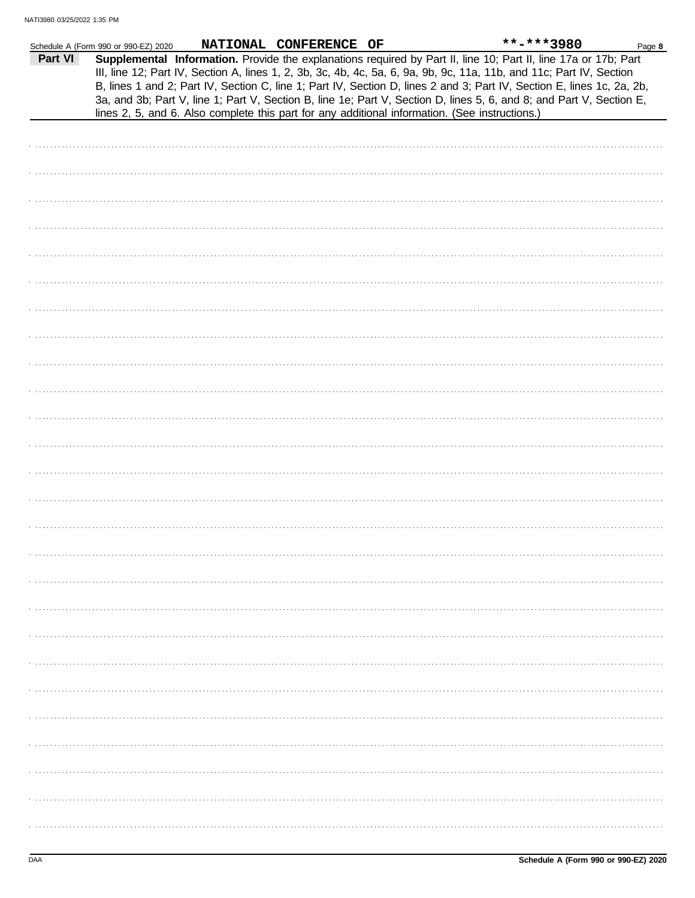|         | Schedule A (Form 990 or 990-EZ) 2020 |                                                                                                | NATIONAL CONFERENCE OF | **-***3980                                                                                                                                                                                                                                                                                                                                                                                                                                                                                | Page 8 |
|---------|--------------------------------------|------------------------------------------------------------------------------------------------|------------------------|-------------------------------------------------------------------------------------------------------------------------------------------------------------------------------------------------------------------------------------------------------------------------------------------------------------------------------------------------------------------------------------------------------------------------------------------------------------------------------------------|--------|
| Part VI |                                      | lines 2, 5, and 6. Also complete this part for any additional information. (See instructions.) |                        | Supplemental Information. Provide the explanations required by Part II, line 10; Part II, line 17a or 17b; Part<br>III, line 12; Part IV, Section A, lines 1, 2, 3b, 3c, 4b, 4c, 5a, 6, 9a, 9b, 9c, 11a, 11b, and 11c; Part IV, Section<br>B, lines 1 and 2; Part IV, Section C, line 1; Part IV, Section D, lines 2 and 3; Part IV, Section E, lines 1c, 2a, 2b,<br>3a, and 3b; Part V, line 1; Part V, Section B, line 1e; Part V, Section D, lines 5, 6, and 8; and Part V, Section E, |        |
|         |                                      |                                                                                                |                        |                                                                                                                                                                                                                                                                                                                                                                                                                                                                                           |        |
|         |                                      |                                                                                                |                        |                                                                                                                                                                                                                                                                                                                                                                                                                                                                                           |        |
|         |                                      |                                                                                                |                        |                                                                                                                                                                                                                                                                                                                                                                                                                                                                                           |        |
|         |                                      |                                                                                                |                        |                                                                                                                                                                                                                                                                                                                                                                                                                                                                                           |        |
|         |                                      |                                                                                                |                        |                                                                                                                                                                                                                                                                                                                                                                                                                                                                                           |        |
|         |                                      |                                                                                                |                        |                                                                                                                                                                                                                                                                                                                                                                                                                                                                                           |        |
|         |                                      |                                                                                                |                        |                                                                                                                                                                                                                                                                                                                                                                                                                                                                                           |        |
|         |                                      |                                                                                                |                        |                                                                                                                                                                                                                                                                                                                                                                                                                                                                                           |        |
|         |                                      |                                                                                                |                        |                                                                                                                                                                                                                                                                                                                                                                                                                                                                                           |        |
|         |                                      |                                                                                                |                        |                                                                                                                                                                                                                                                                                                                                                                                                                                                                                           |        |
|         |                                      |                                                                                                |                        |                                                                                                                                                                                                                                                                                                                                                                                                                                                                                           |        |
|         |                                      |                                                                                                |                        |                                                                                                                                                                                                                                                                                                                                                                                                                                                                                           |        |
|         |                                      |                                                                                                |                        |                                                                                                                                                                                                                                                                                                                                                                                                                                                                                           |        |
|         |                                      |                                                                                                |                        |                                                                                                                                                                                                                                                                                                                                                                                                                                                                                           |        |
|         |                                      |                                                                                                |                        |                                                                                                                                                                                                                                                                                                                                                                                                                                                                                           |        |
|         |                                      |                                                                                                |                        |                                                                                                                                                                                                                                                                                                                                                                                                                                                                                           |        |
|         |                                      |                                                                                                |                        |                                                                                                                                                                                                                                                                                                                                                                                                                                                                                           |        |
|         |                                      |                                                                                                |                        |                                                                                                                                                                                                                                                                                                                                                                                                                                                                                           |        |
|         |                                      |                                                                                                |                        |                                                                                                                                                                                                                                                                                                                                                                                                                                                                                           |        |
|         |                                      |                                                                                                |                        |                                                                                                                                                                                                                                                                                                                                                                                                                                                                                           |        |
|         |                                      |                                                                                                |                        |                                                                                                                                                                                                                                                                                                                                                                                                                                                                                           |        |
|         |                                      |                                                                                                |                        |                                                                                                                                                                                                                                                                                                                                                                                                                                                                                           |        |
|         |                                      |                                                                                                |                        |                                                                                                                                                                                                                                                                                                                                                                                                                                                                                           |        |
|         |                                      |                                                                                                |                        |                                                                                                                                                                                                                                                                                                                                                                                                                                                                                           |        |
|         |                                      |                                                                                                |                        |                                                                                                                                                                                                                                                                                                                                                                                                                                                                                           |        |
|         |                                      |                                                                                                |                        |                                                                                                                                                                                                                                                                                                                                                                                                                                                                                           |        |
|         |                                      |                                                                                                |                        |                                                                                                                                                                                                                                                                                                                                                                                                                                                                                           |        |
|         |                                      |                                                                                                |                        |                                                                                                                                                                                                                                                                                                                                                                                                                                                                                           |        |
|         |                                      |                                                                                                |                        |                                                                                                                                                                                                                                                                                                                                                                                                                                                                                           |        |
|         |                                      |                                                                                                |                        |                                                                                                                                                                                                                                                                                                                                                                                                                                                                                           |        |
|         |                                      |                                                                                                |                        |                                                                                                                                                                                                                                                                                                                                                                                                                                                                                           |        |
|         |                                      |                                                                                                |                        |                                                                                                                                                                                                                                                                                                                                                                                                                                                                                           |        |
|         |                                      |                                                                                                |                        |                                                                                                                                                                                                                                                                                                                                                                                                                                                                                           |        |
|         |                                      |                                                                                                |                        |                                                                                                                                                                                                                                                                                                                                                                                                                                                                                           |        |
|         |                                      |                                                                                                |                        |                                                                                                                                                                                                                                                                                                                                                                                                                                                                                           |        |
|         |                                      |                                                                                                |                        |                                                                                                                                                                                                                                                                                                                                                                                                                                                                                           |        |
|         |                                      |                                                                                                |                        |                                                                                                                                                                                                                                                                                                                                                                                                                                                                                           |        |
|         |                                      |                                                                                                |                        |                                                                                                                                                                                                                                                                                                                                                                                                                                                                                           |        |
|         |                                      |                                                                                                |                        |                                                                                                                                                                                                                                                                                                                                                                                                                                                                                           |        |
|         |                                      |                                                                                                |                        |                                                                                                                                                                                                                                                                                                                                                                                                                                                                                           |        |
|         |                                      |                                                                                                |                        |                                                                                                                                                                                                                                                                                                                                                                                                                                                                                           |        |
|         |                                      |                                                                                                |                        |                                                                                                                                                                                                                                                                                                                                                                                                                                                                                           |        |
|         |                                      |                                                                                                |                        |                                                                                                                                                                                                                                                                                                                                                                                                                                                                                           |        |
|         |                                      |                                                                                                |                        |                                                                                                                                                                                                                                                                                                                                                                                                                                                                                           |        |
|         |                                      |                                                                                                |                        |                                                                                                                                                                                                                                                                                                                                                                                                                                                                                           |        |
|         |                                      |                                                                                                |                        |                                                                                                                                                                                                                                                                                                                                                                                                                                                                                           |        |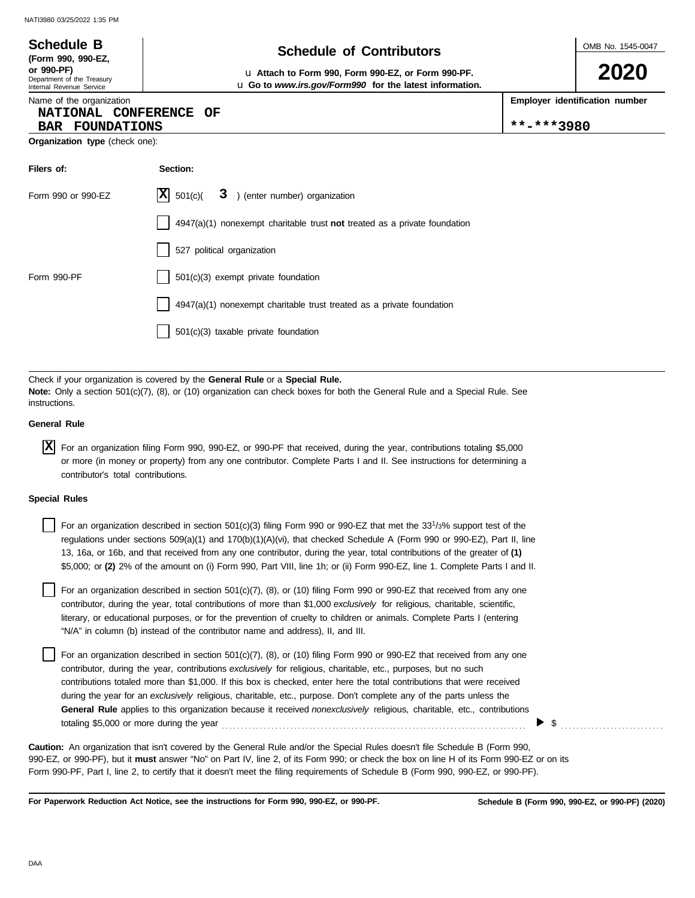# **Schedule of Contributors Schedule B**

**or 990-PF)** u **Attach to Form 990, Form 990-EZ, or Form 990-PF.** u **Go to** *www.irs.gov/Form990* **for the latest information.** OMB No. 1545-0047

**2020**

**Employer identification number**

Name of the organization

Department of the Treasury Internal Revenue Service

**(Form 990, 990-EZ,**

### **NATIONAL CONFERENCE OF**

**BAR FOUNDATIONS \*\*-\*\*\*3980**

**Organization type** (check one):

| Filers of:         | Section:                                                                          |  |  |  |
|--------------------|-----------------------------------------------------------------------------------|--|--|--|
| Form 990 or 990-EZ | $ \mathbf{X} $ 501(c)( $3$ ) (enter number) organization                          |  |  |  |
|                    | $\vert$ 4947(a)(1) nonexempt charitable trust not treated as a private foundation |  |  |  |
|                    | 527 political organization                                                        |  |  |  |
| Form 990-PF        | 501(c)(3) exempt private foundation                                               |  |  |  |
|                    | 4947(a)(1) nonexempt charitable trust treated as a private foundation             |  |  |  |
|                    | 501(c)(3) taxable private foundation                                              |  |  |  |

Check if your organization is covered by the **General Rule** or a **Special Rule. Note:** Only a section 501(c)(7), (8), or (10) organization can check boxes for both the General Rule and a Special Rule. See instructions.

#### **General Rule**

For an organization filing Form 990, 990-EZ, or 990-PF that received, during the year, contributions totaling \$5,000 **X** or more (in money or property) from any one contributor. Complete Parts I and II. See instructions for determining a contributor's total contributions.

#### **Special Rules**

For an organization described in section 501(c)(3) filing Form 990 or 990-EZ that met the 33<sup>1</sup>/3% support test of the regulations under sections 509(a)(1) and 170(b)(1)(A)(vi), that checked Schedule A (Form 990 or 990-EZ), Part II, line 13, 16a, or 16b, and that received from any one contributor, during the year, total contributions of the greater of **(1)** \$5,000; or **(2)** 2% of the amount on (i) Form 990, Part VIII, line 1h; or (ii) Form 990-EZ, line 1. Complete Parts I and II.

literary, or educational purposes, or for the prevention of cruelty to children or animals. Complete Parts I (entering For an organization described in section 501(c)(7), (8), or (10) filing Form 990 or 990-EZ that received from any one contributor, during the year, total contributions of more than \$1,000 *exclusively* for religious, charitable, scientific, "N/A" in column (b) instead of the contributor name and address), II, and III.

For an organization described in section 501(c)(7), (8), or (10) filing Form 990 or 990-EZ that received from any one contributor, during the year, contributions *exclusively* for religious, charitable, etc., purposes, but no such contributions totaled more than \$1,000. If this box is checked, enter here the total contributions that were received during the year for an *exclusively* religious, charitable, etc., purpose. Don't complete any of the parts unless the **General Rule** applies to this organization because it received *nonexclusively* religious, charitable, etc., contributions totaling \$5,000 or more during the year . . . . . . . . . . . . . . . . . . . . . . . . . . . . . . . . . . . . . . . . . . . . . . . . . . . . . . . . . . . . . . . . . . . . . . . . . . . . . . . .

990-EZ, or 990-PF), but it **must** answer "No" on Part IV, line 2, of its Form 990; or check the box on line H of its Form 990-EZ or on its Form 990-PF, Part I, line 2, to certify that it doesn't meet the filing requirements of Schedule B (Form 990, 990-EZ, or 990-PF). **Caution:** An organization that isn't covered by the General Rule and/or the Special Rules doesn't file Schedule B (Form 990,

**For Paperwork Reduction Act Notice, see the instructions for Form 990, 990-EZ, or 990-PF.**

 $\triangleright$  \$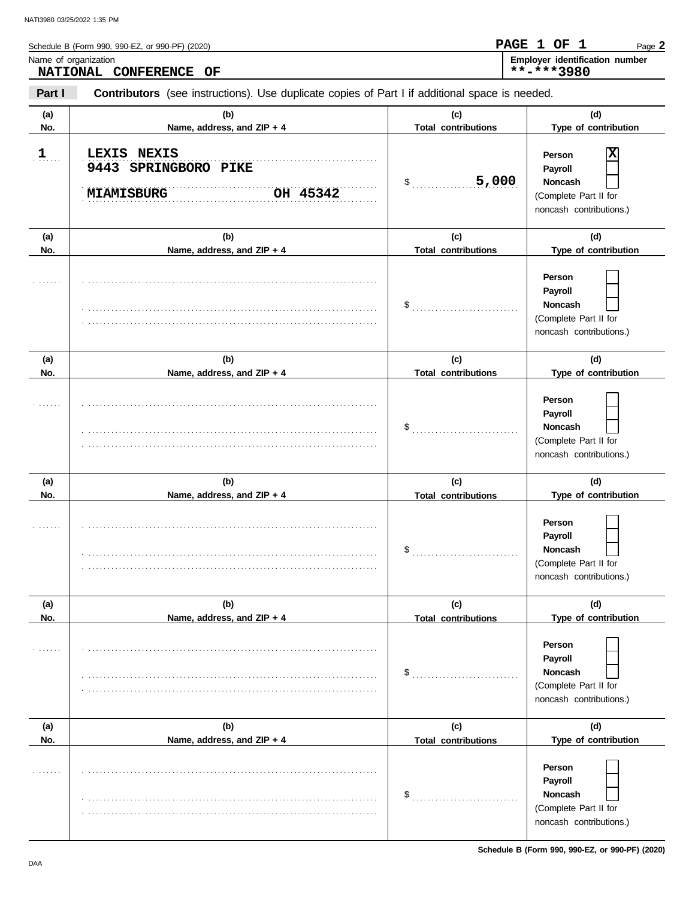|              | Schedule B (Form 990, 990-EZ, or 990-PF) (2020)                                                |                                   | PAGE 1 OF 1<br>Page 2                                                                                           |  |
|--------------|------------------------------------------------------------------------------------------------|-----------------------------------|-----------------------------------------------------------------------------------------------------------------|--|
|              | Name of organization<br>NATIONAL CONFERENCE<br>OF                                              |                                   | Employer identification number<br>**-***3980                                                                    |  |
| Part I       | Contributors (see instructions). Use duplicate copies of Part I if additional space is needed. |                                   |                                                                                                                 |  |
| (a)<br>No.   | (b)<br>Name, address, and ZIP + 4                                                              | (c)<br><b>Total contributions</b> | (d)<br>Type of contribution<br>Person<br>Payroll<br>Noncash<br>(Complete Part II for<br>noncash contributions.) |  |
| $\mathbf{1}$ | LEXIS<br>NEXIS<br>9443 SPRINGBORO PIKE<br><b>MIAMISBURG</b><br>OH 45342                        | 5,000<br>\$                       |                                                                                                                 |  |
| (a)<br>No.   | (b)<br>Name, address, and ZIP + 4                                                              | (c)<br><b>Total contributions</b> | (d)<br>Type of contribution                                                                                     |  |
|              |                                                                                                |                                   | Person<br>Payroll<br>Noncash<br>(Complete Part II for<br>noncash contributions.)                                |  |
| (a)<br>No.   | (b)<br>Name, address, and ZIP + 4                                                              | (c)<br><b>Total contributions</b> | (d)<br>Type of contribution                                                                                     |  |
|              |                                                                                                | \$                                | Person<br>Payroll<br>Noncash<br>(Complete Part II for<br>noncash contributions.)                                |  |
| (a)<br>No.   | (b)<br>Name, address, and ZIP + 4                                                              | (c)<br><b>Total contributions</b> | (d)<br>Type of contribution                                                                                     |  |
|              |                                                                                                | \$                                | Person<br>Payroll<br>Noncash<br>(Complete Part II for<br>noncash contributions.)                                |  |
| (a)<br>No.   | (b)<br>Name, address, and ZIP + 4                                                              | (c)<br><b>Total contributions</b> | (d)<br>Type of contribution                                                                                     |  |
|              |                                                                                                | \$                                | Person<br>Payroll<br>Noncash<br>(Complete Part II for<br>noncash contributions.)                                |  |
| (a)<br>No.   | (b)<br>Name, address, and ZIP + 4                                                              | (c)<br><b>Total contributions</b> | (d)<br>Type of contribution                                                                                     |  |
| 1.1.1.1.1    |                                                                                                | $\$\ldots$                        | Person<br>Payroll<br>Noncash<br>(Complete Part II for                                                           |  |

. . . . . . . . . . . . . . . . . . . . . . . . . . . . . . . . . . . . . . . . . . . . . . . . . . . . . . . . . . . . . . . . . . . . . . . . . . . . .

**Schedule B (Form 990, 990-EZ, or 990-PF) (2020)**

noncash contributions.)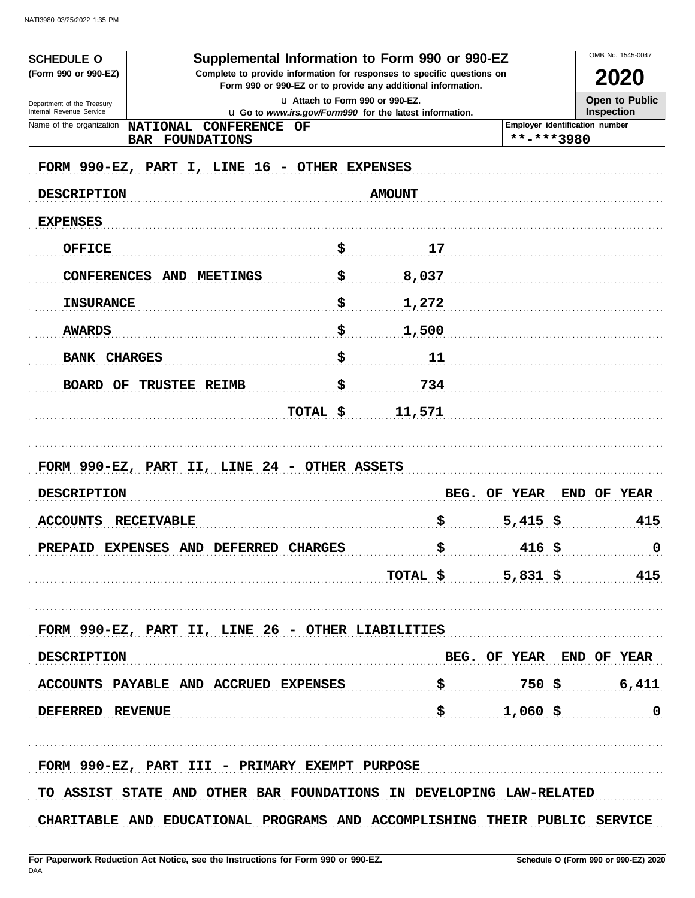| Supplemental Information to Form 990 or 990-EZ<br><b>SCHEDULE O</b> |                                                                                                                                                                                                                                       |                |                       |                          | OMB No. 1545-0047                            |                         |
|---------------------------------------------------------------------|---------------------------------------------------------------------------------------------------------------------------------------------------------------------------------------------------------------------------------------|----------------|-----------------------|--------------------------|----------------------------------------------|-------------------------|
| (Form 990 or 990-EZ)                                                | Complete to provide information for responses to specific questions on<br>Form 990 or 990-EZ or to provide any additional information.<br>La Attach to Form 990 or 990-EZ.<br>u Go to www.irs.gov/Form990 for the latest information. |                |                       |                          | <b>2020</b>                                  |                         |
| Department of the Treasury<br>Internal Revenue Service              |                                                                                                                                                                                                                                       |                |                       |                          | <b>Open to Public</b><br>Inspection          |                         |
| Name of the organization                                            | NATIONAL CONFERENCE OF                                                                                                                                                                                                                |                |                       |                          | Employer identification number<br>**-***3980 |                         |
|                                                                     | <b>BAR FOUNDATIONS</b>                                                                                                                                                                                                                |                |                       |                          |                                              |                         |
|                                                                     | FORM 990-EZ, PART I, LINE 16 - OTHER EXPENSES                                                                                                                                                                                         |                |                       |                          |                                              |                         |
| <b>DESCRIPTION</b>                                                  |                                                                                                                                                                                                                                       |                | <b>AMOUNT</b>         |                          |                                              |                         |
| <b>EXPENSES</b>                                                     |                                                                                                                                                                                                                                       |                |                       |                          |                                              |                         |
| <b>OFFICE</b>                                                       |                                                                                                                                                                                                                                       | \$             | 17                    |                          |                                              |                         |
| <b>CONFERENCES</b>                                                  | <b>AND MEETINGS</b>                                                                                                                                                                                                                   | \$             | 8,037                 |                          |                                              |                         |
| <b>INSURANCE</b>                                                    |                                                                                                                                                                                                                                       | \$             | 1,272                 |                          |                                              |                         |
| <b>AWARDS</b>                                                       |                                                                                                                                                                                                                                       | \$             | 1,500                 |                          |                                              |                         |
| <b>BANK</b>                                                         | <b>CHARGES</b>                                                                                                                                                                                                                        | \$             | 11                    |                          |                                              |                         |
| BOARD OF                                                            | TRUSTEE REIMB                                                                                                                                                                                                                         | \$             | 734                   |                          |                                              |                         |
|                                                                     |                                                                                                                                                                                                                                       | TOTAL \$       | 11,571                |                          |                                              |                         |
|                                                                     |                                                                                                                                                                                                                                       |                |                       |                          |                                              |                         |
|                                                                     | FORM 990-EZ, PART II, LINE 24 - OTHER ASSETS                                                                                                                                                                                          |                |                       |                          |                                              |                         |
| <b>DESCRIPTION</b>                                                  |                                                                                                                                                                                                                                       |                | BEG.                  | <b>YEAR</b><br>OF.       | <b>END</b>                                   | OF YEAR                 |
| <b>ACCOUNTS</b>                                                     | <b>RECEIVABLE</b>                                                                                                                                                                                                                     |                | \$                    | $5,415$ \$               |                                              | 415                     |
| <b>PREPAID EXPENSES</b>                                             | AND DEFERRED                                                                                                                                                                                                                          | <b>CHARGES</b> | \$                    | $416$ \$                 |                                              | 0                       |
|                                                                     |                                                                                                                                                                                                                                       |                | TOTAL $$5,831$ $$415$ |                          |                                              |                         |
|                                                                     |                                                                                                                                                                                                                                       |                |                       |                          |                                              |                         |
|                                                                     | FORM 990-EZ, PART II, LINE 26 - OTHER LIABILITIES                                                                                                                                                                                     |                |                       |                          |                                              |                         |
| <b>DESCRIPTION</b>                                                  |                                                                                                                                                                                                                                       |                |                       | BEG. OF YEAR END OF YEAR |                                              |                         |
|                                                                     | ACCOUNTS PAYABLE AND ACCRUED EXPENSES $\frac{1}{5}$ 750 \$ 6,411                                                                                                                                                                      |                |                       |                          |                                              |                         |
| DEFERRED REVENUE                                                    |                                                                                                                                                                                                                                       |                |                       | $\frac{1}{2}$ ,060 \$    |                                              | $\overline{\mathbf{0}}$ |
|                                                                     |                                                                                                                                                                                                                                       |                |                       |                          |                                              |                         |
|                                                                     | FORM 990-EZ, PART III - PRIMARY EXEMPT PURPOSE                                                                                                                                                                                        |                |                       |                          |                                              |                         |
|                                                                     | TO ASSIST STATE AND OTHER BAR FOUNDATIONS IN DEVELOPING LAW-RELATED                                                                                                                                                                   |                |                       |                          |                                              |                         |
|                                                                     | CHARITABLE AND EDUCATIONAL PROGRAMS AND ACCOMPLISHING THEIR PUBLIC SERVICE                                                                                                                                                            |                |                       |                          |                                              |                         |
|                                                                     |                                                                                                                                                                                                                                       |                |                       |                          |                                              |                         |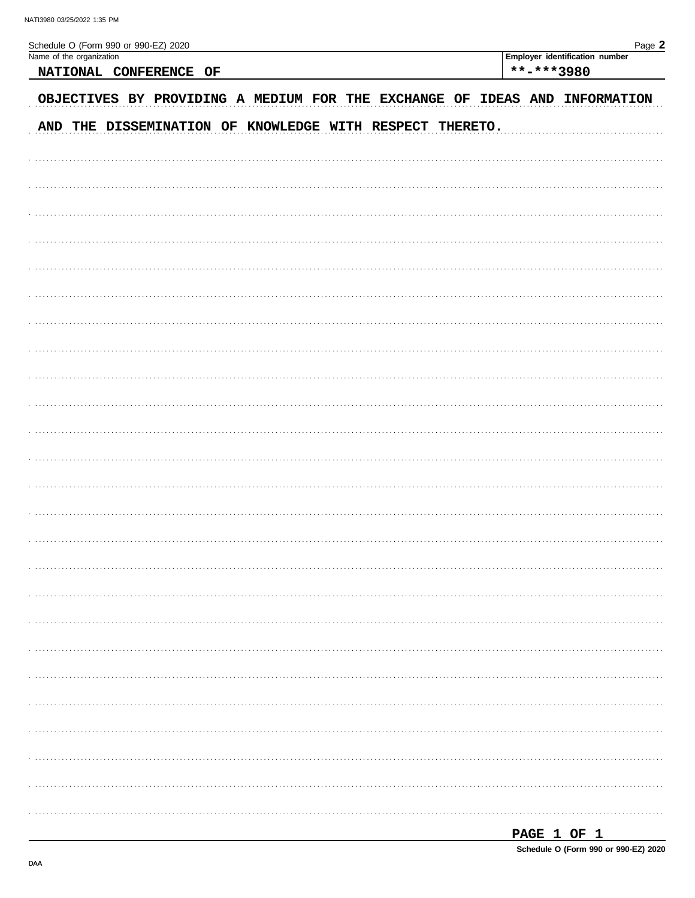| Schedule O (Form 990 or 990-EZ) 2020<br>Name of the organization                                                                       | Page 2<br>Employer identification number |
|----------------------------------------------------------------------------------------------------------------------------------------|------------------------------------------|
| NATIONAL CONFERENCE OF                                                                                                                 | **-***3980                               |
| OBJECTIVES BY PROVIDING A MEDIUM FOR THE EXCHANGE OF IDEAS AND INFORMATION<br>AND THE DISSEMINATION OF KNOWLEDGE WITH RESPECT THERETO. |                                          |
|                                                                                                                                        |                                          |
|                                                                                                                                        |                                          |
|                                                                                                                                        |                                          |
|                                                                                                                                        |                                          |
|                                                                                                                                        |                                          |
|                                                                                                                                        |                                          |
|                                                                                                                                        |                                          |
|                                                                                                                                        |                                          |
|                                                                                                                                        |                                          |
|                                                                                                                                        |                                          |
|                                                                                                                                        |                                          |
|                                                                                                                                        |                                          |
|                                                                                                                                        |                                          |
|                                                                                                                                        |                                          |
|                                                                                                                                        |                                          |
|                                                                                                                                        |                                          |
|                                                                                                                                        |                                          |
|                                                                                                                                        |                                          |
|                                                                                                                                        |                                          |
|                                                                                                                                        |                                          |
|                                                                                                                                        |                                          |
|                                                                                                                                        |                                          |
|                                                                                                                                        |                                          |
|                                                                                                                                        |                                          |
|                                                                                                                                        |                                          |
|                                                                                                                                        |                                          |
|                                                                                                                                        |                                          |

| PAGE |  |  |  |  |
|------|--|--|--|--|
|------|--|--|--|--|

DAA